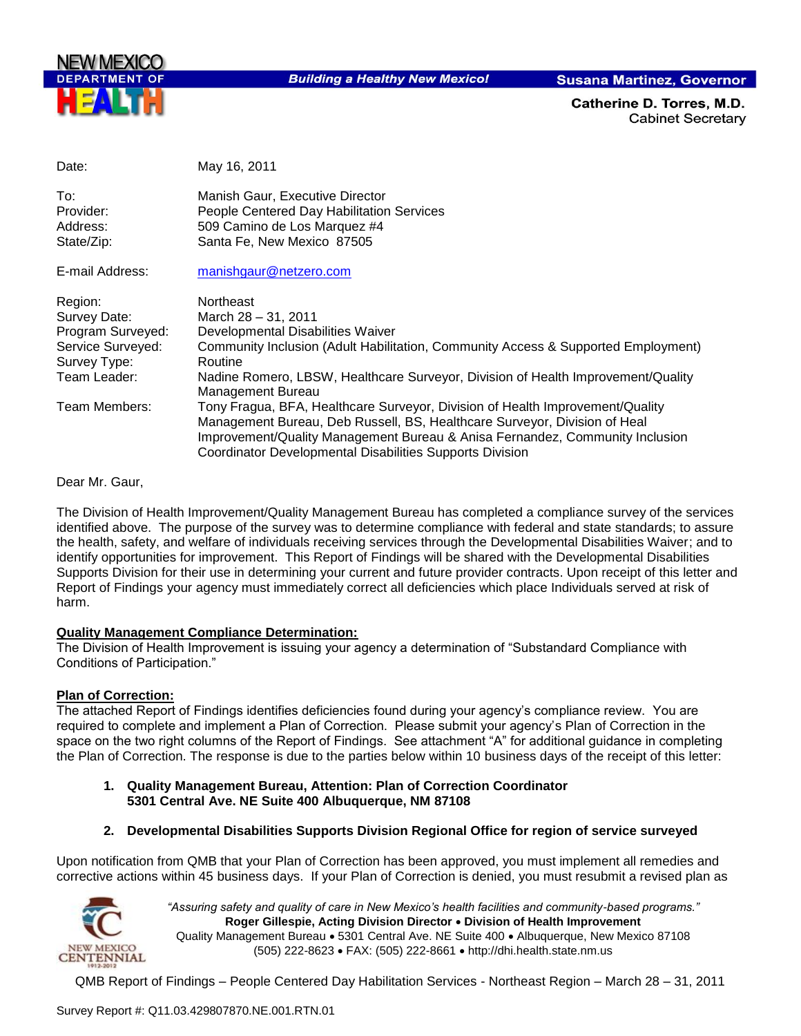

**Building a Healthy New Mexico!** 

**Susana Martinez, Governor** 

Catherine D. Torres. M.D. **Cabinet Secretary** 

| Date:                                                                                             | May 16, 2011                                                                                                                                                                                                                                                                                                  |
|---------------------------------------------------------------------------------------------------|---------------------------------------------------------------------------------------------------------------------------------------------------------------------------------------------------------------------------------------------------------------------------------------------------------------|
| To:<br>Provider:<br>Address:<br>State/Zip:                                                        | Manish Gaur, Executive Director<br>People Centered Day Habilitation Services<br>509 Camino de Los Marquez #4<br>Santa Fe, New Mexico 87505                                                                                                                                                                    |
| E-mail Address:                                                                                   | manishgaur@netzero.com                                                                                                                                                                                                                                                                                        |
| Region:<br>Survey Date:<br>Program Surveyed:<br>Service Surveyed:<br>Survey Type:<br>Team Leader: | <b>Northeast</b><br>March 28 - 31, 2011<br>Developmental Disabilities Waiver<br>Community Inclusion (Adult Habilitation, Community Access & Supported Employment)<br>Routine<br>Nadine Romero, LBSW, Healthcare Surveyor, Division of Health Improvement/Quality<br>Management Bureau                         |
| Team Members:                                                                                     | Tony Fragua, BFA, Healthcare Surveyor, Division of Health Improvement/Quality<br>Management Bureau, Deb Russell, BS, Healthcare Surveyor, Division of Heal<br>Improvement/Quality Management Bureau & Anisa Fernandez, Community Inclusion<br><b>Coordinator Developmental Disabilities Supports Division</b> |

Dear Mr. Gaur,

The Division of Health Improvement/Quality Management Bureau has completed a compliance survey of the services identified above. The purpose of the survey was to determine compliance with federal and state standards; to assure the health, safety, and welfare of individuals receiving services through the Developmental Disabilities Waiver; and to identify opportunities for improvement. This Report of Findings will be shared with the Developmental Disabilities Supports Division for their use in determining your current and future provider contracts. Upon receipt of this letter and Report of Findings your agency must immediately correct all deficiencies which place Individuals served at risk of harm.

## **Quality Management Compliance Determination:**

The Division of Health Improvement is issuing your agency a determination of "Substandard Compliance with Conditions of Participation."

## **Plan of Correction:**

The attached Report of Findings identifies deficiencies found during your agency"s compliance review. You are required to complete and implement a Plan of Correction. Please submit your agency"s Plan of Correction in the space on the two right columns of the Report of Findings. See attachment "A" for additional guidance in completing the Plan of Correction. The response is due to the parties below within 10 business days of the receipt of this letter:

- **1. Quality Management Bureau, Attention: Plan of Correction Coordinator 5301 Central Ave. NE Suite 400 Albuquerque, NM 87108**
- **2. Developmental Disabilities Supports Division Regional Office for region of service surveyed**

Upon notification from QMB that your Plan of Correction has been approved, you must implement all remedies and corrective actions within 45 business days. If your Plan of Correction is denied, you must resubmit a revised plan as



*"Assuring safety and quality of care in New Mexico's health facilities and community-based programs."* **Roger Gillespie, Acting Division Director Division of Health Improvement**  Quality Management Bureau • 5301 Central Ave. NE Suite 400 • Albuquerque, New Mexico 87108 (505) 222-8623 FAX: (505) 222-8661 http://dhi.health.state.nm.us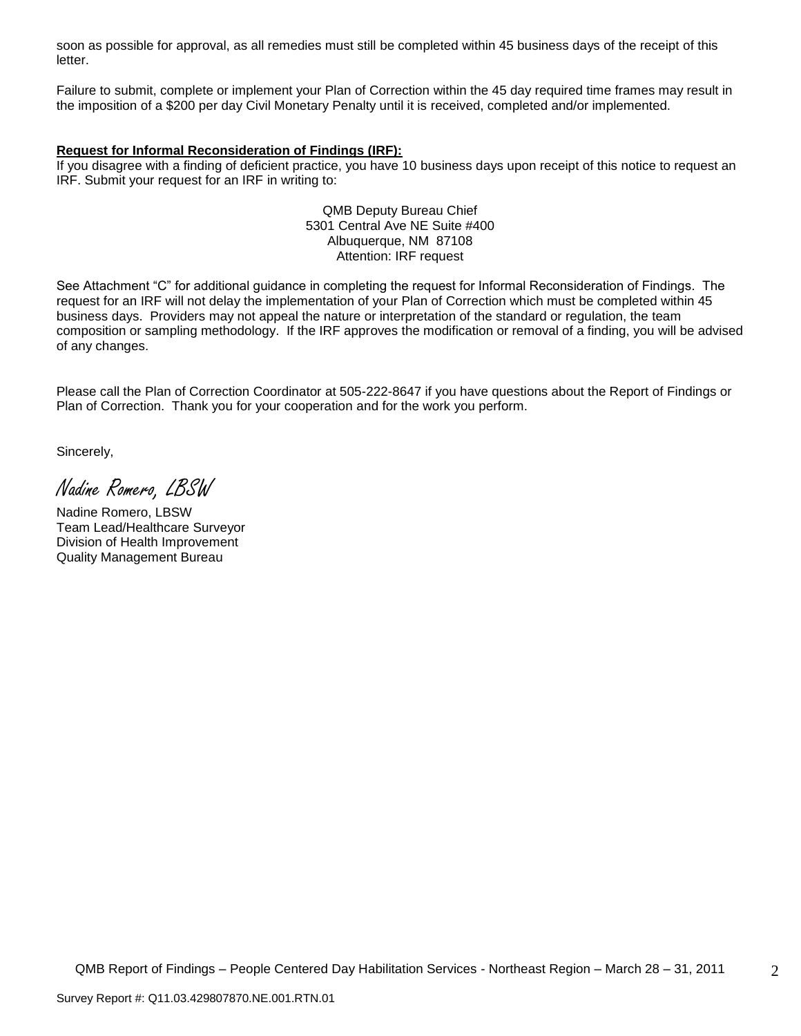soon as possible for approval, as all remedies must still be completed within 45 business days of the receipt of this letter.

Failure to submit, complete or implement your Plan of Correction within the 45 day required time frames may result in the imposition of a \$200 per day Civil Monetary Penalty until it is received, completed and/or implemented.

## **Request for Informal Reconsideration of Findings (IRF):**

If you disagree with a finding of deficient practice, you have 10 business days upon receipt of this notice to request an IRF. Submit your request for an IRF in writing to:

> QMB Deputy Bureau Chief 5301 Central Ave NE Suite #400 Albuquerque, NM 87108 Attention: IRF request

See Attachment "C" for additional guidance in completing the request for Informal Reconsideration of Findings. The request for an IRF will not delay the implementation of your Plan of Correction which must be completed within 45 business days. Providers may not appeal the nature or interpretation of the standard or regulation, the team composition or sampling methodology. If the IRF approves the modification or removal of a finding, you will be advised of any changes.

Please call the Plan of Correction Coordinator at 505-222-8647 if you have questions about the Report of Findings or Plan of Correction. Thank you for your cooperation and for the work you perform.

Sincerely,

Nadine Romero, LBSW

Nadine Romero, LBSW Team Lead/Healthcare Surveyor Division of Health Improvement Quality Management Bureau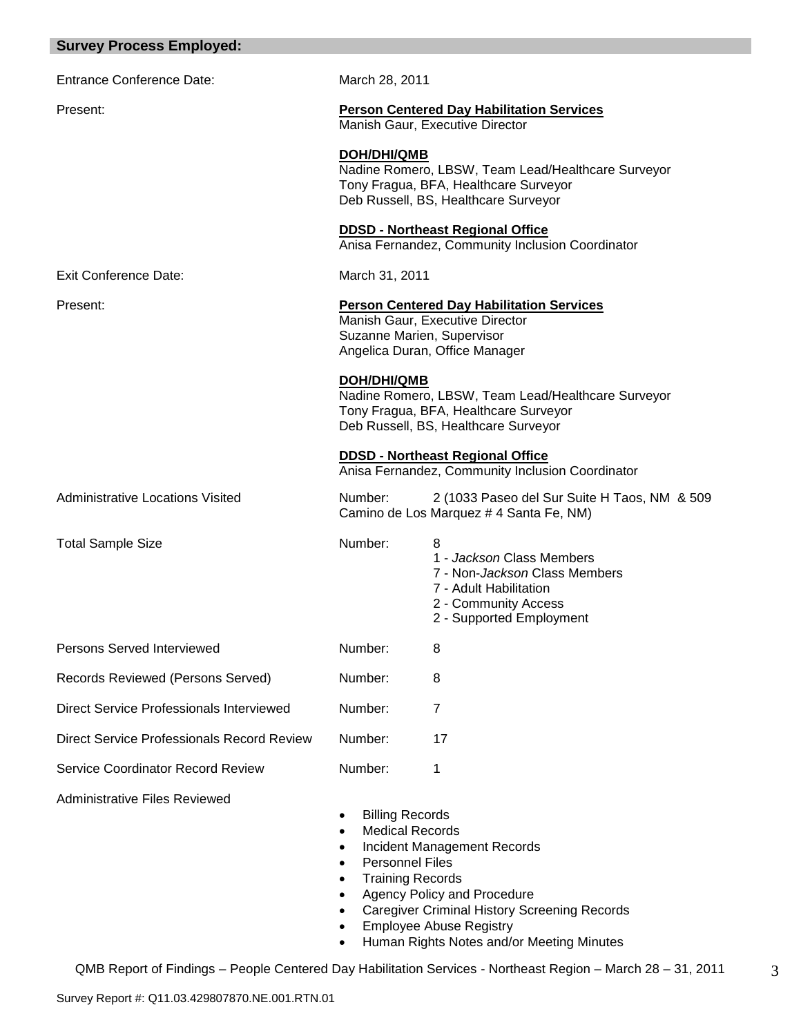| <b>Survey Process Employed:</b>            |                                                                                                       |                                                                                                                                                                                                         |
|--------------------------------------------|-------------------------------------------------------------------------------------------------------|---------------------------------------------------------------------------------------------------------------------------------------------------------------------------------------------------------|
| <b>Entrance Conference Date:</b>           | March 28, 2011                                                                                        |                                                                                                                                                                                                         |
| Present:                                   |                                                                                                       | <b>Person Centered Day Habilitation Services</b><br>Manish Gaur, Executive Director                                                                                                                     |
|                                            | <b>DOH/DHI/QMB</b>                                                                                    | Nadine Romero, LBSW, Team Lead/Healthcare Surveyor<br>Tony Fragua, BFA, Healthcare Surveyor<br>Deb Russell, BS, Healthcare Surveyor                                                                     |
|                                            |                                                                                                       | <b>DDSD - Northeast Regional Office</b><br>Anisa Fernandez, Community Inclusion Coordinator                                                                                                             |
| Exit Conference Date:                      | March 31, 2011                                                                                        |                                                                                                                                                                                                         |
| Present:                                   | Suzanne Marien, Supervisor                                                                            | <b>Person Centered Day Habilitation Services</b><br>Manish Gaur, Executive Director<br>Angelica Duran, Office Manager                                                                                   |
|                                            | <b>DOH/DHI/QMB</b>                                                                                    | Nadine Romero, LBSW, Team Lead/Healthcare Surveyor<br>Tony Fragua, BFA, Healthcare Surveyor<br>Deb Russell, BS, Healthcare Surveyor                                                                     |
|                                            |                                                                                                       | <b>DDSD - Northeast Regional Office</b><br>Anisa Fernandez, Community Inclusion Coordinator                                                                                                             |
| <b>Administrative Locations Visited</b>    | Number:                                                                                               | 2 (1033 Paseo del Sur Suite H Taos, NM & 509<br>Camino de Los Marquez # 4 Santa Fe, NM)                                                                                                                 |
| <b>Total Sample Size</b>                   | Number:                                                                                               | 8<br>1 - Jackson Class Members<br>7 - Non- <i>Jackson</i> Class Members<br>7 - Adult Habilitation<br>2 - Community Access<br>2 - Supported Employment                                                   |
| <b>Persons Served Interviewed</b>          | Number:                                                                                               | 8                                                                                                                                                                                                       |
| Records Reviewed (Persons Served)          | Number:                                                                                               | 8                                                                                                                                                                                                       |
| Direct Service Professionals Interviewed   | Number:                                                                                               | 7                                                                                                                                                                                                       |
| Direct Service Professionals Record Review | Number:                                                                                               | 17                                                                                                                                                                                                      |
| Service Coordinator Record Review          | Number:                                                                                               | 1                                                                                                                                                                                                       |
| <b>Administrative Files Reviewed</b>       | <b>Billing Records</b><br><b>Medical Records</b><br><b>Personnel Files</b><br><b>Training Records</b> | <b>Incident Management Records</b><br>Agency Policy and Procedure<br><b>Caregiver Criminal History Screening Records</b><br><b>Employee Abuse Registry</b><br>Human Rights Notes and/or Meeting Minutes |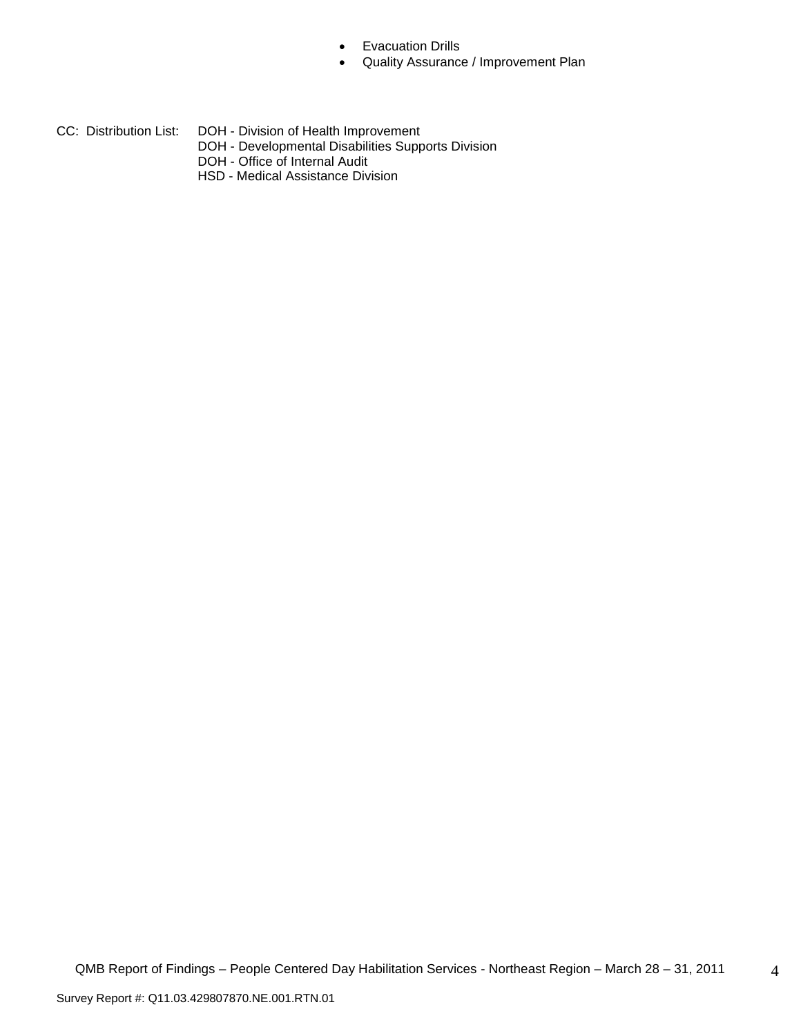- **•** Evacuation Drills
- Quality Assurance / Improvement Plan
- CC: Distribution List: DOH Division of Health Improvement
	- DOH Developmental Disabilities Supports Division
	- DOH Office of Internal Audit
	- HSD Medical Assistance Division

4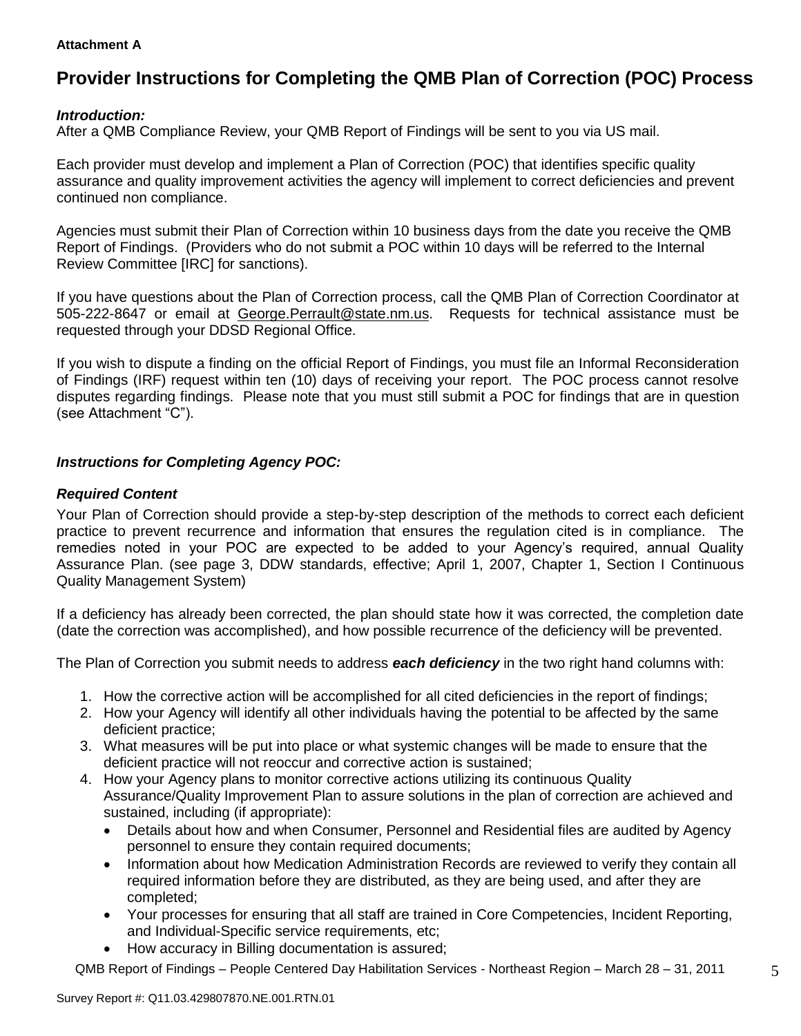## **Attachment A**

# **Provider Instructions for Completing the QMB Plan of Correction (POC) Process**

## *Introduction:*

After a QMB Compliance Review, your QMB Report of Findings will be sent to you via US mail.

Each provider must develop and implement a Plan of Correction (POC) that identifies specific quality assurance and quality improvement activities the agency will implement to correct deficiencies and prevent continued non compliance.

Agencies must submit their Plan of Correction within 10 business days from the date you receive the QMB Report of Findings. (Providers who do not submit a POC within 10 days will be referred to the Internal Review Committee [IRC] for sanctions).

If you have questions about the Plan of Correction process, call the QMB Plan of Correction Coordinator at 505-222-8647 or email at George.Perrault@state.nm.us. Requests for technical assistance must be requested through your DDSD Regional Office.

If you wish to dispute a finding on the official Report of Findings, you must file an Informal Reconsideration of Findings (IRF) request within ten (10) days of receiving your report. The POC process cannot resolve disputes regarding findings. Please note that you must still submit a POC for findings that are in question (see Attachment "C").

# *Instructions for Completing Agency POC:*

## *Required Content*

Your Plan of Correction should provide a step-by-step description of the methods to correct each deficient practice to prevent recurrence and information that ensures the regulation cited is in compliance. The remedies noted in your POC are expected to be added to your Agency"s required, annual Quality Assurance Plan. (see page 3, DDW standards, effective; April 1, 2007, Chapter 1, Section I Continuous Quality Management System)

If a deficiency has already been corrected, the plan should state how it was corrected, the completion date (date the correction was accomplished), and how possible recurrence of the deficiency will be prevented.

The Plan of Correction you submit needs to address *each deficiency* in the two right hand columns with:

- 1. How the corrective action will be accomplished for all cited deficiencies in the report of findings;
- 2. How your Agency will identify all other individuals having the potential to be affected by the same deficient practice;
- 3. What measures will be put into place or what systemic changes will be made to ensure that the deficient practice will not reoccur and corrective action is sustained;
- 4. How your Agency plans to monitor corrective actions utilizing its continuous Quality Assurance/Quality Improvement Plan to assure solutions in the plan of correction are achieved and sustained, including (if appropriate):
	- Details about how and when Consumer, Personnel and Residential files are audited by Agency personnel to ensure they contain required documents;
	- Information about how Medication Administration Records are reviewed to verify they contain all required information before they are distributed, as they are being used, and after they are completed;
	- Your processes for ensuring that all staff are trained in Core Competencies, Incident Reporting, and Individual-Specific service requirements, etc;
	- How accuracy in Billing documentation is assured;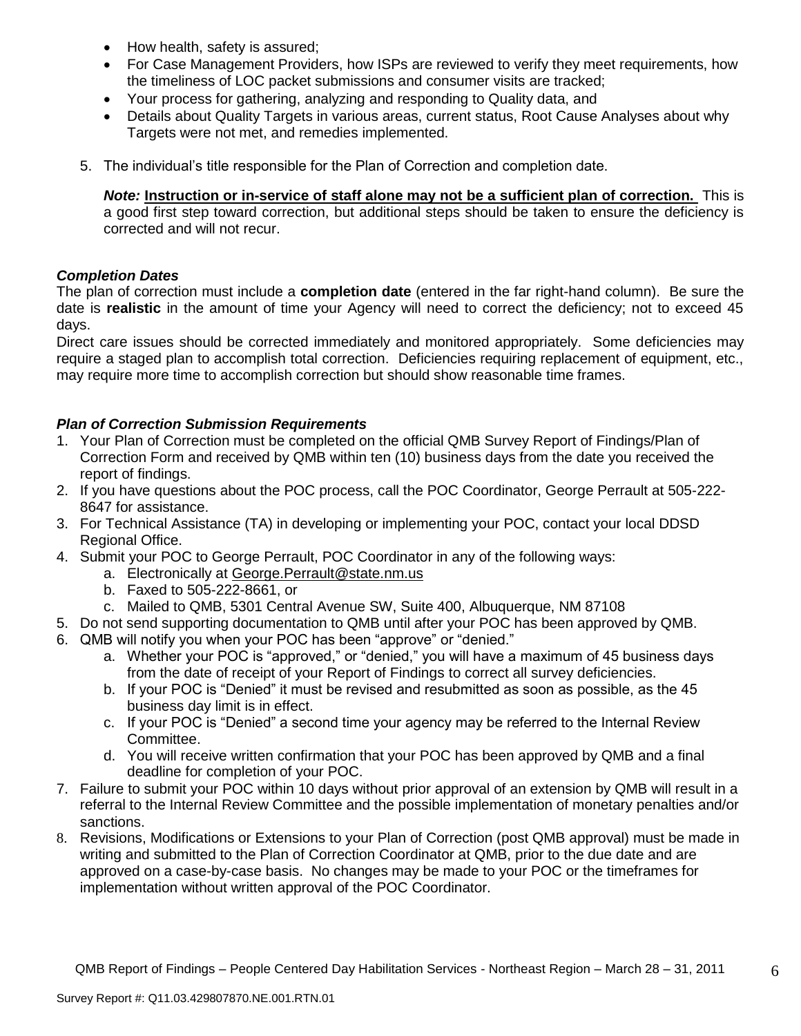- How health, safety is assured;
- For Case Management Providers, how ISPs are reviewed to verify they meet requirements, how the timeliness of LOC packet submissions and consumer visits are tracked;
- Your process for gathering, analyzing and responding to Quality data, and
- Details about Quality Targets in various areas, current status, Root Cause Analyses about why Targets were not met, and remedies implemented.
- 5. The individual"s title responsible for the Plan of Correction and completion date.

*Note:* **Instruction or in-service of staff alone may not be a sufficient plan of correction.** This is a good first step toward correction, but additional steps should be taken to ensure the deficiency is corrected and will not recur.

## *Completion Dates*

The plan of correction must include a **completion date** (entered in the far right-hand column). Be sure the date is **realistic** in the amount of time your Agency will need to correct the deficiency; not to exceed 45 days.

Direct care issues should be corrected immediately and monitored appropriately. Some deficiencies may require a staged plan to accomplish total correction. Deficiencies requiring replacement of equipment, etc., may require more time to accomplish correction but should show reasonable time frames.

# *Plan of Correction Submission Requirements*

- 1. Your Plan of Correction must be completed on the official QMB Survey Report of Findings/Plan of Correction Form and received by QMB within ten (10) business days from the date you received the report of findings.
- 2. If you have questions about the POC process, call the POC Coordinator, George Perrault at 505-222- 8647 for assistance.
- 3. For Technical Assistance (TA) in developing or implementing your POC, contact your local DDSD Regional Office.
- 4. Submit your POC to George Perrault, POC Coordinator in any of the following ways:
	- a. Electronically at [George.Perrault@state.nm.us](mailto:George.Perrault@state.nm.us)
	- b. Faxed to 505-222-8661, or
	- c. Mailed to QMB, 5301 Central Avenue SW, Suite 400, Albuquerque, NM 87108
- 5. Do not send supporting documentation to QMB until after your POC has been approved by QMB.
- 6. QMB will notify you when your POC has been "approve" or "denied."
	- a. Whether your POC is "approved," or "denied," you will have a maximum of 45 business days from the date of receipt of your Report of Findings to correct all survey deficiencies.
	- b. If your POC is "Denied" it must be revised and resubmitted as soon as possible, as the 45 business day limit is in effect.
	- c. If your POC is "Denied" a second time your agency may be referred to the Internal Review Committee.
	- d. You will receive written confirmation that your POC has been approved by QMB and a final deadline for completion of your POC.
- 7. Failure to submit your POC within 10 days without prior approval of an extension by QMB will result in a referral to the Internal Review Committee and the possible implementation of monetary penalties and/or sanctions.
- 8. Revisions, Modifications or Extensions to your Plan of Correction (post QMB approval) must be made in writing and submitted to the Plan of Correction Coordinator at QMB, prior to the due date and are approved on a case-by-case basis. No changes may be made to your POC or the timeframes for implementation without written approval of the POC Coordinator.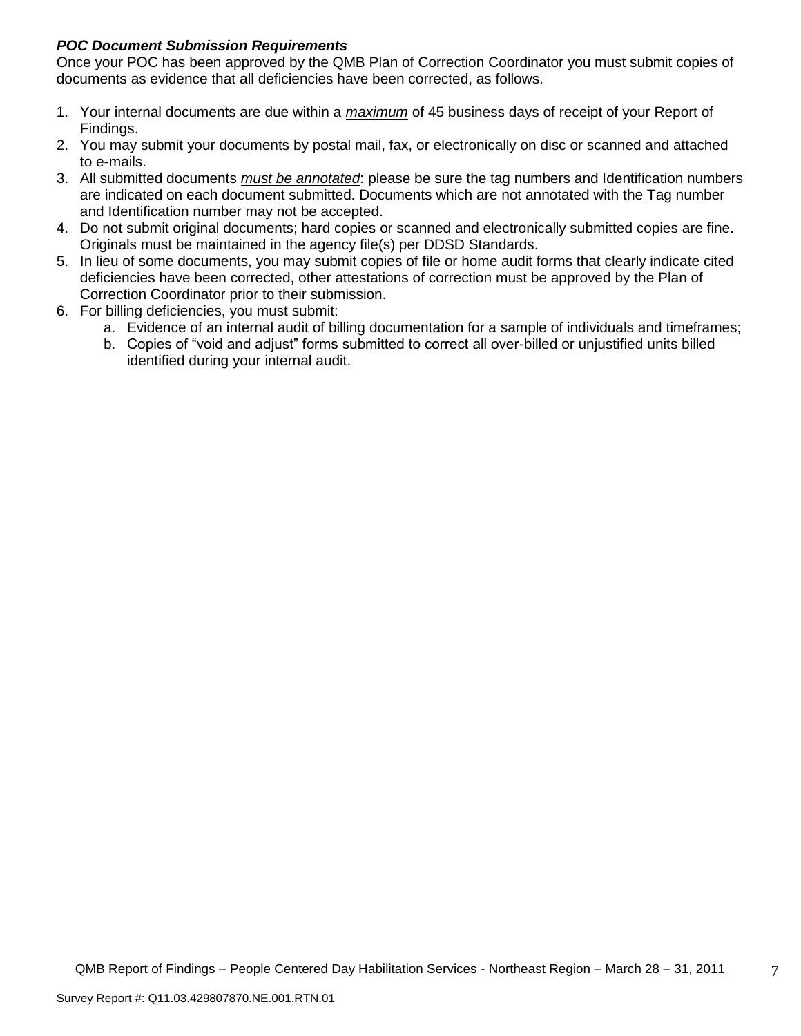# *POC Document Submission Requirements*

Once your POC has been approved by the QMB Plan of Correction Coordinator you must submit copies of documents as evidence that all deficiencies have been corrected, as follows.

- 1. Your internal documents are due within a *maximum* of 45 business days of receipt of your Report of Findings.
- 2. You may submit your documents by postal mail, fax, or electronically on disc or scanned and attached to e-mails.
- 3. All submitted documents *must be annotated*: please be sure the tag numbers and Identification numbers are indicated on each document submitted. Documents which are not annotated with the Tag number and Identification number may not be accepted.
- 4. Do not submit original documents; hard copies or scanned and electronically submitted copies are fine. Originals must be maintained in the agency file(s) per DDSD Standards.
- 5. In lieu of some documents, you may submit copies of file or home audit forms that clearly indicate cited deficiencies have been corrected, other attestations of correction must be approved by the Plan of Correction Coordinator prior to their submission.
- 6. For billing deficiencies, you must submit:
	- a. Evidence of an internal audit of billing documentation for a sample of individuals and timeframes;
	- b. Copies of "void and adjust" forms submitted to correct all over-billed or unjustified units billed identified during your internal audit.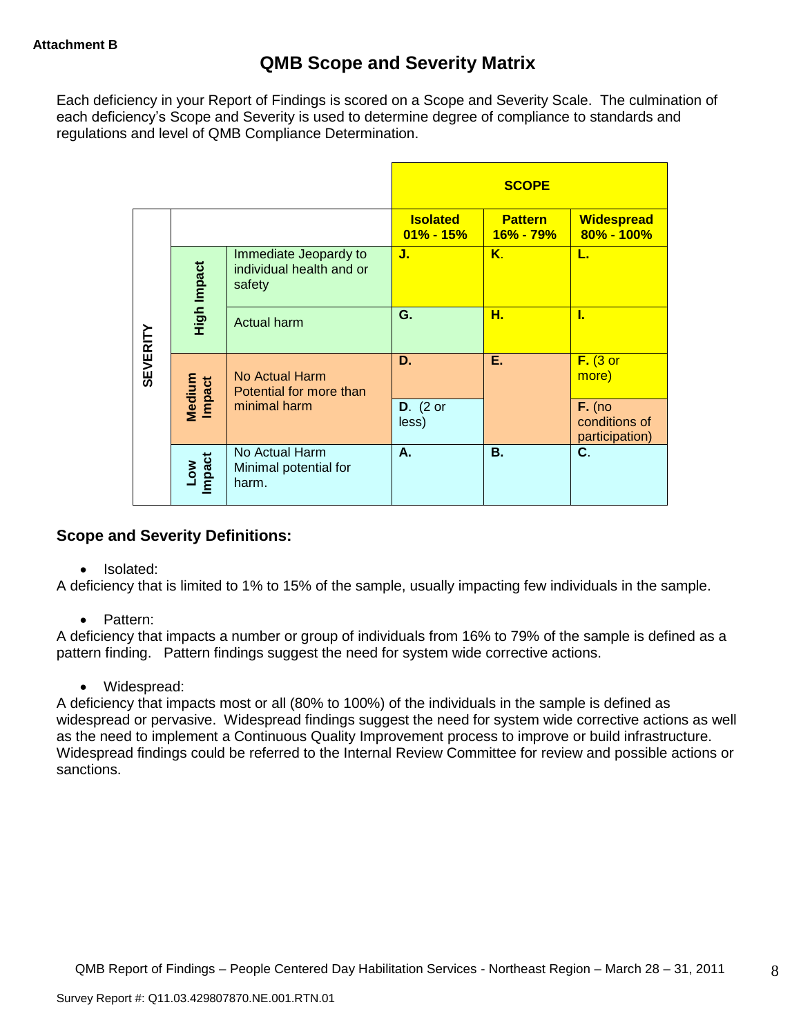Each deficiency in your Report of Findings is scored on a Scope and Severity Scale. The culmination of each deficiency"s Scope and Severity is used to determine degree of compliance to standards and regulations and level of QMB Compliance Determination.

|                 |                      |                                                             |                                 | <b>SCOPE</b>                |                                             |
|-----------------|----------------------|-------------------------------------------------------------|---------------------------------|-----------------------------|---------------------------------------------|
|                 |                      |                                                             | <b>Isolated</b><br>$01\%$ - 15% | <b>Pattern</b><br>16% - 79% | <b>Widespread</b><br>80% - 100%             |
|                 | High Impact          | Immediate Jeopardy to<br>individual health and or<br>safety | J.                              | Κ.                          | L.                                          |
|                 |                      | Actual harm                                                 | G.                              | н.                          | L                                           |
| <b>SEVERITY</b> | Medium<br>Impact     | <b>No Actual Harm</b><br>Potential for more than            | D.                              | Ε.                          | $F.$ (3 or<br>more)                         |
|                 |                      | minimal harm                                                | $D.$ (2 or<br>less)             |                             | $F.$ (no<br>conditions of<br>participation) |
|                 | <b>Impact</b><br>Low | No Actual Harm<br>Minimal potential for<br>harm.            | А.                              | <b>B.</b>                   | C.                                          |

# **Scope and Severity Definitions:**

• Isolated:

A deficiency that is limited to 1% to 15% of the sample, usually impacting few individuals in the sample.

• Pattern:

A deficiency that impacts a number or group of individuals from 16% to 79% of the sample is defined as a pattern finding. Pattern findings suggest the need for system wide corrective actions.

• Widespread:

A deficiency that impacts most or all (80% to 100%) of the individuals in the sample is defined as widespread or pervasive. Widespread findings suggest the need for system wide corrective actions as well as the need to implement a Continuous Quality Improvement process to improve or build infrastructure. Widespread findings could be referred to the Internal Review Committee for review and possible actions or sanctions.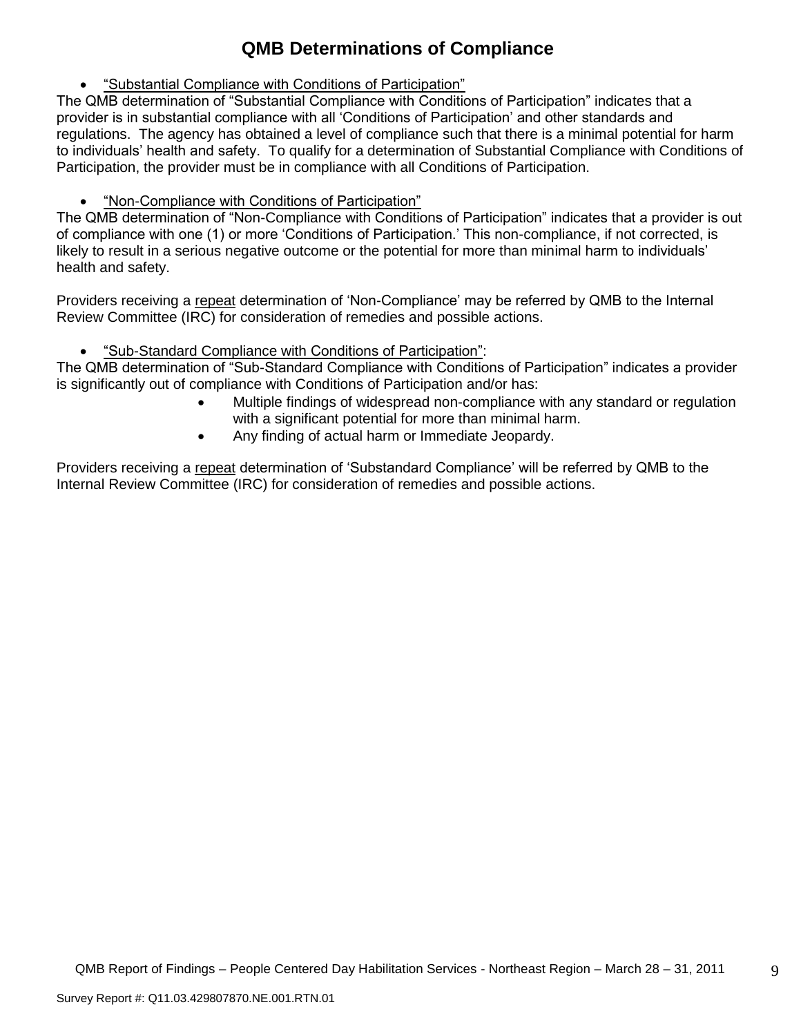# **QMB Determinations of Compliance**

"Substantial Compliance with Conditions of Participation"

The QMB determination of "Substantial Compliance with Conditions of Participation" indicates that a provider is in substantial compliance with all "Conditions of Participation" and other standards and regulations. The agency has obtained a level of compliance such that there is a minimal potential for harm to individuals" health and safety. To qualify for a determination of Substantial Compliance with Conditions of Participation, the provider must be in compliance with all Conditions of Participation.

"Non-Compliance with Conditions of Participation"

The QMB determination of "Non-Compliance with Conditions of Participation" indicates that a provider is out of compliance with one (1) or more "Conditions of Participation." This non-compliance, if not corrected, is likely to result in a serious negative outcome or the potential for more than minimal harm to individuals' health and safety.

Providers receiving a repeat determination of 'Non-Compliance' may be referred by QMB to the Internal Review Committee (IRC) for consideration of remedies and possible actions.

"Sub-Standard Compliance with Conditions of Participation":

The QMB determination of "Sub-Standard Compliance with Conditions of Participation" indicates a provider is significantly out of compliance with Conditions of Participation and/or has:

- Multiple findings of widespread non-compliance with any standard or regulation with a significant potential for more than minimal harm.
- Any finding of actual harm or Immediate Jeopardy.

Providers receiving a repeat determination of 'Substandard Compliance' will be referred by QMB to the Internal Review Committee (IRC) for consideration of remedies and possible actions.

9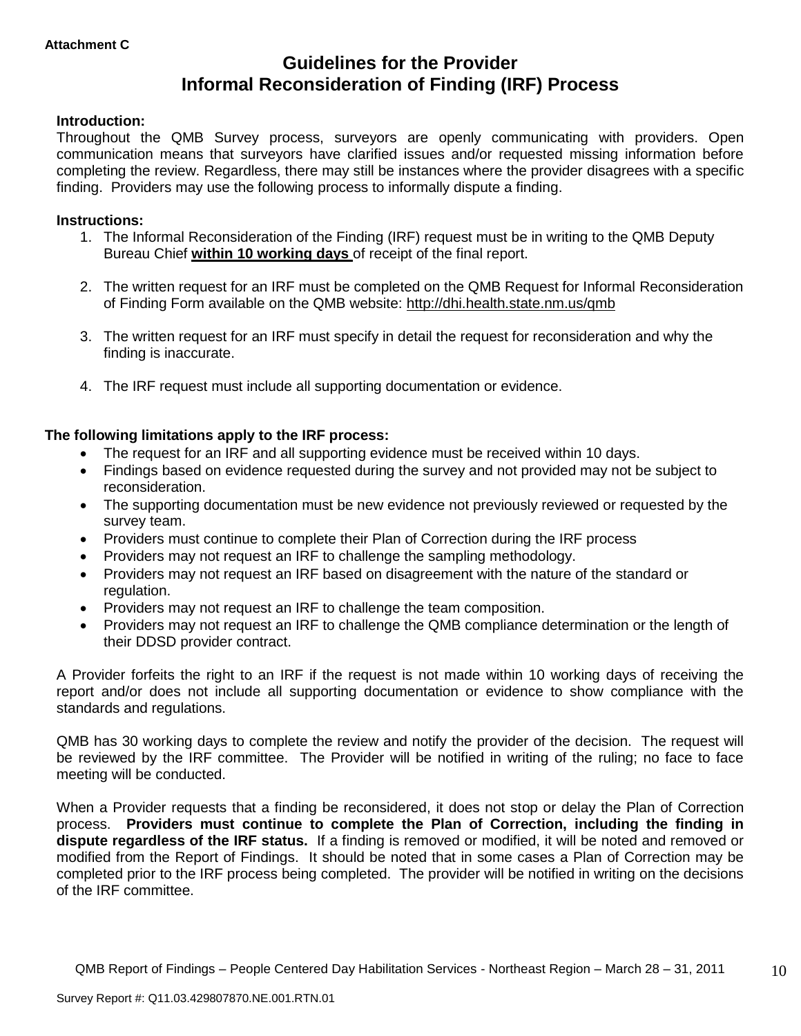# **Guidelines for the Provider Informal Reconsideration of Finding (IRF) Process**

## **Introduction:**

Throughout the QMB Survey process, surveyors are openly communicating with providers. Open communication means that surveyors have clarified issues and/or requested missing information before completing the review. Regardless, there may still be instances where the provider disagrees with a specific finding. Providers may use the following process to informally dispute a finding.

## **Instructions:**

- 1. The Informal Reconsideration of the Finding (IRF) request must be in writing to the QMB Deputy Bureau Chief **within 10 working days** of receipt of the final report.
- 2. The written request for an IRF must be completed on the QMB Request for Informal Reconsideration of Finding Form available on the QMB website:<http://dhi.health.state.nm.us/qmb>
- 3. The written request for an IRF must specify in detail the request for reconsideration and why the finding is inaccurate.
- 4. The IRF request must include all supporting documentation or evidence.

## **The following limitations apply to the IRF process:**

- The request for an IRF and all supporting evidence must be received within 10 days.
- Findings based on evidence requested during the survey and not provided may not be subject to reconsideration.
- The supporting documentation must be new evidence not previously reviewed or requested by the survey team.
- Providers must continue to complete their Plan of Correction during the IRF process
- Providers may not request an IRF to challenge the sampling methodology.
- Providers may not request an IRF based on disagreement with the nature of the standard or regulation.
- Providers may not request an IRF to challenge the team composition.
- Providers may not request an IRF to challenge the QMB compliance determination or the length of their DDSD provider contract.

A Provider forfeits the right to an IRF if the request is not made within 10 working days of receiving the report and/or does not include all supporting documentation or evidence to show compliance with the standards and regulations.

QMB has 30 working days to complete the review and notify the provider of the decision. The request will be reviewed by the IRF committee. The Provider will be notified in writing of the ruling; no face to face meeting will be conducted.

When a Provider requests that a finding be reconsidered, it does not stop or delay the Plan of Correction process. **Providers must continue to complete the Plan of Correction, including the finding in dispute regardless of the IRF status.** If a finding is removed or modified, it will be noted and removed or modified from the Report of Findings. It should be noted that in some cases a Plan of Correction may be completed prior to the IRF process being completed. The provider will be notified in writing on the decisions of the IRF committee.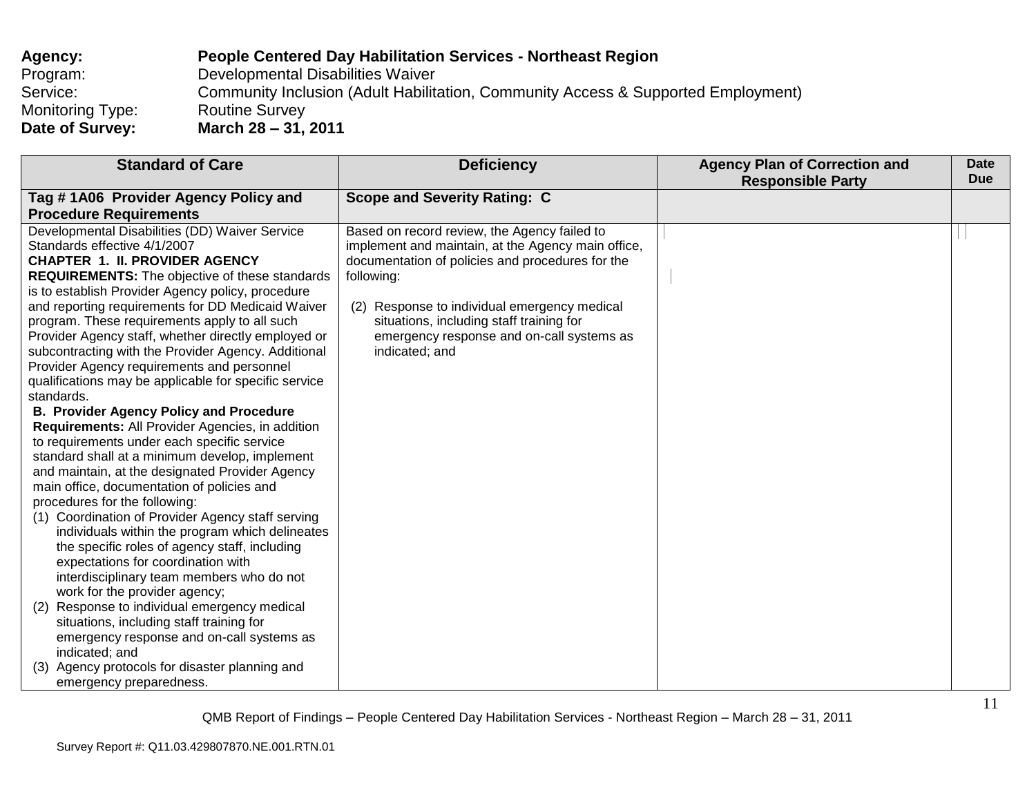| Agency:                 | <b>People Centered Day Habilitation Services - Northeast Region</b>               |
|-------------------------|-----------------------------------------------------------------------------------|
| Program:                | Developmental Disabilities Waiver                                                 |
| Service:                | Community Inclusion (Adult Habilitation, Community Access & Supported Employment) |
| <b>Monitoring Type:</b> | <b>Routine Survey</b>                                                             |
| Date of Survey:         | March 28 – 31, 2011                                                               |

| <b>Standard of Care</b>                                                               | <b>Deficiency</b>                                  | <b>Agency Plan of Correction and</b><br><b>Responsible Party</b> | <b>Date</b><br><b>Due</b> |
|---------------------------------------------------------------------------------------|----------------------------------------------------|------------------------------------------------------------------|---------------------------|
| Tag #1A06 Provider Agency Policy and                                                  | <b>Scope and Severity Rating: C</b>                |                                                                  |                           |
| <b>Procedure Requirements</b>                                                         |                                                    |                                                                  |                           |
| Developmental Disabilities (DD) Waiver Service                                        | Based on record review, the Agency failed to       |                                                                  |                           |
| Standards effective 4/1/2007                                                          | implement and maintain, at the Agency main office, |                                                                  |                           |
| <b>CHAPTER 1. II. PROVIDER AGENCY</b>                                                 | documentation of policies and procedures for the   |                                                                  |                           |
| <b>REQUIREMENTS:</b> The objective of these standards                                 | following:                                         |                                                                  |                           |
| is to establish Provider Agency policy, procedure                                     |                                                    |                                                                  |                           |
| and reporting requirements for DD Medicaid Waiver                                     | (2) Response to individual emergency medical       |                                                                  |                           |
| program. These requirements apply to all such                                         | situations, including staff training for           |                                                                  |                           |
| Provider Agency staff, whether directly employed or                                   | emergency response and on-call systems as          |                                                                  |                           |
| subcontracting with the Provider Agency. Additional                                   | indicated; and                                     |                                                                  |                           |
| Provider Agency requirements and personnel                                            |                                                    |                                                                  |                           |
| qualifications may be applicable for specific service                                 |                                                    |                                                                  |                           |
| standards.                                                                            |                                                    |                                                                  |                           |
| <b>B. Provider Agency Policy and Procedure</b>                                        |                                                    |                                                                  |                           |
| Requirements: All Provider Agencies, in addition                                      |                                                    |                                                                  |                           |
| to requirements under each specific service                                           |                                                    |                                                                  |                           |
| standard shall at a minimum develop, implement                                        |                                                    |                                                                  |                           |
| and maintain, at the designated Provider Agency                                       |                                                    |                                                                  |                           |
| main office, documentation of policies and                                            |                                                    |                                                                  |                           |
| procedures for the following:                                                         |                                                    |                                                                  |                           |
| (1) Coordination of Provider Agency staff serving                                     |                                                    |                                                                  |                           |
| individuals within the program which delineates                                       |                                                    |                                                                  |                           |
| the specific roles of agency staff, including                                         |                                                    |                                                                  |                           |
| expectations for coordination with                                                    |                                                    |                                                                  |                           |
| interdisciplinary team members who do not                                             |                                                    |                                                                  |                           |
| work for the provider agency;                                                         |                                                    |                                                                  |                           |
| Response to individual emergency medical<br>(2)                                       |                                                    |                                                                  |                           |
| situations, including staff training for<br>emergency response and on-call systems as |                                                    |                                                                  |                           |
| indicated; and                                                                        |                                                    |                                                                  |                           |
| Agency protocols for disaster planning and<br>(3)                                     |                                                    |                                                                  |                           |
| emergency preparedness.                                                               |                                                    |                                                                  |                           |
|                                                                                       |                                                    |                                                                  |                           |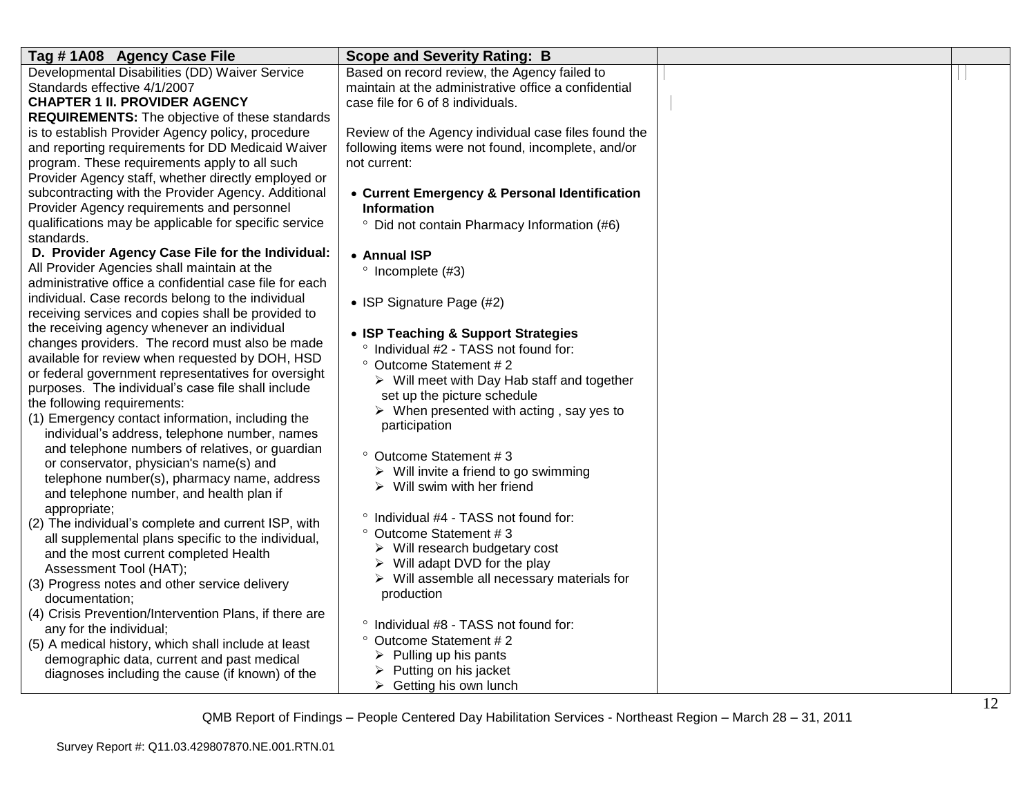| Tag #1A08 Agency Case File                                                                         | <b>Scope and Severity Rating: B</b>                                                           |  |
|----------------------------------------------------------------------------------------------------|-----------------------------------------------------------------------------------------------|--|
| Developmental Disabilities (DD) Waiver Service                                                     | Based on record review, the Agency failed to                                                  |  |
| Standards effective 4/1/2007                                                                       | maintain at the administrative office a confidential                                          |  |
| <b>CHAPTER 1 II. PROVIDER AGENCY</b>                                                               | case file for 6 of 8 individuals.                                                             |  |
| <b>REQUIREMENTS:</b> The objective of these standards                                              |                                                                                               |  |
| is to establish Provider Agency policy, procedure                                                  | Review of the Agency individual case files found the                                          |  |
| and reporting requirements for DD Medicaid Waiver<br>program. These requirements apply to all such | following items were not found, incomplete, and/or<br>not current:                            |  |
| Provider Agency staff, whether directly employed or                                                |                                                                                               |  |
| subcontracting with the Provider Agency. Additional                                                | • Current Emergency & Personal Identification                                                 |  |
| Provider Agency requirements and personnel                                                         | <b>Information</b>                                                                            |  |
| qualifications may be applicable for specific service                                              | <sup>o</sup> Did not contain Pharmacy Information (#6)                                        |  |
| standards.                                                                                         |                                                                                               |  |
| D. Provider Agency Case File for the Individual:                                                   | • Annual ISP                                                                                  |  |
| All Provider Agencies shall maintain at the                                                        | $^{\circ}$ Incomplete (#3)                                                                    |  |
| administrative office a confidential case file for each                                            |                                                                                               |  |
| individual. Case records belong to the individual                                                  | • ISP Signature Page (#2)                                                                     |  |
| receiving services and copies shall be provided to                                                 |                                                                                               |  |
| the receiving agency whenever an individual                                                        | • ISP Teaching & Support Strategies                                                           |  |
| changes providers. The record must also be made                                                    | ° Individual #2 - TASS not found for:                                                         |  |
| available for review when requested by DOH, HSD                                                    | ° Outcome Statement # 2                                                                       |  |
| or federal government representatives for oversight                                                | $\triangleright$ Will meet with Day Hab staff and together                                    |  |
| purposes. The individual's case file shall include                                                 | set up the picture schedule                                                                   |  |
| the following requirements:<br>(1) Emergency contact information, including the                    | $\triangleright$ When presented with acting, say yes to                                       |  |
| individual's address, telephone number, names                                                      | participation                                                                                 |  |
| and telephone numbers of relatives, or guardian                                                    |                                                                                               |  |
| or conservator, physician's name(s) and                                                            | ° Outcome Statement #3                                                                        |  |
| telephone number(s), pharmacy name, address                                                        | $\triangleright$ Will invite a friend to go swimming                                          |  |
| and telephone number, and health plan if                                                           | $\triangleright$ Will swim with her friend                                                    |  |
| appropriate;                                                                                       |                                                                                               |  |
| (2) The individual's complete and current ISP, with                                                | ° Individual #4 - TASS not found for:                                                         |  |
| all supplemental plans specific to the individual,                                                 | ° Outcome Statement #3                                                                        |  |
| and the most current completed Health                                                              | $\triangleright$ Will research budgetary cost<br>$\triangleright$ Will adapt DVD for the play |  |
| Assessment Tool (HAT);                                                                             | $\triangleright$ Will assemble all necessary materials for                                    |  |
| (3) Progress notes and other service delivery                                                      | production                                                                                    |  |
| documentation;                                                                                     |                                                                                               |  |
| (4) Crisis Prevention/Intervention Plans, if there are                                             | ° Individual #8 - TASS not found for:                                                         |  |
| any for the individual;                                                                            | ° Outcome Statement # 2                                                                       |  |
| (5) A medical history, which shall include at least                                                | $\triangleright$ Pulling up his pants                                                         |  |
| demographic data, current and past medical<br>diagnoses including the cause (if known) of the      | Putting on his jacket                                                                         |  |
|                                                                                                    | $\triangleright$ Getting his own lunch                                                        |  |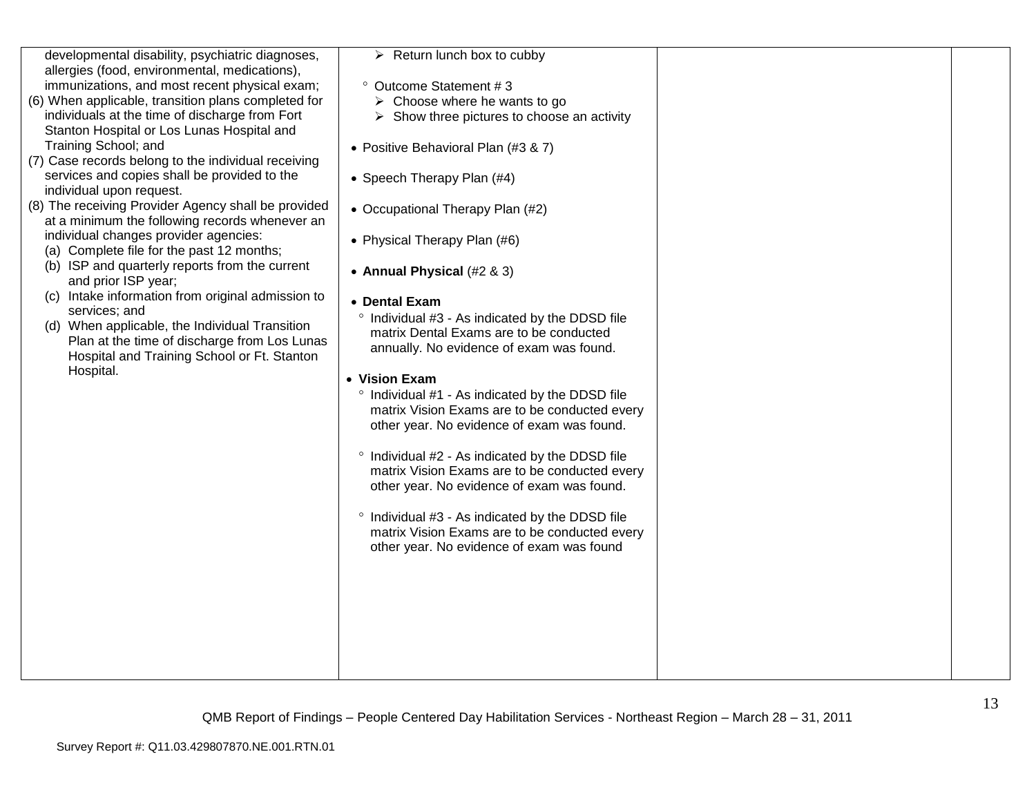| developmental disability, psychiatric diagnoses,<br>allergies (food, environmental, medications),<br>immunizations, and most recent physical exam;<br>(6) When applicable, transition plans completed for<br>individuals at the time of discharge from Fort<br>Stanton Hospital or Los Lunas Hospital and<br>Training School; and<br>(7) Case records belong to the individual receiving<br>services and copies shall be provided to the<br>individual upon request.<br>(8) The receiving Provider Agency shall be provided<br>at a minimum the following records whenever an<br>individual changes provider agencies:<br>(a) Complete file for the past 12 months;<br>(b) ISP and quarterly reports from the current<br>and prior ISP year;<br>(c) Intake information from original admission to<br>services; and<br>(d) When applicable, the Individual Transition<br>Plan at the time of discharge from Los Lunas<br>Hospital and Training School or Ft. Stanton<br>Hospital. | $\triangleright$ Return lunch box to cubby<br><sup>o</sup> Outcome Statement #3<br>$\triangleright$ Choose where he wants to go<br>$\triangleright$ Show three pictures to choose an activity<br>• Positive Behavioral Plan (#3 & 7)<br>• Speech Therapy Plan (#4)<br>• Occupational Therapy Plan (#2)<br>• Physical Therapy Plan (#6)<br>• Annual Physical (#2 & 3)<br>• Dental Exam<br>° Individual #3 - As indicated by the DDSD file<br>matrix Dental Exams are to be conducted<br>annually. No evidence of exam was found.<br>• Vision Exam<br>° Individual #1 - As indicated by the DDSD file<br>matrix Vision Exams are to be conducted every<br>other year. No evidence of exam was found.<br>° Individual #2 - As indicated by the DDSD file<br>matrix Vision Exams are to be conducted every<br>other year. No evidence of exam was found.<br>° Individual #3 - As indicated by the DDSD file<br>matrix Vision Exams are to be conducted every<br>other year. No evidence of exam was found |  |
|----------------------------------------------------------------------------------------------------------------------------------------------------------------------------------------------------------------------------------------------------------------------------------------------------------------------------------------------------------------------------------------------------------------------------------------------------------------------------------------------------------------------------------------------------------------------------------------------------------------------------------------------------------------------------------------------------------------------------------------------------------------------------------------------------------------------------------------------------------------------------------------------------------------------------------------------------------------------------------|-------------------------------------------------------------------------------------------------------------------------------------------------------------------------------------------------------------------------------------------------------------------------------------------------------------------------------------------------------------------------------------------------------------------------------------------------------------------------------------------------------------------------------------------------------------------------------------------------------------------------------------------------------------------------------------------------------------------------------------------------------------------------------------------------------------------------------------------------------------------------------------------------------------------------------------------------------------------------------------------------------|--|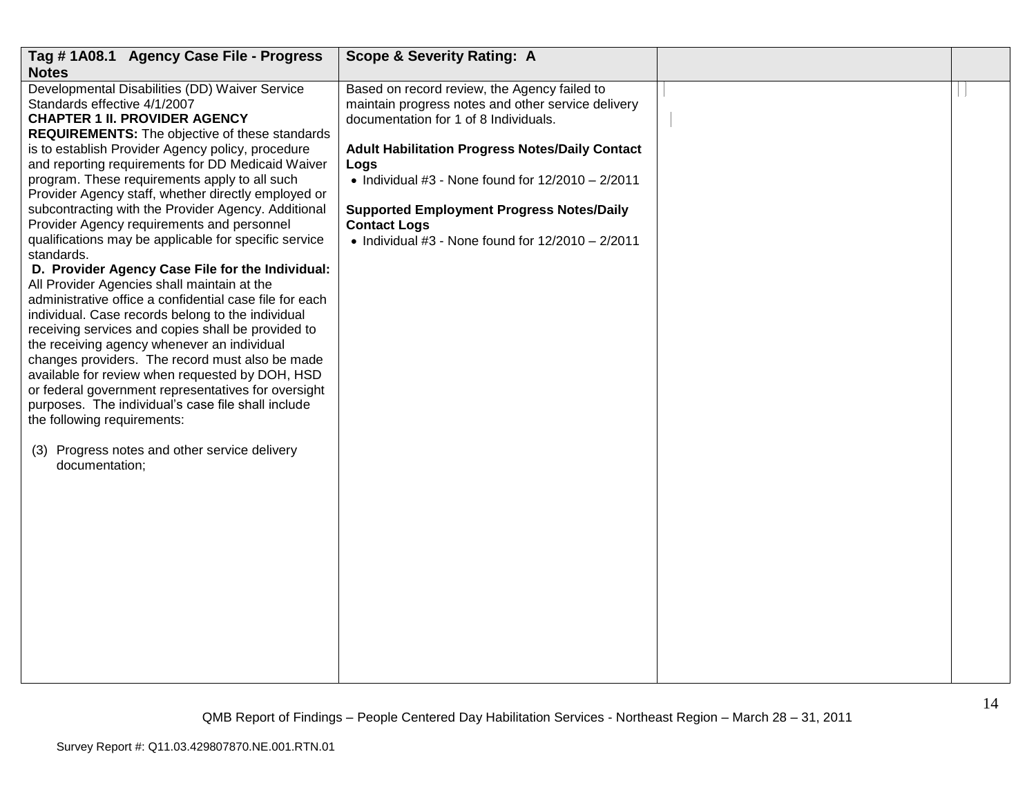| Tag #1A08.1 Agency Case File - Progress                                                                                                                                                                                                                                                                                                                                                                                                                                                                                                                                                                                                                                                                                                                                                                                                                                                                                                                                                                                                                                                                                                                                                                                       | <b>Scope &amp; Severity Rating: A</b>                                                                                                                                                                                                                                                                                                                                                                        |  |
|-------------------------------------------------------------------------------------------------------------------------------------------------------------------------------------------------------------------------------------------------------------------------------------------------------------------------------------------------------------------------------------------------------------------------------------------------------------------------------------------------------------------------------------------------------------------------------------------------------------------------------------------------------------------------------------------------------------------------------------------------------------------------------------------------------------------------------------------------------------------------------------------------------------------------------------------------------------------------------------------------------------------------------------------------------------------------------------------------------------------------------------------------------------------------------------------------------------------------------|--------------------------------------------------------------------------------------------------------------------------------------------------------------------------------------------------------------------------------------------------------------------------------------------------------------------------------------------------------------------------------------------------------------|--|
| <b>Notes</b>                                                                                                                                                                                                                                                                                                                                                                                                                                                                                                                                                                                                                                                                                                                                                                                                                                                                                                                                                                                                                                                                                                                                                                                                                  |                                                                                                                                                                                                                                                                                                                                                                                                              |  |
| Developmental Disabilities (DD) Waiver Service<br>Standards effective 4/1/2007<br><b>CHAPTER 1 II. PROVIDER AGENCY</b><br><b>REQUIREMENTS:</b> The objective of these standards<br>is to establish Provider Agency policy, procedure<br>and reporting requirements for DD Medicaid Waiver<br>program. These requirements apply to all such<br>Provider Agency staff, whether directly employed or<br>subcontracting with the Provider Agency. Additional<br>Provider Agency requirements and personnel<br>qualifications may be applicable for specific service<br>standards.<br>D. Provider Agency Case File for the Individual:<br>All Provider Agencies shall maintain at the<br>administrative office a confidential case file for each<br>individual. Case records belong to the individual<br>receiving services and copies shall be provided to<br>the receiving agency whenever an individual<br>changes providers. The record must also be made<br>available for review when requested by DOH, HSD<br>or federal government representatives for oversight<br>purposes. The individual's case file shall include<br>the following requirements:<br>Progress notes and other service delivery<br>(3)<br>documentation; | Based on record review, the Agency failed to<br>maintain progress notes and other service delivery<br>documentation for 1 of 8 Individuals.<br><b>Adult Habilitation Progress Notes/Daily Contact</b><br>Logs<br>$\bullet$ Individual #3 - None found for 12/2010 - 2/2011<br><b>Supported Employment Progress Notes/Daily</b><br><b>Contact Logs</b><br>• Individual #3 - None found for $12/2010 - 2/2011$ |  |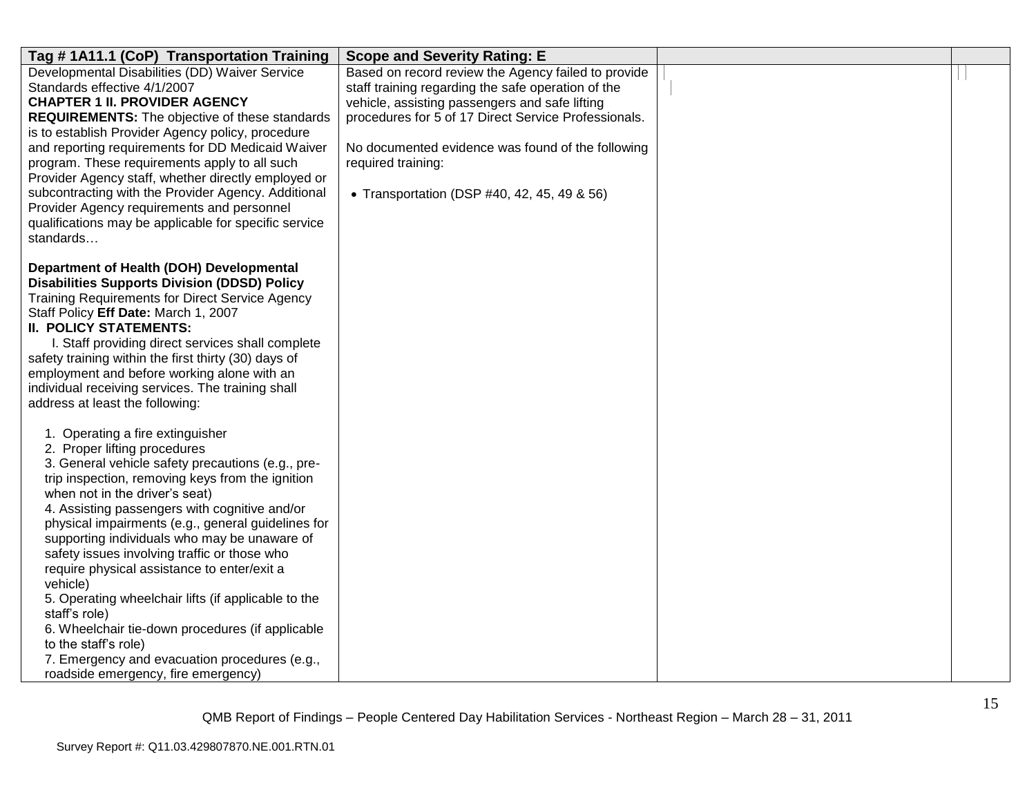| Tag #1A11.1 (CoP) Transportation Training                                                         | <b>Scope and Severity Rating: E</b>                  |  |
|---------------------------------------------------------------------------------------------------|------------------------------------------------------|--|
| Developmental Disabilities (DD) Waiver Service                                                    | Based on record review the Agency failed to provide  |  |
| Standards effective 4/1/2007                                                                      | staff training regarding the safe operation of the   |  |
| <b>CHAPTER 1 II. PROVIDER AGENCY</b>                                                              | vehicle, assisting passengers and safe lifting       |  |
| <b>REQUIREMENTS:</b> The objective of these standards                                             | procedures for 5 of 17 Direct Service Professionals. |  |
| is to establish Provider Agency policy, procedure                                                 |                                                      |  |
| and reporting requirements for DD Medicaid Waiver                                                 | No documented evidence was found of the following    |  |
| program. These requirements apply to all such                                                     | required training:                                   |  |
| Provider Agency staff, whether directly employed or                                               |                                                      |  |
| subcontracting with the Provider Agency. Additional<br>Provider Agency requirements and personnel | • Transportation (DSP #40, 42, 45, 49 & 56)          |  |
| qualifications may be applicable for specific service                                             |                                                      |  |
| standards                                                                                         |                                                      |  |
|                                                                                                   |                                                      |  |
| Department of Health (DOH) Developmental                                                          |                                                      |  |
| <b>Disabilities Supports Division (DDSD) Policy</b>                                               |                                                      |  |
| <b>Training Requirements for Direct Service Agency</b>                                            |                                                      |  |
| Staff Policy Eff Date: March 1, 2007                                                              |                                                      |  |
| <b>II. POLICY STATEMENTS:</b>                                                                     |                                                      |  |
| I. Staff providing direct services shall complete                                                 |                                                      |  |
| safety training within the first thirty (30) days of                                              |                                                      |  |
| employment and before working alone with an                                                       |                                                      |  |
| individual receiving services. The training shall                                                 |                                                      |  |
| address at least the following:                                                                   |                                                      |  |
| 1. Operating a fire extinguisher                                                                  |                                                      |  |
| 2. Proper lifting procedures                                                                      |                                                      |  |
| 3. General vehicle safety precautions (e.g., pre-                                                 |                                                      |  |
| trip inspection, removing keys from the ignition                                                  |                                                      |  |
| when not in the driver's seat)                                                                    |                                                      |  |
| 4. Assisting passengers with cognitive and/or                                                     |                                                      |  |
| physical impairments (e.g., general guidelines for                                                |                                                      |  |
| supporting individuals who may be unaware of                                                      |                                                      |  |
| safety issues involving traffic or those who                                                      |                                                      |  |
| require physical assistance to enter/exit a                                                       |                                                      |  |
| vehicle)                                                                                          |                                                      |  |
| 5. Operating wheelchair lifts (if applicable to the<br>staff's role)                              |                                                      |  |
| 6. Wheelchair tie-down procedures (if applicable                                                  |                                                      |  |
| to the staff's role)                                                                              |                                                      |  |
| 7. Emergency and evacuation procedures (e.g.,                                                     |                                                      |  |
| roadside emergency, fire emergency)                                                               |                                                      |  |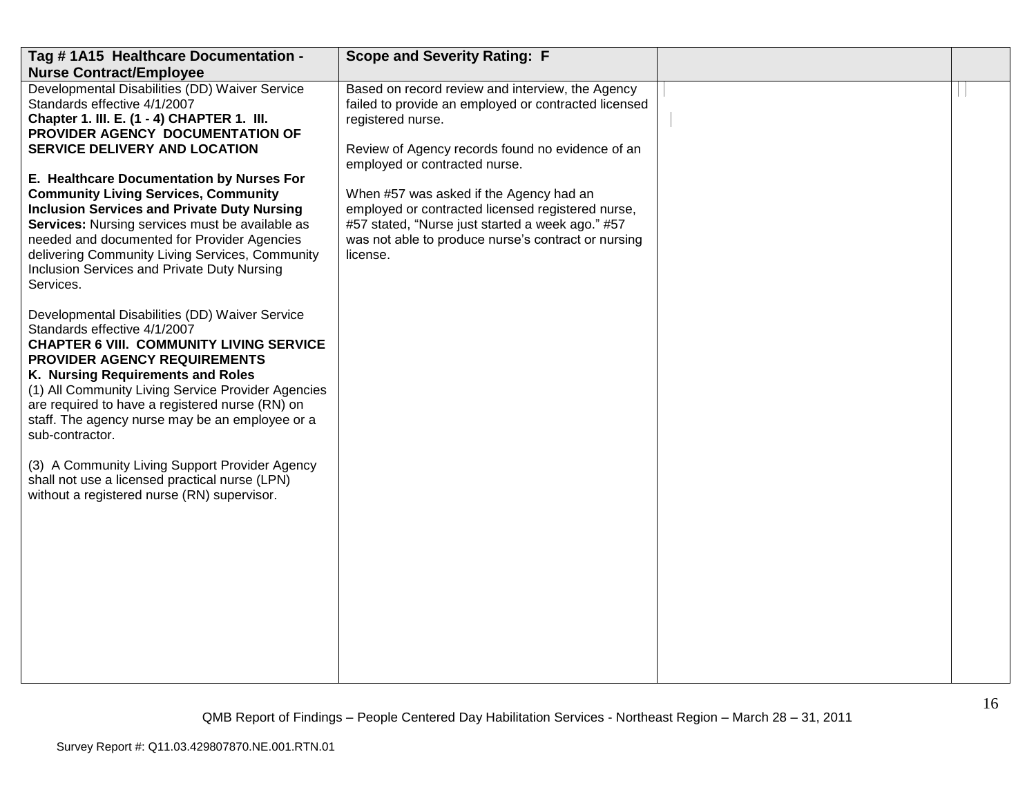| Tag #1A15 Healthcare Documentation -                                                                                                                                                                                                                                                                                                                                                                                                                                                      | <b>Scope and Severity Rating: F</b>                                                                                                                                                                                 |  |
|-------------------------------------------------------------------------------------------------------------------------------------------------------------------------------------------------------------------------------------------------------------------------------------------------------------------------------------------------------------------------------------------------------------------------------------------------------------------------------------------|---------------------------------------------------------------------------------------------------------------------------------------------------------------------------------------------------------------------|--|
| <b>Nurse Contract/Employee</b>                                                                                                                                                                                                                                                                                                                                                                                                                                                            |                                                                                                                                                                                                                     |  |
| Developmental Disabilities (DD) Waiver Service<br>Standards effective 4/1/2007<br>Chapter 1. III. E. (1 - 4) CHAPTER 1. III.<br>PROVIDER AGENCY DOCUMENTATION OF<br><b>SERVICE DELIVERY AND LOCATION</b>                                                                                                                                                                                                                                                                                  | Based on record review and interview, the Agency<br>failed to provide an employed or contracted licensed<br>registered nurse.<br>Review of Agency records found no evidence of an<br>employed or contracted nurse.  |  |
| E. Healthcare Documentation by Nurses For<br><b>Community Living Services, Community</b><br><b>Inclusion Services and Private Duty Nursing</b><br><b>Services:</b> Nursing services must be available as<br>needed and documented for Provider Agencies<br>delivering Community Living Services, Community<br>Inclusion Services and Private Duty Nursing<br>Services.                                                                                                                    | When #57 was asked if the Agency had an<br>employed or contracted licensed registered nurse,<br>#57 stated, "Nurse just started a week ago." #57<br>was not able to produce nurse's contract or nursing<br>license. |  |
| Developmental Disabilities (DD) Waiver Service<br>Standards effective 4/1/2007<br><b>CHAPTER 6 VIII. COMMUNITY LIVING SERVICE</b><br>PROVIDER AGENCY REQUIREMENTS<br>K. Nursing Requirements and Roles<br>(1) All Community Living Service Provider Agencies<br>are required to have a registered nurse (RN) on<br>staff. The agency nurse may be an employee or a<br>sub-contractor.<br>(3) A Community Living Support Provider Agency<br>shall not use a licensed practical nurse (LPN) |                                                                                                                                                                                                                     |  |
| without a registered nurse (RN) supervisor.                                                                                                                                                                                                                                                                                                                                                                                                                                               |                                                                                                                                                                                                                     |  |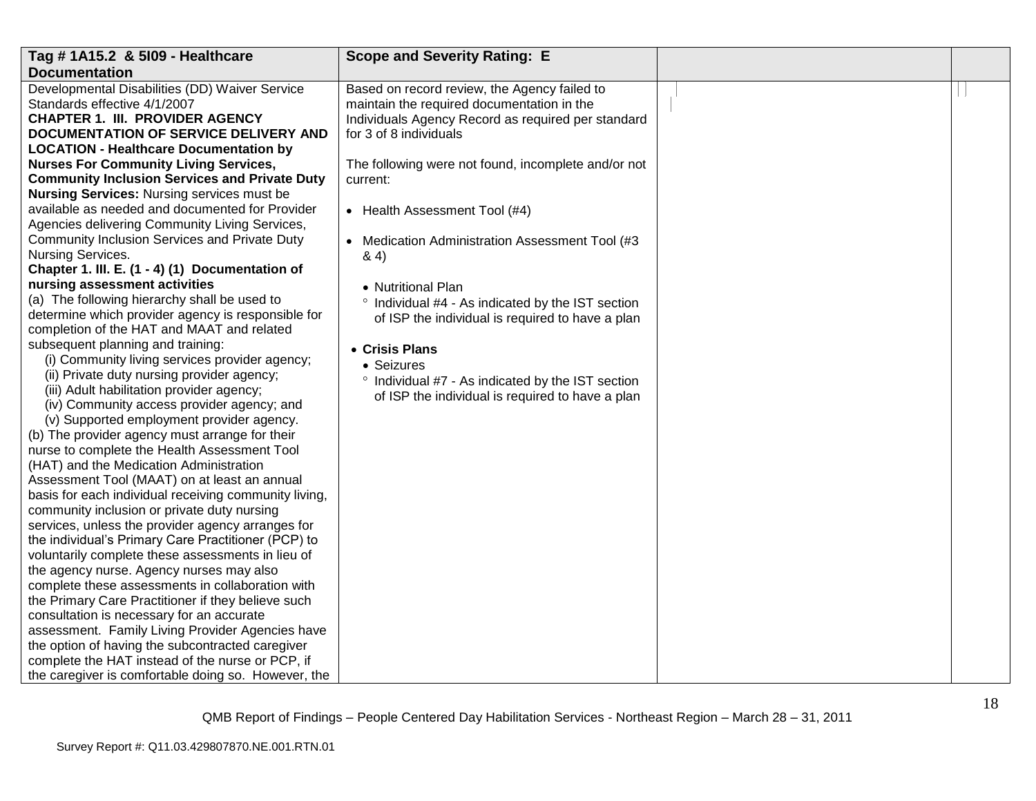| Tag # 1A15.2 & 5109 - Healthcare                      | <b>Scope and Severity Rating: E</b>                        |  |
|-------------------------------------------------------|------------------------------------------------------------|--|
| <b>Documentation</b>                                  |                                                            |  |
| Developmental Disabilities (DD) Waiver Service        | Based on record review, the Agency failed to               |  |
| Standards effective 4/1/2007                          | maintain the required documentation in the                 |  |
| <b>CHAPTER 1. III. PROVIDER AGENCY</b>                | Individuals Agency Record as required per standard         |  |
| DOCUMENTATION OF SERVICE DELIVERY AND                 | for 3 of 8 individuals                                     |  |
| <b>LOCATION - Healthcare Documentation by</b>         |                                                            |  |
| <b>Nurses For Community Living Services,</b>          | The following were not found, incomplete and/or not        |  |
| <b>Community Inclusion Services and Private Duty</b>  | current:                                                   |  |
| <b>Nursing Services: Nursing services must be</b>     |                                                            |  |
| available as needed and documented for Provider       | • Health Assessment Tool (#4)                              |  |
| Agencies delivering Community Living Services,        |                                                            |  |
| Community Inclusion Services and Private Duty         | Medication Administration Assessment Tool (#3<br>$\bullet$ |  |
| Nursing Services.                                     | 8.4)                                                       |  |
| Chapter 1. III. E. (1 - 4) (1) Documentation of       |                                                            |  |
| nursing assessment activities                         | • Nutritional Plan                                         |  |
| (a) The following hierarchy shall be used to          | $\circ$<br>Individual #4 - As indicated by the IST section |  |
| determine which provider agency is responsible for    | of ISP the individual is required to have a plan           |  |
| completion of the HAT and MAAT and related            |                                                            |  |
| subsequent planning and training:                     | • Crisis Plans                                             |  |
| (i) Community living services provider agency;        | • Seizures                                                 |  |
| (ii) Private duty nursing provider agency;            | ° Individual #7 - As indicated by the IST section          |  |
| (iii) Adult habilitation provider agency;             | of ISP the individual is required to have a plan           |  |
| (iv) Community access provider agency; and            |                                                            |  |
| (v) Supported employment provider agency.             |                                                            |  |
| (b) The provider agency must arrange for their        |                                                            |  |
| nurse to complete the Health Assessment Tool          |                                                            |  |
| (HAT) and the Medication Administration               |                                                            |  |
| Assessment Tool (MAAT) on at least an annual          |                                                            |  |
| basis for each individual receiving community living, |                                                            |  |
| community inclusion or private duty nursing           |                                                            |  |
| services, unless the provider agency arranges for     |                                                            |  |
| the individual's Primary Care Practitioner (PCP) to   |                                                            |  |
| voluntarily complete these assessments in lieu of     |                                                            |  |
| the agency nurse. Agency nurses may also              |                                                            |  |
| complete these assessments in collaboration with      |                                                            |  |
| the Primary Care Practitioner if they believe such    |                                                            |  |
| consultation is necessary for an accurate             |                                                            |  |
| assessment. Family Living Provider Agencies have      |                                                            |  |
| the option of having the subcontracted caregiver      |                                                            |  |
| complete the HAT instead of the nurse or PCP, if      |                                                            |  |
| the caregiver is comfortable doing so. However, the   |                                                            |  |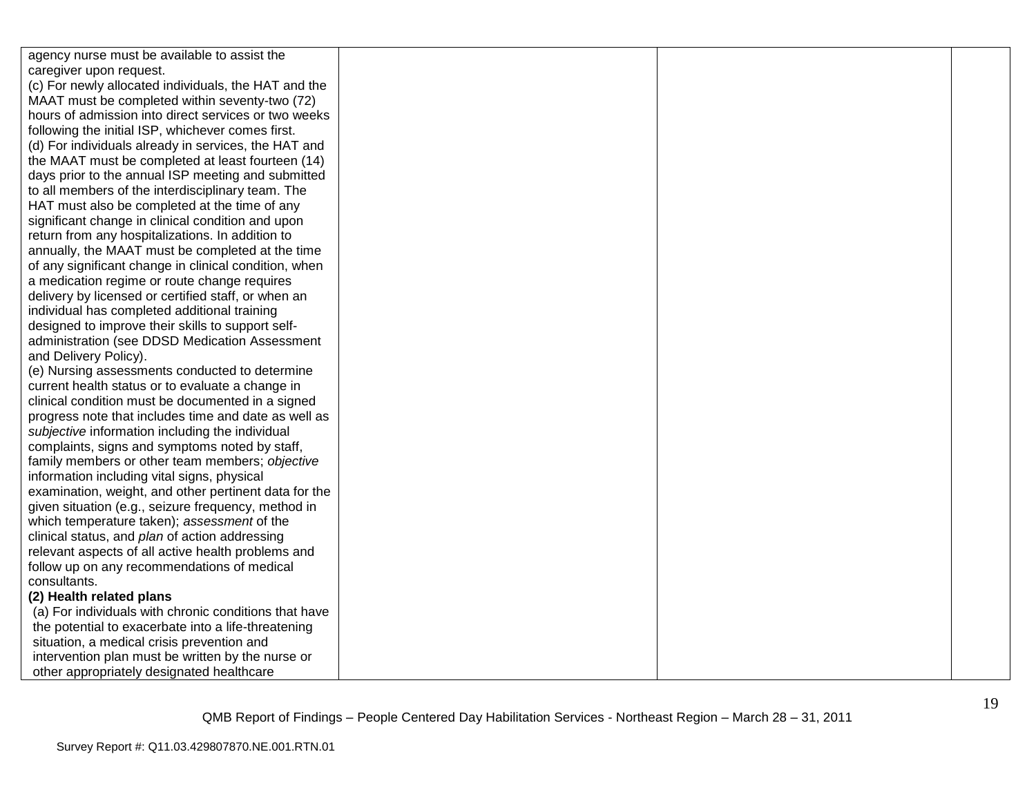| agency nurse must be available to assist the          |  |  |
|-------------------------------------------------------|--|--|
| caregiver upon request.                               |  |  |
| (c) For newly allocated individuals, the HAT and the  |  |  |
| MAAT must be completed within seventy-two (72)        |  |  |
| hours of admission into direct services or two weeks  |  |  |
| following the initial ISP, whichever comes first.     |  |  |
| (d) For individuals already in services, the HAT and  |  |  |
| the MAAT must be completed at least fourteen (14)     |  |  |
| days prior to the annual ISP meeting and submitted    |  |  |
| to all members of the interdisciplinary team. The     |  |  |
| HAT must also be completed at the time of any         |  |  |
| significant change in clinical condition and upon     |  |  |
| return from any hospitalizations. In addition to      |  |  |
| annually, the MAAT must be completed at the time      |  |  |
| of any significant change in clinical condition, when |  |  |
| a medication regime or route change requires          |  |  |
| delivery by licensed or certified staff, or when an   |  |  |
| individual has completed additional training          |  |  |
| designed to improve their skills to support self-     |  |  |
| administration (see DDSD Medication Assessment        |  |  |
| and Delivery Policy).                                 |  |  |
| (e) Nursing assessments conducted to determine        |  |  |
| current health status or to evaluate a change in      |  |  |
| clinical condition must be documented in a signed     |  |  |
| progress note that includes time and date as well as  |  |  |
| subjective information including the individual       |  |  |
| complaints, signs and symptoms noted by staff,        |  |  |
| family members or other team members; objective       |  |  |
| information including vital signs, physical           |  |  |
| examination, weight, and other pertinent data for the |  |  |
| given situation (e.g., seizure frequency, method in   |  |  |
| which temperature taken); assessment of the           |  |  |
| clinical status, and plan of action addressing        |  |  |
| relevant aspects of all active health problems and    |  |  |
| follow up on any recommendations of medical           |  |  |
| consultants.                                          |  |  |
| (2) Health related plans                              |  |  |
| (a) For individuals with chronic conditions that have |  |  |
| the potential to exacerbate into a life-threatening   |  |  |
| situation, a medical crisis prevention and            |  |  |
| intervention plan must be written by the nurse or     |  |  |
| other appropriately designated healthcare             |  |  |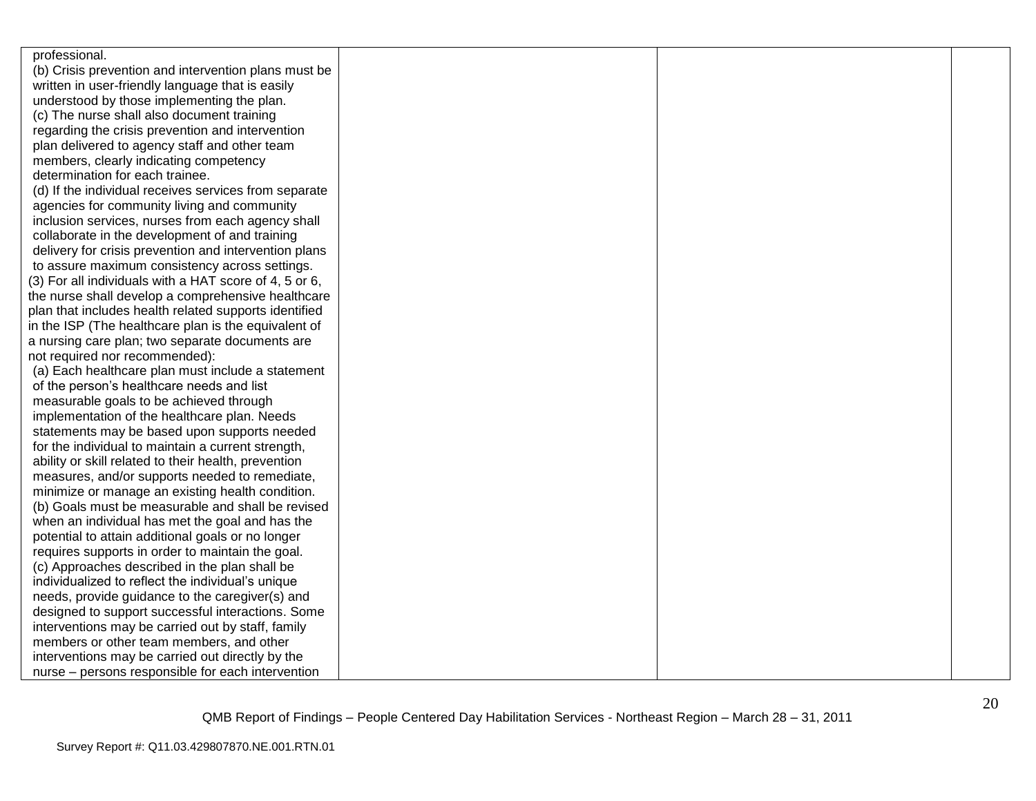| professional.                                          |  |  |
|--------------------------------------------------------|--|--|
| (b) Crisis prevention and intervention plans must be   |  |  |
| written in user-friendly language that is easily       |  |  |
| understood by those implementing the plan.             |  |  |
| (c) The nurse shall also document training             |  |  |
| regarding the crisis prevention and intervention       |  |  |
| plan delivered to agency staff and other team          |  |  |
| members, clearly indicating competency                 |  |  |
| determination for each trainee.                        |  |  |
| (d) If the individual receives services from separate  |  |  |
| agencies for community living and community            |  |  |
| inclusion services, nurses from each agency shall      |  |  |
| collaborate in the development of and training         |  |  |
| delivery for crisis prevention and intervention plans  |  |  |
| to assure maximum consistency across settings.         |  |  |
| (3) For all individuals with a HAT score of 4, 5 or 6, |  |  |
| the nurse shall develop a comprehensive healthcare     |  |  |
| plan that includes health related supports identified  |  |  |
| in the ISP (The healthcare plan is the equivalent of   |  |  |
| a nursing care plan; two separate documents are        |  |  |
| not required nor recommended):                         |  |  |
| (a) Each healthcare plan must include a statement      |  |  |
| of the person's healthcare needs and list              |  |  |
| measurable goals to be achieved through                |  |  |
| implementation of the healthcare plan. Needs           |  |  |
| statements may be based upon supports needed           |  |  |
| for the individual to maintain a current strength,     |  |  |
| ability or skill related to their health, prevention   |  |  |
| measures, and/or supports needed to remediate,         |  |  |
| minimize or manage an existing health condition.       |  |  |
| (b) Goals must be measurable and shall be revised      |  |  |
| when an individual has met the goal and has the        |  |  |
| potential to attain additional goals or no longer      |  |  |
| requires supports in order to maintain the goal.       |  |  |
| (c) Approaches described in the plan shall be          |  |  |
| individualized to reflect the individual's unique      |  |  |
| needs, provide guidance to the caregiver(s) and        |  |  |
| designed to support successful interactions. Some      |  |  |
| interventions may be carried out by staff, family      |  |  |
| members or other team members, and other               |  |  |
| interventions may be carried out directly by the       |  |  |
| nurse - persons responsible for each intervention      |  |  |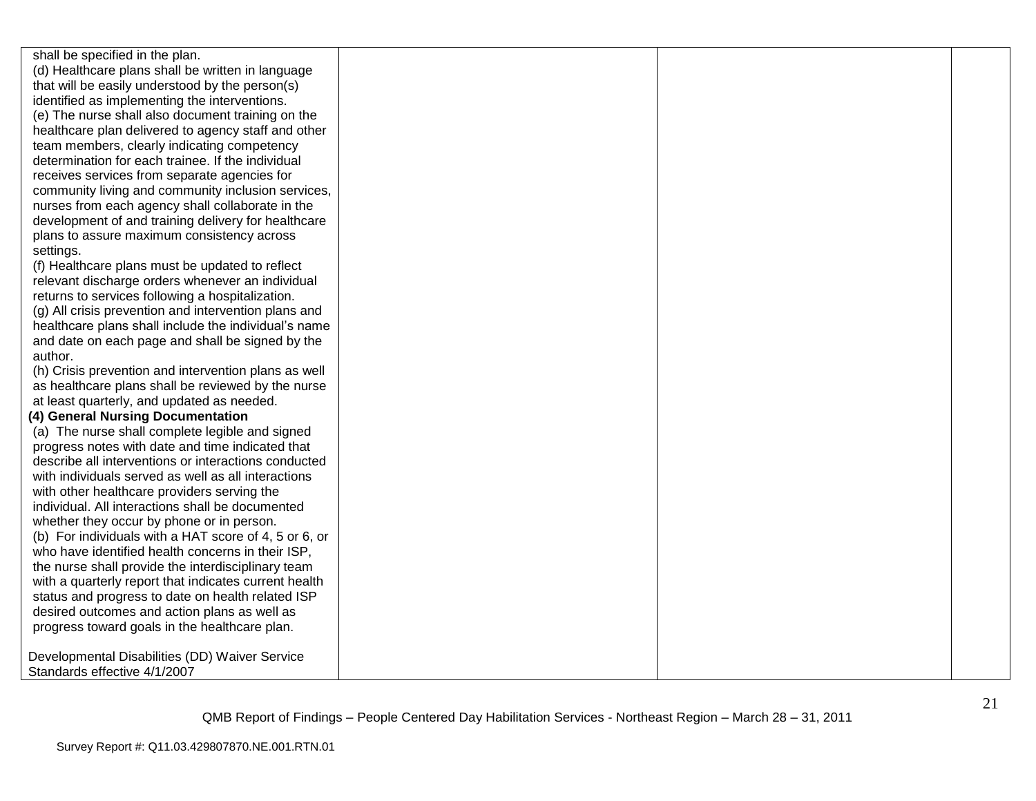shall be specified in the plan. (d) Healthcare plans shall be written in language that will be easily understood by the person(s) identified as implementing the interventions. (e) The nurse shall also document training on the healthcare plan delivered to agency staff and other team members, clearly indicating competency determination for each trainee. If the individual receives services from separate agencies for community living and community inclusion services, nurses from each agency shall collaborate in the development of and training delivery for healthcare plans to assure maximum consistency across settings.

(f) Healthcare plans must be updated to reflect relevant discharge orders whenever an individual returns to services following a hospitalization.

(g) All crisis prevention and intervention plans and healthcare plans shall include the individual's name and date on each page and shall be signed by the author.

(h) Crisis prevention and intervention plans as well as healthcare plans shall be reviewed by the nurse at least quarterly, and updated as needed.

## **(4) General Nursing Documentation**

(a) The nurse shall complete legible and signed progress notes with date and time indicated that describe all interventions or interactions conducted with individuals served as well as all interactions with other healthcare providers serving the individual. All interactions shall be documented whether they occur by phone or in person. (b) For individuals with a HAT score of 4, 5 or 6, or who have identified health concerns in their ISP, the nurse shall provide the interdisciplinary team with a quarterly report that indicates current health status and progress to date on health related ISP desired outcomes and action plans as well as progress toward goals in the healthcare plan.

Developmental Disabilities (DD) Waiver Service Standards effective 4/1/2007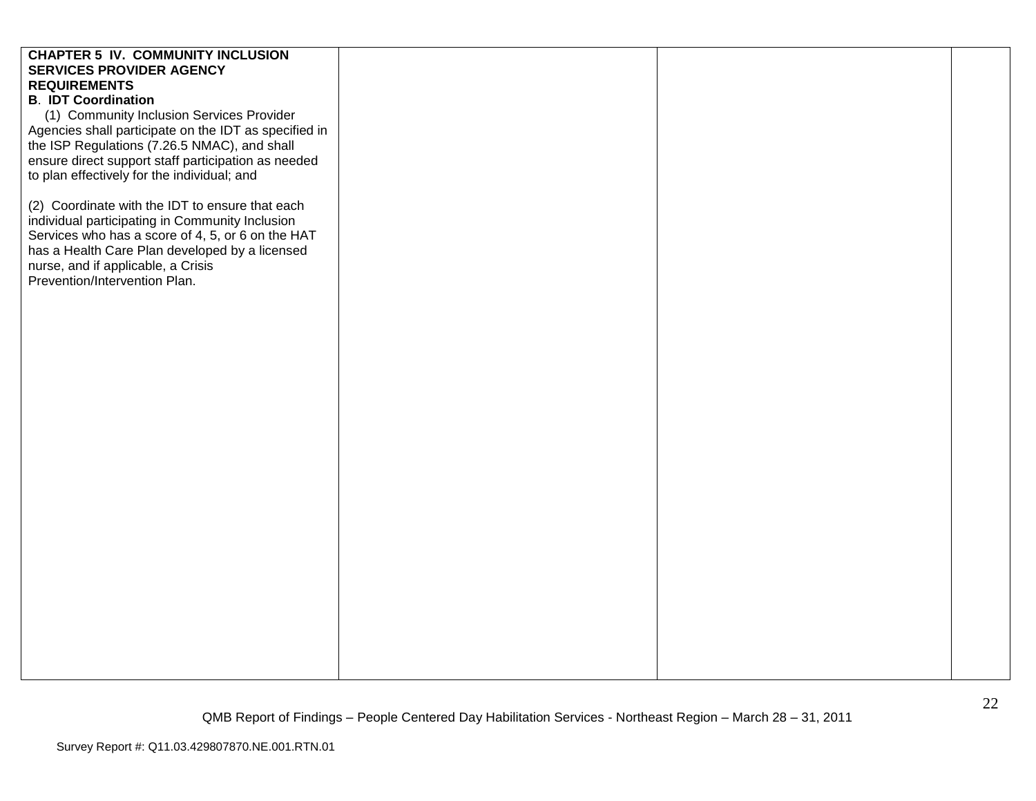# **CHAPTER 5 IV. COMMUNITY INCLUSION SERVICES PROVIDER AGENCY REQUIREMENTS B**. **IDT Coordination** (1) Community Inclusion Services Provider Agencies shall participate on the IDT as specified in the ISP Regulations (7.26.5 NMAC), and shall ensure direct support staff participation as needed to plan effectively for the individual; and (2) Coordinate with the IDT to ensure that each individual participating in Community Inclusion Services who has a score of 4, 5, or 6 on the HAT has a Health Care Plan developed by a licensed nurse, and if applicable, a Crisis Prevention/Intervention Plan.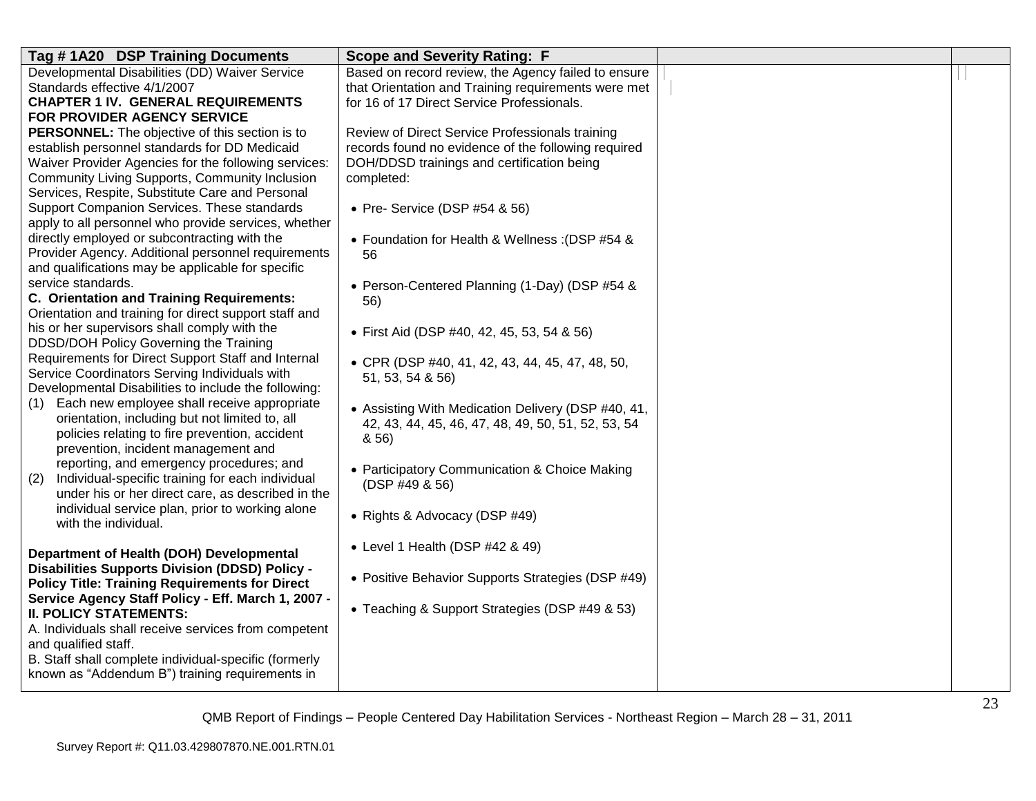| Tag #1A20 DSP Training Documents                                        | <b>Scope and Severity Rating: F</b>                        |  |
|-------------------------------------------------------------------------|------------------------------------------------------------|--|
| Developmental Disabilities (DD) Waiver Service                          | Based on record review, the Agency failed to ensure        |  |
| Standards effective 4/1/2007                                            | that Orientation and Training requirements were met        |  |
| <b>CHAPTER 1 IV. GENERAL REQUIREMENTS</b>                               | for 16 of 17 Direct Service Professionals.                 |  |
| FOR PROVIDER AGENCY SERVICE                                             |                                                            |  |
| PERSONNEL: The objective of this section is to                          | Review of Direct Service Professionals training            |  |
| establish personnel standards for DD Medicaid                           | records found no evidence of the following required        |  |
| Waiver Provider Agencies for the following services:                    | DOH/DDSD trainings and certification being                 |  |
| <b>Community Living Supports, Community Inclusion</b>                   | completed:                                                 |  |
| Services, Respite, Substitute Care and Personal                         |                                                            |  |
| Support Companion Services. These standards                             | • Pre- Service (DSP #54 & 56)                              |  |
| apply to all personnel who provide services, whether                    |                                                            |  |
| directly employed or subcontracting with the                            | • Foundation for Health & Wellness: (DSP #54 &             |  |
| Provider Agency. Additional personnel requirements                      | 56                                                         |  |
| and qualifications may be applicable for specific<br>service standards. |                                                            |  |
| C. Orientation and Training Requirements:                               | • Person-Centered Planning (1-Day) (DSP #54 &              |  |
| Orientation and training for direct support staff and                   | 56)                                                        |  |
| his or her supervisors shall comply with the                            |                                                            |  |
| DDSD/DOH Policy Governing the Training                                  | • First Aid (DSP #40, 42, 45, 53, 54 & 56)                 |  |
| Requirements for Direct Support Staff and Internal                      |                                                            |  |
| Service Coordinators Serving Individuals with                           | • CPR (DSP #40, 41, 42, 43, 44, 45, 47, 48, 50,            |  |
| Developmental Disabilities to include the following:                    | 51, 53, 54 & 56)                                           |  |
| Each new employee shall receive appropriate<br>(1)                      |                                                            |  |
| orientation, including but not limited to, all                          | • Assisting With Medication Delivery (DSP #40, 41,         |  |
| policies relating to fire prevention, accident                          | 42, 43, 44, 45, 46, 47, 48, 49, 50, 51, 52, 53, 54<br>8,56 |  |
| prevention, incident management and                                     |                                                            |  |
| reporting, and emergency procedures; and                                | • Participatory Communication & Choice Making              |  |
| Individual-specific training for each individual<br>(2)                 | (DSP #49 & 56)                                             |  |
| under his or her direct care, as described in the                       |                                                            |  |
| individual service plan, prior to working alone                         | • Rights & Advocacy (DSP #49)                              |  |
| with the individual.                                                    |                                                            |  |
|                                                                         | • Level 1 Health (DSP #42 & 49)                            |  |
| Department of Health (DOH) Developmental                                |                                                            |  |
| <b>Disabilities Supports Division (DDSD) Policy -</b>                   | • Positive Behavior Supports Strategies (DSP #49)          |  |
| <b>Policy Title: Training Requirements for Direct</b>                   |                                                            |  |
| Service Agency Staff Policy - Eff. March 1, 2007 -                      | • Teaching & Support Strategies (DSP #49 & 53)             |  |
| <b>II. POLICY STATEMENTS:</b>                                           |                                                            |  |
| A. Individuals shall receive services from competent                    |                                                            |  |
| and qualified staff.                                                    |                                                            |  |
| B. Staff shall complete individual-specific (formerly                   |                                                            |  |
| known as "Addendum B") training requirements in                         |                                                            |  |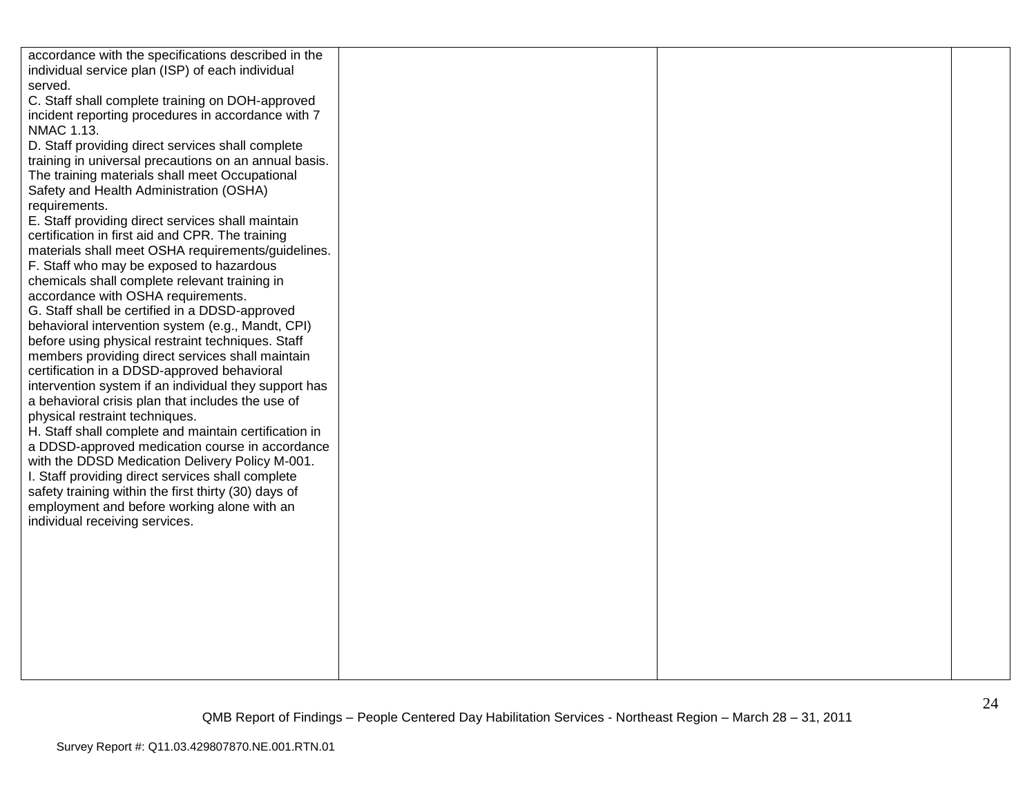| accordance with the specifications described in the   |  |  |
|-------------------------------------------------------|--|--|
| individual service plan (ISP) of each individual      |  |  |
| served.                                               |  |  |
| C. Staff shall complete training on DOH-approved      |  |  |
| incident reporting procedures in accordance with 7    |  |  |
| <b>NMAC 1.13.</b>                                     |  |  |
| D. Staff providing direct services shall complete     |  |  |
| training in universal precautions on an annual basis. |  |  |
| The training materials shall meet Occupational        |  |  |
| Safety and Health Administration (OSHA)               |  |  |
| requirements.                                         |  |  |
| E. Staff providing direct services shall maintain     |  |  |
| certification in first aid and CPR. The training      |  |  |
| materials shall meet OSHA requirements/guidelines.    |  |  |
| F. Staff who may be exposed to hazardous              |  |  |
| chemicals shall complete relevant training in         |  |  |
| accordance with OSHA requirements.                    |  |  |
| G. Staff shall be certified in a DDSD-approved        |  |  |
| behavioral intervention system (e.g., Mandt, CPI)     |  |  |
| before using physical restraint techniques. Staff     |  |  |
| members providing direct services shall maintain      |  |  |
| certification in a DDSD-approved behavioral           |  |  |
| intervention system if an individual they support has |  |  |
| a behavioral crisis plan that includes the use of     |  |  |
| physical restraint techniques.                        |  |  |
| H. Staff shall complete and maintain certification in |  |  |
| a DDSD-approved medication course in accordance       |  |  |
| with the DDSD Medication Delivery Policy M-001.       |  |  |
| I. Staff providing direct services shall complete     |  |  |
| safety training within the first thirty (30) days of  |  |  |
| employment and before working alone with an           |  |  |
| individual receiving services.                        |  |  |
|                                                       |  |  |
|                                                       |  |  |
|                                                       |  |  |
|                                                       |  |  |
|                                                       |  |  |
|                                                       |  |  |
|                                                       |  |  |
|                                                       |  |  |
|                                                       |  |  |
|                                                       |  |  |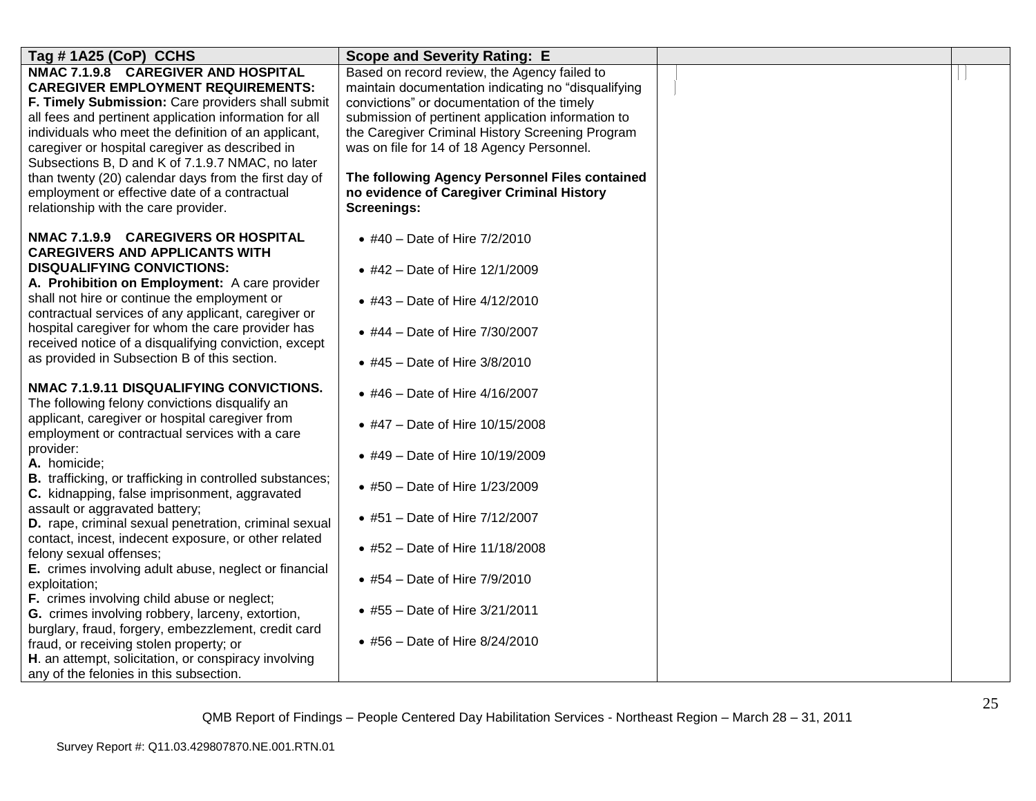| Tag # 1A25 (CoP) CCHS                                                                         | <b>Scope and Severity Rating: E</b>                      |  |
|-----------------------------------------------------------------------------------------------|----------------------------------------------------------|--|
| NMAC 7.1.9.8 CAREGIVER AND HOSPITAL                                                           | Based on record review, the Agency failed to             |  |
| <b>CAREGIVER EMPLOYMENT REQUIREMENTS:</b>                                                     | maintain documentation indicating no "disqualifying      |  |
| F. Timely Submission: Care providers shall submit                                             | convictions" or documentation of the timely              |  |
| all fees and pertinent application information for all                                        | submission of pertinent application information to       |  |
| individuals who meet the definition of an applicant,                                          | the Caregiver Criminal History Screening Program         |  |
| caregiver or hospital caregiver as described in                                               | was on file for 14 of 18 Agency Personnel.               |  |
| Subsections B, D and K of 7.1.9.7 NMAC, no later                                              |                                                          |  |
| than twenty (20) calendar days from the first day of                                          | The following Agency Personnel Files contained           |  |
| employment or effective date of a contractual<br>relationship with the care provider.         | no evidence of Caregiver Criminal History<br>Screenings: |  |
|                                                                                               |                                                          |  |
| NMAC 7.1.9.9 CAREGIVERS OR HOSPITAL<br><b>CAREGIVERS AND APPLICANTS WITH</b>                  | • #40 – Date of Hire $7/2/2010$                          |  |
| <b>DISQUALIFYING CONVICTIONS:</b>                                                             | • #42 - Date of Hire 12/1/2009                           |  |
| A. Prohibition on Employment: A care provider<br>shall not hire or continue the employment or |                                                          |  |
| contractual services of any applicant, caregiver or                                           | • #43 - Date of Hire 4/12/2010                           |  |
| hospital caregiver for whom the care provider has                                             |                                                          |  |
| received notice of a disqualifying conviction, except                                         | • #44 - Date of Hire 7/30/2007                           |  |
| as provided in Subsection B of this section.                                                  | • #45 - Date of Hire $3/8/2010$                          |  |
|                                                                                               |                                                          |  |
| NMAC 7.1.9.11 DISQUALIFYING CONVICTIONS.                                                      | • #46 – Date of Hire $4/16/2007$                         |  |
| The following felony convictions disqualify an                                                |                                                          |  |
| applicant, caregiver or hospital caregiver from                                               | • #47 - Date of Hire 10/15/2008                          |  |
| employment or contractual services with a care                                                |                                                          |  |
| provider:                                                                                     | • #49 - Date of Hire 10/19/2009                          |  |
| A. homicide;                                                                                  |                                                          |  |
| <b>B.</b> trafficking, or trafficking in controlled substances;                               | • #50 - Date of Hire 1/23/2009                           |  |
| C. kidnapping, false imprisonment, aggravated                                                 |                                                          |  |
| assault or aggravated battery;<br>D. rape, criminal sexual penetration, criminal sexual       | • #51 - Date of Hire 7/12/2007                           |  |
| contact, incest, indecent exposure, or other related                                          |                                                          |  |
| felony sexual offenses;                                                                       | • #52 – Date of Hire $11/18/2008$                        |  |
| E. crimes involving adult abuse, neglect or financial                                         |                                                          |  |
| exploitation;                                                                                 | • #54 - Date of Hire 7/9/2010                            |  |
| F. crimes involving child abuse or neglect;                                                   |                                                          |  |
| G. crimes involving robbery, larceny, extortion,                                              | • #55 - Date of Hire 3/21/2011                           |  |
| burglary, fraud, forgery, embezzlement, credit card                                           |                                                          |  |
| fraud, or receiving stolen property; or                                                       | • #56 - Date of Hire 8/24/2010                           |  |
| H. an attempt, solicitation, or conspiracy involving                                          |                                                          |  |
| any of the felonies in this subsection.                                                       |                                                          |  |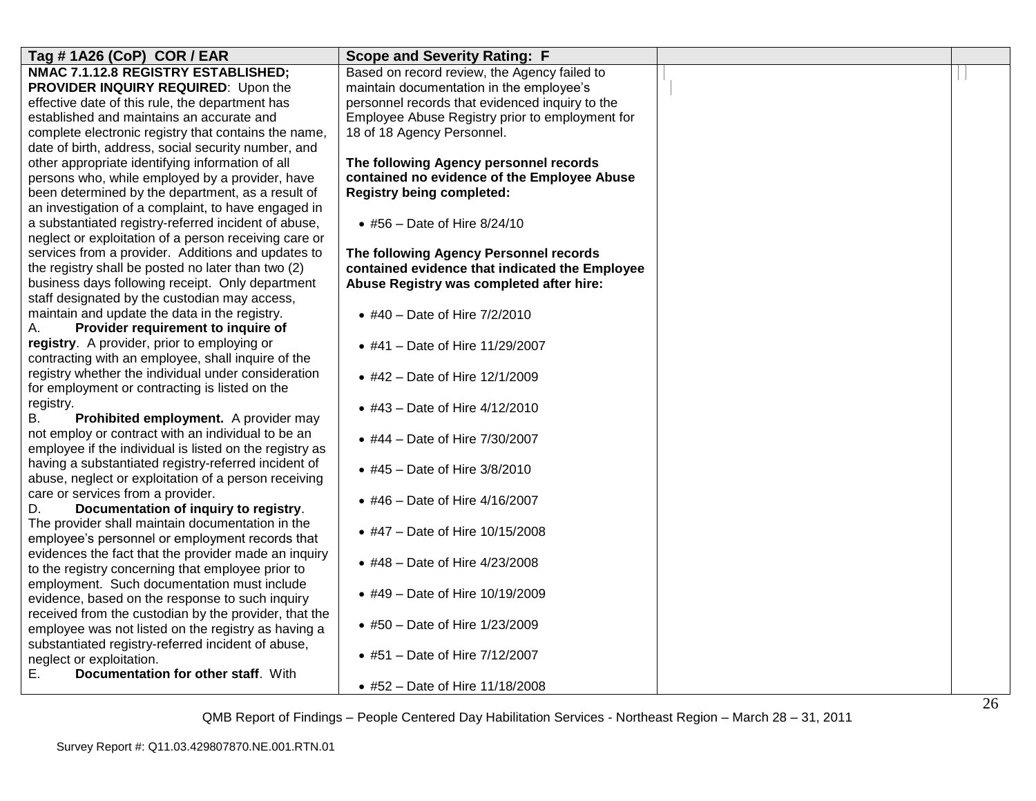| Tag #1A26 (CoP) COR / EAR                               | <b>Scope and Severity Rating: F</b>             |  |
|---------------------------------------------------------|-------------------------------------------------|--|
| NMAC 7.1.12.8 REGISTRY ESTABLISHED;                     | Based on record review, the Agency failed to    |  |
| PROVIDER INQUIRY REQUIRED: Upon the                     | maintain documentation in the employee's        |  |
| effective date of this rule, the department has         | personnel records that evidenced inquiry to the |  |
| established and maintains an accurate and               | Employee Abuse Registry prior to employment for |  |
| complete electronic registry that contains the name,    | 18 of 18 Agency Personnel.                      |  |
| date of birth, address, social security number, and     |                                                 |  |
| other appropriate identifying information of all        | The following Agency personnel records          |  |
| persons who, while employed by a provider, have         | contained no evidence of the Employee Abuse     |  |
| been determined by the department, as a result of       | <b>Registry being completed:</b>                |  |
| an investigation of a complaint, to have engaged in     |                                                 |  |
| a substantiated registry-referred incident of abuse,    | • #56 – Date of Hire $8/24/10$                  |  |
| neglect or exploitation of a person receiving care or   |                                                 |  |
| services from a provider. Additions and updates to      | The following Agency Personnel records          |  |
| the registry shall be posted no later than two (2)      | contained evidence that indicated the Employee  |  |
| business days following receipt. Only department        | Abuse Registry was completed after hire:        |  |
| staff designated by the custodian may access,           |                                                 |  |
| maintain and update the data in the registry.           | • #40 - Date of Hire 7/2/2010                   |  |
| Provider requirement to inquire of<br>А.                |                                                 |  |
| registry. A provider, prior to employing or             | • #41 - Date of Hire 11/29/2007                 |  |
| contracting with an employee, shall inquire of the      |                                                 |  |
| registry whether the individual under consideration     | • #42 - Date of Hire 12/1/2009                  |  |
| for employment or contracting is listed on the          |                                                 |  |
| registry.                                               | • #43 - Date of Hire 4/12/2010                  |  |
| В.<br>Prohibited employment. A provider may             |                                                 |  |
| not employ or contract with an individual to be an      | • #44 - Date of Hire 7/30/2007                  |  |
| employee if the individual is listed on the registry as |                                                 |  |
| having a substantiated registry-referred incident of    | • #45 - Date of Hire $3/8/2010$                 |  |
| abuse, neglect or exploitation of a person receiving    |                                                 |  |
| care or services from a provider.                       | • #46 - Date of Hire 4/16/2007                  |  |
| D.<br>Documentation of inquiry to registry.             |                                                 |  |
| The provider shall maintain documentation in the        | • #47 - Date of Hire 10/15/2008                 |  |
| employee's personnel or employment records that         |                                                 |  |
| evidences the fact that the provider made an inquiry    |                                                 |  |
| to the registry concerning that employee prior to       | • #48 - Date of Hire 4/23/2008                  |  |
| employment. Such documentation must include             |                                                 |  |
| evidence, based on the response to such inquiry         | • #49 - Date of Hire 10/19/2009                 |  |
| received from the custodian by the provider, that the   |                                                 |  |
| employee was not listed on the registry as having a     | • #50 - Date of Hire 1/23/2009                  |  |
| substantiated registry-referred incident of abuse,      |                                                 |  |
| neglect or exploitation.                                | • #51 - Date of Hire 7/12/2007                  |  |
| Ε.<br>Documentation for other staff. With               |                                                 |  |
|                                                         | • #52 - Date of Hire 11/18/2008                 |  |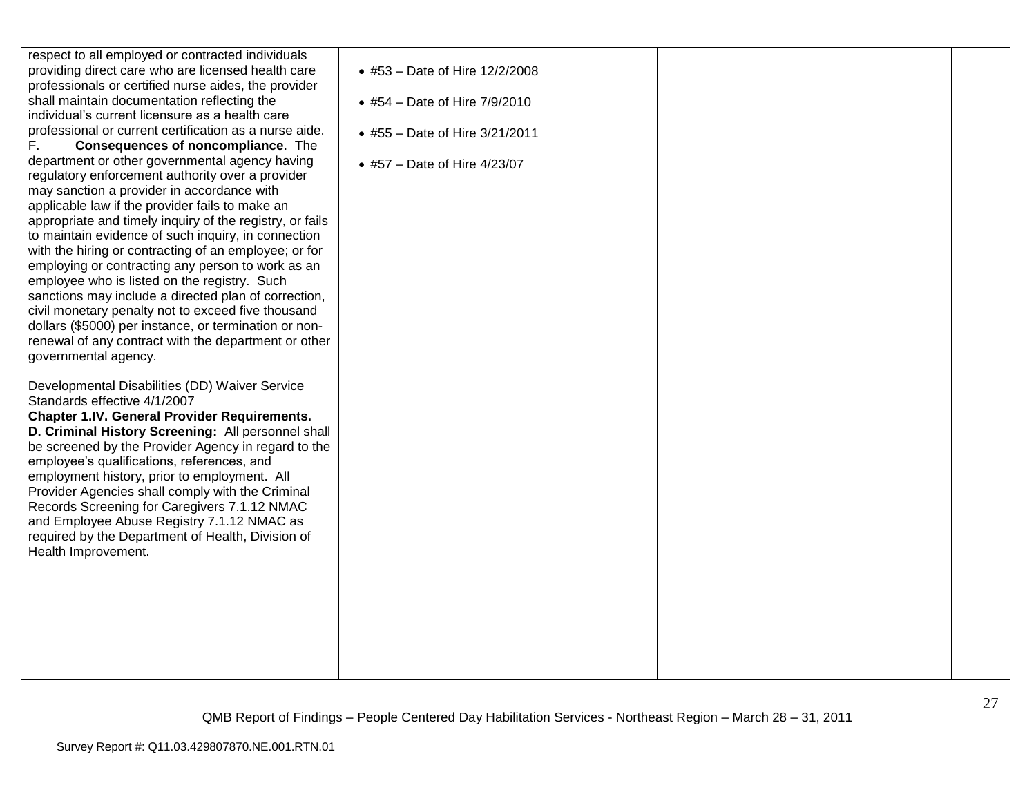| respect to all employed or contracted individuals        |                                 |  |
|----------------------------------------------------------|---------------------------------|--|
| providing direct care who are licensed health care       | • #53 - Date of Hire 12/2/2008  |  |
| professionals or certified nurse aides, the provider     |                                 |  |
| shall maintain documentation reflecting the              | • #54 – Date of Hire $7/9/2010$ |  |
| individual's current licensure as a health care          |                                 |  |
| professional or current certification as a nurse aide.   | • #55 - Date of Hire 3/21/2011  |  |
| F.,<br><b>Consequences of noncompliance.</b> The         |                                 |  |
| department or other governmental agency having           | • #57 – Date of Hire $4/23/07$  |  |
| regulatory enforcement authority over a provider         |                                 |  |
| may sanction a provider in accordance with               |                                 |  |
| applicable law if the provider fails to make an          |                                 |  |
| appropriate and timely inquiry of the registry, or fails |                                 |  |
| to maintain evidence of such inquiry, in connection      |                                 |  |
| with the hiring or contracting of an employee; or for    |                                 |  |
| employing or contracting any person to work as an        |                                 |  |
| employee who is listed on the registry. Such             |                                 |  |
| sanctions may include a directed plan of correction,     |                                 |  |
| civil monetary penalty not to exceed five thousand       |                                 |  |
| dollars (\$5000) per instance, or termination or non-    |                                 |  |
| renewal of any contract with the department or other     |                                 |  |
| governmental agency.                                     |                                 |  |
| Developmental Disabilities (DD) Waiver Service           |                                 |  |
| Standards effective 4/1/2007                             |                                 |  |
| <b>Chapter 1.IV. General Provider Requirements.</b>      |                                 |  |
| D. Criminal History Screening: All personnel shall       |                                 |  |
| be screened by the Provider Agency in regard to the      |                                 |  |
| employee's qualifications, references, and               |                                 |  |
| employment history, prior to employment. All             |                                 |  |
| Provider Agencies shall comply with the Criminal         |                                 |  |
| Records Screening for Caregivers 7.1.12 NMAC             |                                 |  |
| and Employee Abuse Registry 7.1.12 NMAC as               |                                 |  |
| required by the Department of Health, Division of        |                                 |  |
| Health Improvement.                                      |                                 |  |
|                                                          |                                 |  |
|                                                          |                                 |  |
|                                                          |                                 |  |
|                                                          |                                 |  |
|                                                          |                                 |  |
|                                                          |                                 |  |
|                                                          |                                 |  |
|                                                          |                                 |  |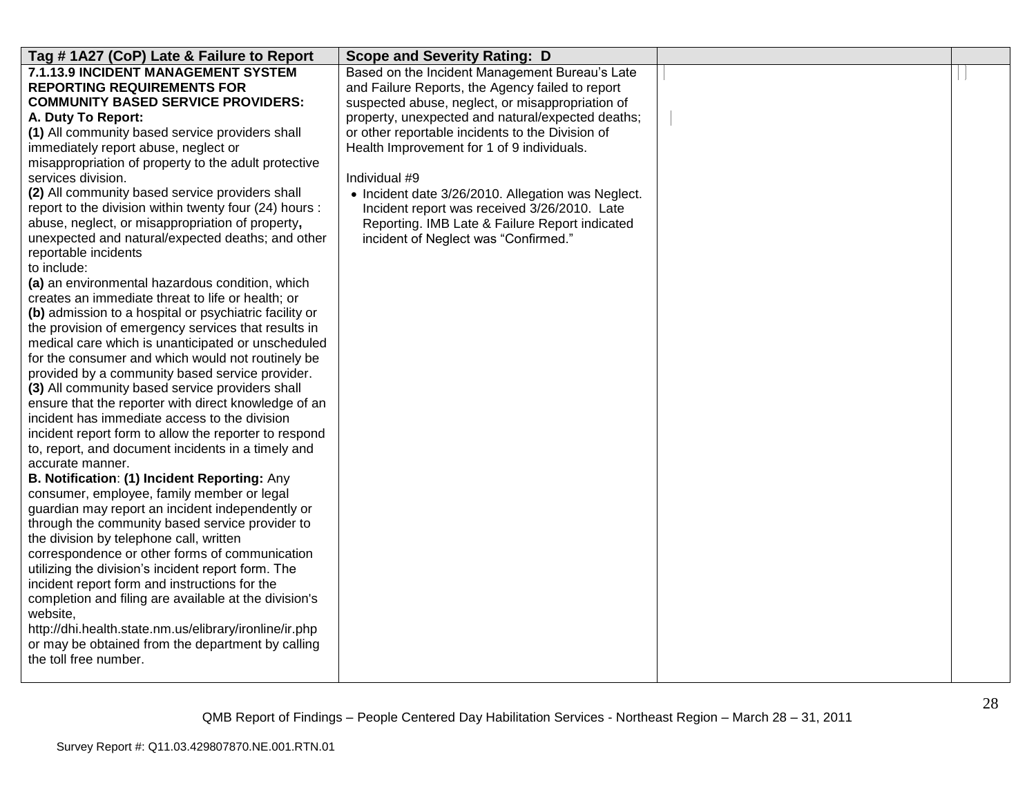| Tag #1A27 (CoP) Late & Failure to Report                                                             | <b>Scope and Severity Rating: D</b>                |  |
|------------------------------------------------------------------------------------------------------|----------------------------------------------------|--|
| 7.1.13.9 INCIDENT MANAGEMENT SYSTEM                                                                  | Based on the Incident Management Bureau's Late     |  |
| <b>REPORTING REQUIREMENTS FOR</b>                                                                    | and Failure Reports, the Agency failed to report   |  |
| <b>COMMUNITY BASED SERVICE PROVIDERS:</b>                                                            | suspected abuse, neglect, or misappropriation of   |  |
| A. Duty To Report:                                                                                   | property, unexpected and natural/expected deaths;  |  |
| (1) All community based service providers shall                                                      | or other reportable incidents to the Division of   |  |
| immediately report abuse, neglect or                                                                 | Health Improvement for 1 of 9 individuals.         |  |
| misappropriation of property to the adult protective                                                 |                                                    |  |
| services division.                                                                                   | Individual #9                                      |  |
| (2) All community based service providers shall                                                      | • Incident date 3/26/2010. Allegation was Neglect. |  |
| report to the division within twenty four (24) hours :                                               | Incident report was received 3/26/2010. Late       |  |
| abuse, neglect, or misappropriation of property,                                                     | Reporting. IMB Late & Failure Report indicated     |  |
| unexpected and natural/expected deaths; and other                                                    | incident of Neglect was "Confirmed."               |  |
| reportable incidents                                                                                 |                                                    |  |
| to include:                                                                                          |                                                    |  |
| (a) an environmental hazardous condition, which<br>creates an immediate threat to life or health; or |                                                    |  |
| (b) admission to a hospital or psychiatric facility or                                               |                                                    |  |
| the provision of emergency services that results in                                                  |                                                    |  |
| medical care which is unanticipated or unscheduled                                                   |                                                    |  |
| for the consumer and which would not routinely be                                                    |                                                    |  |
| provided by a community based service provider.                                                      |                                                    |  |
| (3) All community based service providers shall                                                      |                                                    |  |
| ensure that the reporter with direct knowledge of an                                                 |                                                    |  |
| incident has immediate access to the division                                                        |                                                    |  |
| incident report form to allow the reporter to respond                                                |                                                    |  |
| to, report, and document incidents in a timely and                                                   |                                                    |  |
| accurate manner.                                                                                     |                                                    |  |
| B. Notification: (1) Incident Reporting: Any                                                         |                                                    |  |
| consumer, employee, family member or legal                                                           |                                                    |  |
| guardian may report an incident independently or                                                     |                                                    |  |
| through the community based service provider to                                                      |                                                    |  |
| the division by telephone call, written                                                              |                                                    |  |
| correspondence or other forms of communication                                                       |                                                    |  |
| utilizing the division's incident report form. The                                                   |                                                    |  |
| incident report form and instructions for the                                                        |                                                    |  |
| completion and filing are available at the division's<br>website,                                    |                                                    |  |
| http://dhi.health.state.nm.us/elibrary/ironline/ir.php                                               |                                                    |  |
| or may be obtained from the department by calling                                                    |                                                    |  |
| the toll free number.                                                                                |                                                    |  |
|                                                                                                      |                                                    |  |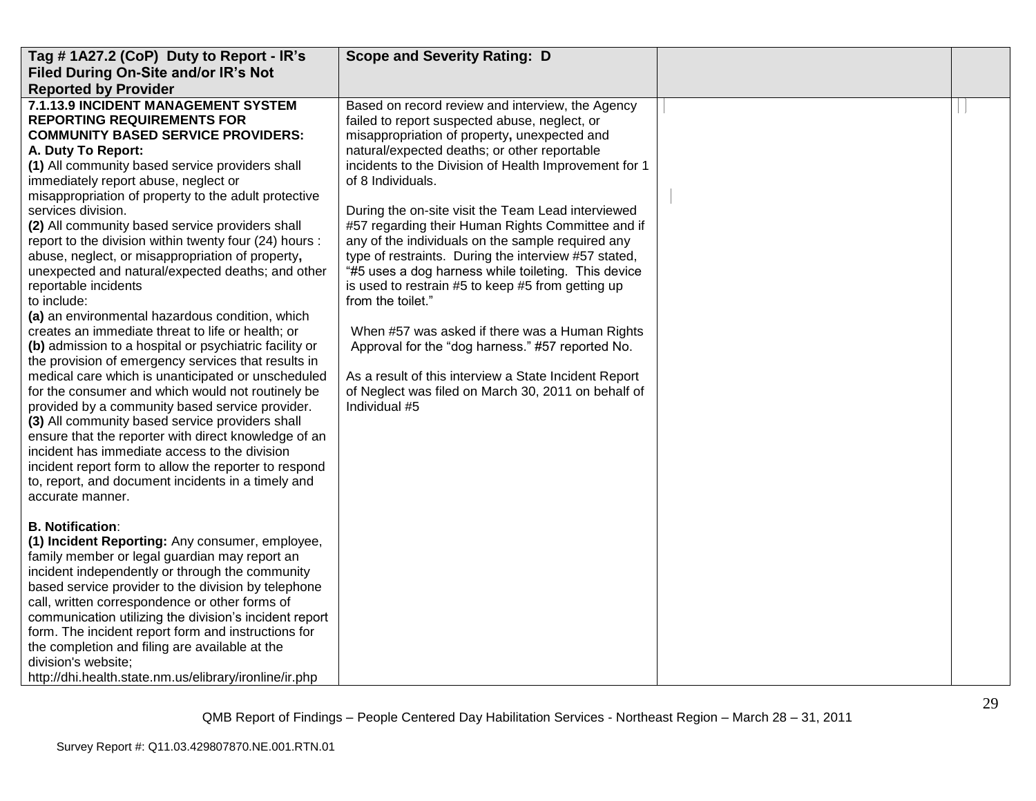| Tag #1A27.2 (CoP) Duty to Report - IR's                                                                                                                                                                                                                                                                                                                                                                                                                                                                                                                                                                                                                                                                                                                                                                                                                                                                                                                                                                                                                                                                                                                                                                                                                                 | <b>Scope and Severity Rating: D</b>                                                                                                                                                                                                                                                                                                                                                                                                                                                                                                                                                                                                                                                                                                                                                                                                                                             |  |
|-------------------------------------------------------------------------------------------------------------------------------------------------------------------------------------------------------------------------------------------------------------------------------------------------------------------------------------------------------------------------------------------------------------------------------------------------------------------------------------------------------------------------------------------------------------------------------------------------------------------------------------------------------------------------------------------------------------------------------------------------------------------------------------------------------------------------------------------------------------------------------------------------------------------------------------------------------------------------------------------------------------------------------------------------------------------------------------------------------------------------------------------------------------------------------------------------------------------------------------------------------------------------|---------------------------------------------------------------------------------------------------------------------------------------------------------------------------------------------------------------------------------------------------------------------------------------------------------------------------------------------------------------------------------------------------------------------------------------------------------------------------------------------------------------------------------------------------------------------------------------------------------------------------------------------------------------------------------------------------------------------------------------------------------------------------------------------------------------------------------------------------------------------------------|--|
| Filed During On-Site and/or IR's Not                                                                                                                                                                                                                                                                                                                                                                                                                                                                                                                                                                                                                                                                                                                                                                                                                                                                                                                                                                                                                                                                                                                                                                                                                                    |                                                                                                                                                                                                                                                                                                                                                                                                                                                                                                                                                                                                                                                                                                                                                                                                                                                                                 |  |
| <b>Reported by Provider</b>                                                                                                                                                                                                                                                                                                                                                                                                                                                                                                                                                                                                                                                                                                                                                                                                                                                                                                                                                                                                                                                                                                                                                                                                                                             |                                                                                                                                                                                                                                                                                                                                                                                                                                                                                                                                                                                                                                                                                                                                                                                                                                                                                 |  |
| 7.1.13.9 INCIDENT MANAGEMENT SYSTEM<br><b>REPORTING REQUIREMENTS FOR</b><br><b>COMMUNITY BASED SERVICE PROVIDERS:</b><br>A. Duty To Report:<br>(1) All community based service providers shall<br>immediately report abuse, neglect or<br>misappropriation of property to the adult protective<br>services division.<br>(2) All community based service providers shall<br>report to the division within twenty four (24) hours :<br>abuse, neglect, or misappropriation of property,<br>unexpected and natural/expected deaths; and other<br>reportable incidents<br>to include:<br>(a) an environmental hazardous condition, which<br>creates an immediate threat to life or health; or<br>(b) admission to a hospital or psychiatric facility or<br>the provision of emergency services that results in<br>medical care which is unanticipated or unscheduled<br>for the consumer and which would not routinely be<br>provided by a community based service provider.<br>(3) All community based service providers shall<br>ensure that the reporter with direct knowledge of an<br>incident has immediate access to the division<br>incident report form to allow the reporter to respond<br>to, report, and document incidents in a timely and<br>accurate manner. | Based on record review and interview, the Agency<br>failed to report suspected abuse, neglect, or<br>misappropriation of property, unexpected and<br>natural/expected deaths; or other reportable<br>incidents to the Division of Health Improvement for 1<br>of 8 Individuals.<br>During the on-site visit the Team Lead interviewed<br>#57 regarding their Human Rights Committee and if<br>any of the individuals on the sample required any<br>type of restraints. During the interview #57 stated,<br>"#5 uses a dog harness while toileting. This device<br>is used to restrain #5 to keep #5 from getting up<br>from the toilet."<br>When #57 was asked if there was a Human Rights<br>Approval for the "dog harness." #57 reported No.<br>As a result of this interview a State Incident Report<br>of Neglect was filed on March 30, 2011 on behalf of<br>Individual #5 |  |
| <b>B. Notification:</b><br>(1) Incident Reporting: Any consumer, employee,<br>family member or legal guardian may report an<br>incident independently or through the community<br>based service provider to the division by telephone<br>call, written correspondence or other forms of<br>communication utilizing the division's incident report<br>form. The incident report form and instructions for<br>the completion and filing are available at the<br>division's website;<br>http://dhi.health.state.nm.us/elibrary/ironline/ir.php                                                                                                                                                                                                                                                                                                                                                                                                                                                                                                                                                                                                                                                                                                                             |                                                                                                                                                                                                                                                                                                                                                                                                                                                                                                                                                                                                                                                                                                                                                                                                                                                                                 |  |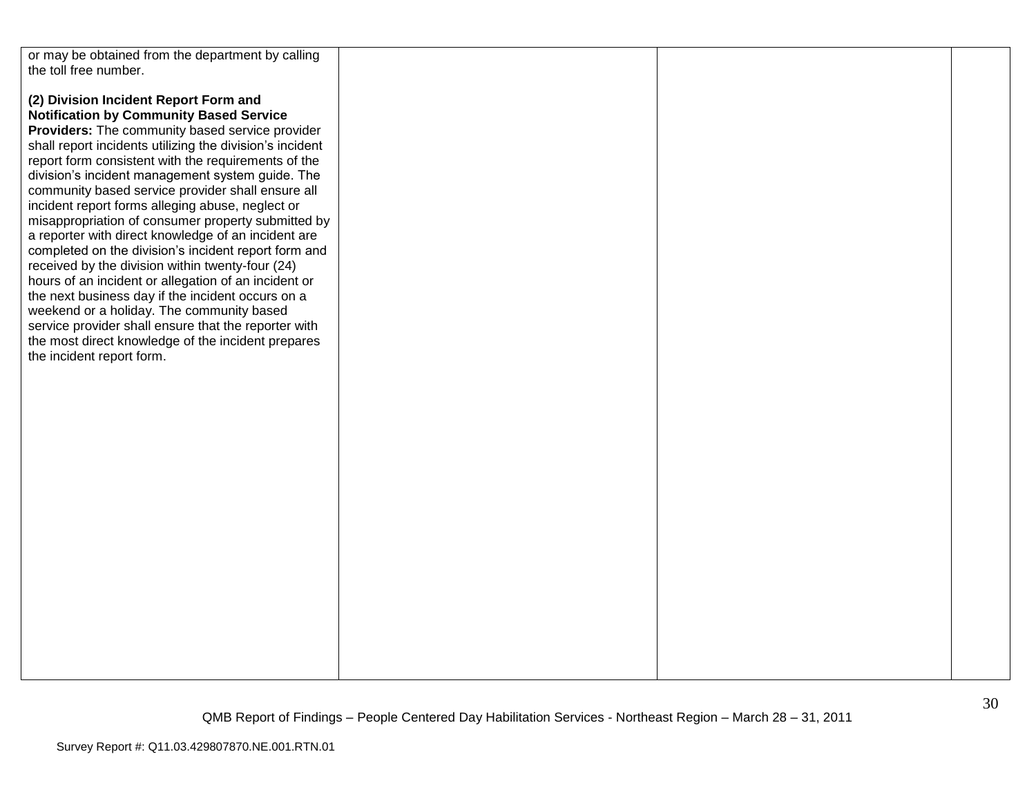| or may be obtained from the department by calling        |  |  |
|----------------------------------------------------------|--|--|
| the toll free number.                                    |  |  |
|                                                          |  |  |
| (2) Division Incident Report Form and                    |  |  |
|                                                          |  |  |
| <b>Notification by Community Based Service</b>           |  |  |
| Providers: The community based service provider          |  |  |
| shall report incidents utilizing the division's incident |  |  |
| report form consistent with the requirements of the      |  |  |
| division's incident management system guide. The         |  |  |
| community based service provider shall ensure all        |  |  |
| incident report forms alleging abuse, neglect or         |  |  |
| misappropriation of consumer property submitted by       |  |  |
| a reporter with direct knowledge of an incident are      |  |  |
| completed on the division's incident report form and     |  |  |
|                                                          |  |  |
| received by the division within twenty-four (24)         |  |  |
| hours of an incident or allegation of an incident or     |  |  |
| the next business day if the incident occurs on a        |  |  |
| weekend or a holiday. The community based                |  |  |
| service provider shall ensure that the reporter with     |  |  |
| the most direct knowledge of the incident prepares       |  |  |
| the incident report form.                                |  |  |
|                                                          |  |  |
|                                                          |  |  |
|                                                          |  |  |
|                                                          |  |  |
|                                                          |  |  |
|                                                          |  |  |
|                                                          |  |  |
|                                                          |  |  |
|                                                          |  |  |
|                                                          |  |  |
|                                                          |  |  |
|                                                          |  |  |
|                                                          |  |  |
|                                                          |  |  |
|                                                          |  |  |
|                                                          |  |  |
|                                                          |  |  |
|                                                          |  |  |
|                                                          |  |  |
|                                                          |  |  |
|                                                          |  |  |
|                                                          |  |  |
|                                                          |  |  |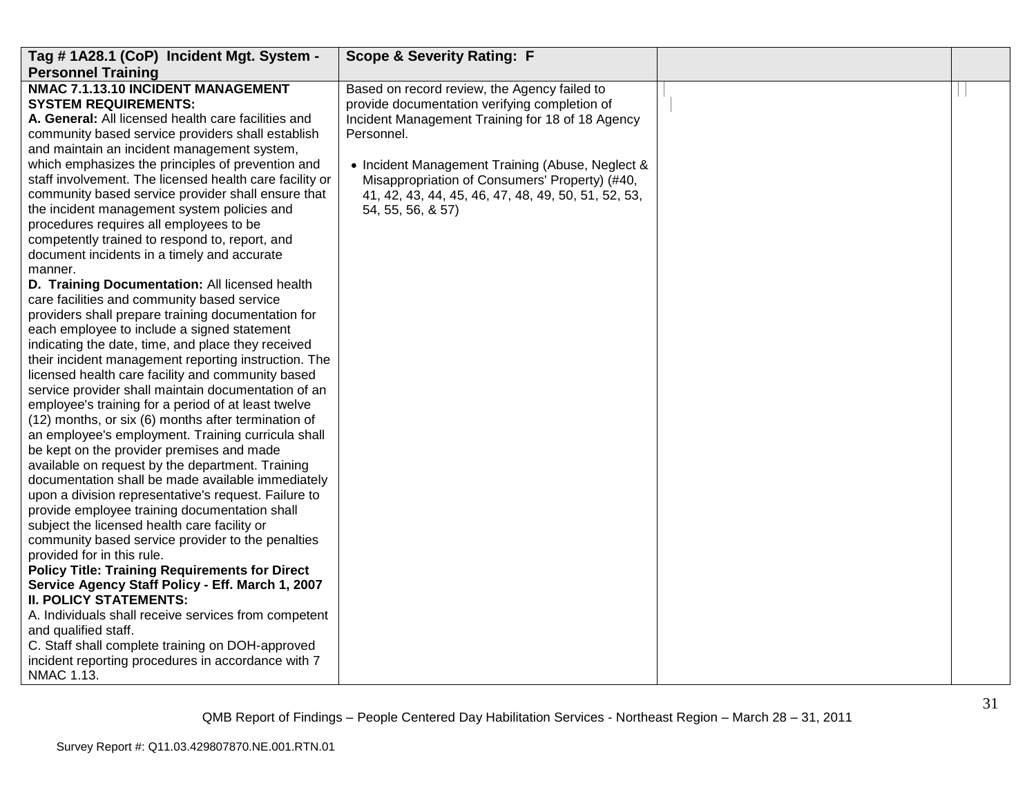| Tag # 1A28.1 (CoP) Incident Mgt. System -               | <b>Scope &amp; Severity Rating: F</b>               |  |
|---------------------------------------------------------|-----------------------------------------------------|--|
| <b>Personnel Training</b>                               |                                                     |  |
| NMAC 7.1.13.10 INCIDENT MANAGEMENT                      | Based on record review, the Agency failed to        |  |
| <b>SYSTEM REQUIREMENTS:</b>                             | provide documentation verifying completion of       |  |
| A. General: All licensed health care facilities and     | Incident Management Training for 18 of 18 Agency    |  |
| community based service providers shall establish       | Personnel.                                          |  |
| and maintain an incident management system,             |                                                     |  |
| which emphasizes the principles of prevention and       | • Incident Management Training (Abuse, Neglect &    |  |
| staff involvement. The licensed health care facility or | Misappropriation of Consumers' Property) (#40,      |  |
| community based service provider shall ensure that      | 41, 42, 43, 44, 45, 46, 47, 48, 49, 50, 51, 52, 53, |  |
| the incident management system policies and             | 54, 55, 56, & 57)                                   |  |
| procedures requires all employees to be                 |                                                     |  |
| competently trained to respond to, report, and          |                                                     |  |
| document incidents in a timely and accurate             |                                                     |  |
| manner.                                                 |                                                     |  |
| D. Training Documentation: All licensed health          |                                                     |  |
| care facilities and community based service             |                                                     |  |
| providers shall prepare training documentation for      |                                                     |  |
| each employee to include a signed statement             |                                                     |  |
| indicating the date, time, and place they received      |                                                     |  |
| their incident management reporting instruction. The    |                                                     |  |
| licensed health care facility and community based       |                                                     |  |
| service provider shall maintain documentation of an     |                                                     |  |
| employee's training for a period of at least twelve     |                                                     |  |
| (12) months, or six (6) months after termination of     |                                                     |  |
| an employee's employment. Training curricula shall      |                                                     |  |
| be kept on the provider premises and made               |                                                     |  |
| available on request by the department. Training        |                                                     |  |
| documentation shall be made available immediately       |                                                     |  |
| upon a division representative's request. Failure to    |                                                     |  |
| provide employee training documentation shall           |                                                     |  |
| subject the licensed health care facility or            |                                                     |  |
| community based service provider to the penalties       |                                                     |  |
| provided for in this rule.                              |                                                     |  |
| <b>Policy Title: Training Requirements for Direct</b>   |                                                     |  |
| Service Agency Staff Policy - Eff. March 1, 2007        |                                                     |  |
| <b>II. POLICY STATEMENTS:</b>                           |                                                     |  |
| A. Individuals shall receive services from competent    |                                                     |  |
| and qualified staff.                                    |                                                     |  |
| C. Staff shall complete training on DOH-approved        |                                                     |  |
| incident reporting procedures in accordance with 7      |                                                     |  |
| NMAC 1.13.                                              |                                                     |  |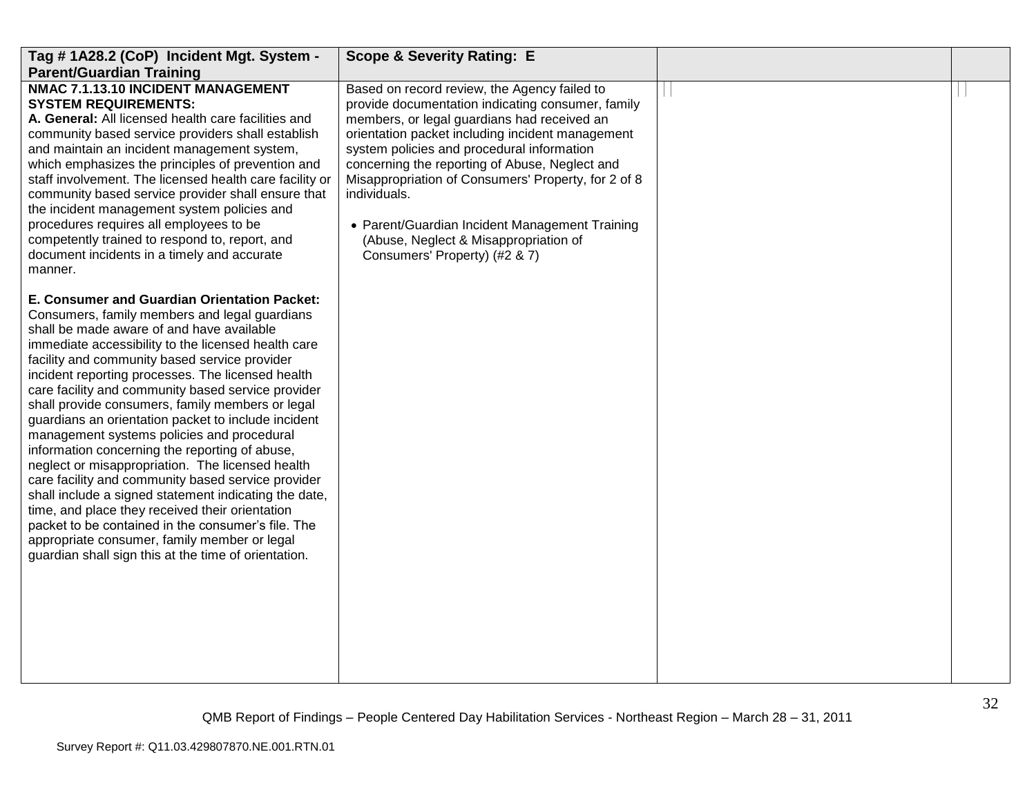| Tag #1A28.2 (CoP) Incident Mgt. System -<br><b>Parent/Guardian Training</b>                                                                                                                                                                                                                                                                                                                                                                                                                                                                                                                                                                                                                                                                                                                                                                                                                                                                                  | <b>Scope &amp; Severity Rating: E</b>                                                                                                                                                                                                                                                                                                                                                                                                                                                                   |  |
|--------------------------------------------------------------------------------------------------------------------------------------------------------------------------------------------------------------------------------------------------------------------------------------------------------------------------------------------------------------------------------------------------------------------------------------------------------------------------------------------------------------------------------------------------------------------------------------------------------------------------------------------------------------------------------------------------------------------------------------------------------------------------------------------------------------------------------------------------------------------------------------------------------------------------------------------------------------|---------------------------------------------------------------------------------------------------------------------------------------------------------------------------------------------------------------------------------------------------------------------------------------------------------------------------------------------------------------------------------------------------------------------------------------------------------------------------------------------------------|--|
| NMAC 7.1.13.10 INCIDENT MANAGEMENT<br><b>SYSTEM REQUIREMENTS:</b><br>A. General: All licensed health care facilities and<br>community based service providers shall establish<br>and maintain an incident management system,<br>which emphasizes the principles of prevention and<br>staff involvement. The licensed health care facility or<br>community based service provider shall ensure that<br>the incident management system policies and<br>procedures requires all employees to be<br>competently trained to respond to, report, and<br>document incidents in a timely and accurate<br>manner.                                                                                                                                                                                                                                                                                                                                                     | Based on record review, the Agency failed to<br>provide documentation indicating consumer, family<br>members, or legal guardians had received an<br>orientation packet including incident management<br>system policies and procedural information<br>concerning the reporting of Abuse, Neglect and<br>Misappropriation of Consumers' Property, for 2 of 8<br>individuals.<br>• Parent/Guardian Incident Management Training<br>(Abuse, Neglect & Misappropriation of<br>Consumers' Property) (#2 & 7) |  |
| E. Consumer and Guardian Orientation Packet:<br>Consumers, family members and legal guardians<br>shall be made aware of and have available<br>immediate accessibility to the licensed health care<br>facility and community based service provider<br>incident reporting processes. The licensed health<br>care facility and community based service provider<br>shall provide consumers, family members or legal<br>guardians an orientation packet to include incident<br>management systems policies and procedural<br>information concerning the reporting of abuse,<br>neglect or misappropriation. The licensed health<br>care facility and community based service provider<br>shall include a signed statement indicating the date,<br>time, and place they received their orientation<br>packet to be contained in the consumer's file. The<br>appropriate consumer, family member or legal<br>guardian shall sign this at the time of orientation. |                                                                                                                                                                                                                                                                                                                                                                                                                                                                                                         |  |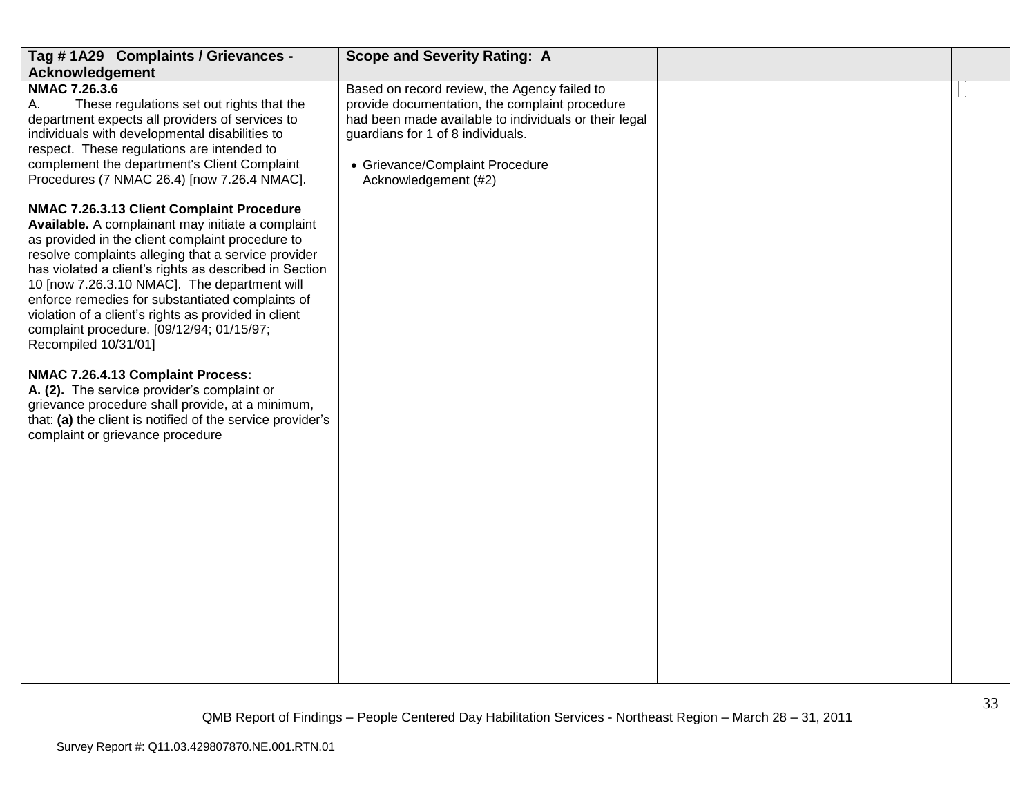| Tag #1A29 Complaints / Grievances -                                                                                                                                                                                                                                                                                                                                                                                                                                                                  | <b>Scope and Severity Rating: A</b>                                                                                                                                                                                                                     |  |
|------------------------------------------------------------------------------------------------------------------------------------------------------------------------------------------------------------------------------------------------------------------------------------------------------------------------------------------------------------------------------------------------------------------------------------------------------------------------------------------------------|---------------------------------------------------------------------------------------------------------------------------------------------------------------------------------------------------------------------------------------------------------|--|
| Acknowledgement                                                                                                                                                                                                                                                                                                                                                                                                                                                                                      |                                                                                                                                                                                                                                                         |  |
| <b>NMAC 7.26.3.6</b><br>These regulations set out rights that the<br>А.<br>department expects all providers of services to<br>individuals with developmental disabilities to<br>respect. These regulations are intended to<br>complement the department's Client Complaint<br>Procedures (7 NMAC 26.4) [now 7.26.4 NMAC].                                                                                                                                                                            | Based on record review, the Agency failed to<br>provide documentation, the complaint procedure<br>had been made available to individuals or their legal<br>guardians for 1 of 8 individuals.<br>• Grievance/Complaint Procedure<br>Acknowledgement (#2) |  |
| NMAC 7.26.3.13 Client Complaint Procedure<br>Available. A complainant may initiate a complaint<br>as provided in the client complaint procedure to<br>resolve complaints alleging that a service provider<br>has violated a client's rights as described in Section<br>10 [now 7.26.3.10 NMAC]. The department will<br>enforce remedies for substantiated complaints of<br>violation of a client's rights as provided in client<br>complaint procedure. [09/12/94; 01/15/97;<br>Recompiled 10/31/01] |                                                                                                                                                                                                                                                         |  |
| NMAC 7.26.4.13 Complaint Process:<br>A. (2). The service provider's complaint or<br>grievance procedure shall provide, at a minimum,<br>that: (a) the client is notified of the service provider's<br>complaint or grievance procedure                                                                                                                                                                                                                                                               |                                                                                                                                                                                                                                                         |  |
|                                                                                                                                                                                                                                                                                                                                                                                                                                                                                                      |                                                                                                                                                                                                                                                         |  |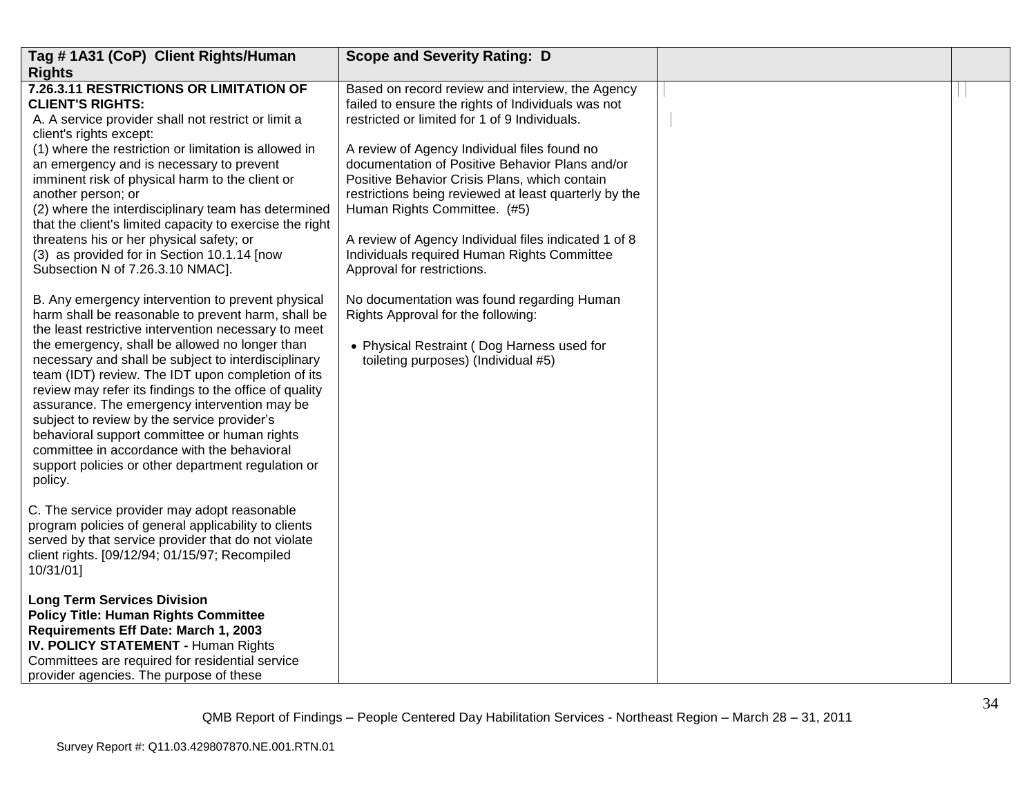| Tag #1A31 (CoP) Client Rights/Human                                                                                                                                                                                                                                                                                                                                                                                                                                                                                                                                                                                                                    | <b>Scope and Severity Rating: D</b>                                                                                                                                                                                                                                                                                                                                                                                                                                                                                                       |  |
|--------------------------------------------------------------------------------------------------------------------------------------------------------------------------------------------------------------------------------------------------------------------------------------------------------------------------------------------------------------------------------------------------------------------------------------------------------------------------------------------------------------------------------------------------------------------------------------------------------------------------------------------------------|-------------------------------------------------------------------------------------------------------------------------------------------------------------------------------------------------------------------------------------------------------------------------------------------------------------------------------------------------------------------------------------------------------------------------------------------------------------------------------------------------------------------------------------------|--|
| <b>Rights</b>                                                                                                                                                                                                                                                                                                                                                                                                                                                                                                                                                                                                                                          |                                                                                                                                                                                                                                                                                                                                                                                                                                                                                                                                           |  |
| 7.26.3.11 RESTRICTIONS OR LIMITATION OF<br><b>CLIENT'S RIGHTS:</b><br>A. A service provider shall not restrict or limit a<br>client's rights except:<br>(1) where the restriction or limitation is allowed in<br>an emergency and is necessary to prevent<br>imminent risk of physical harm to the client or<br>another person; or<br>(2) where the interdisciplinary team has determined<br>that the client's limited capacity to exercise the right<br>threatens his or her physical safety; or<br>(3) as provided for in Section 10.1.14 [now<br>Subsection N of 7.26.3.10 NMAC].                                                                   | Based on record review and interview, the Agency<br>failed to ensure the rights of Individuals was not<br>restricted or limited for 1 of 9 Individuals.<br>A review of Agency Individual files found no<br>documentation of Positive Behavior Plans and/or<br>Positive Behavior Crisis Plans, which contain<br>restrictions being reviewed at least quarterly by the<br>Human Rights Committee. (#5)<br>A review of Agency Individual files indicated 1 of 8<br>Individuals required Human Rights Committee<br>Approval for restrictions. |  |
| B. Any emergency intervention to prevent physical<br>harm shall be reasonable to prevent harm, shall be<br>the least restrictive intervention necessary to meet<br>the emergency, shall be allowed no longer than<br>necessary and shall be subject to interdisciplinary<br>team (IDT) review. The IDT upon completion of its<br>review may refer its findings to the office of quality<br>assurance. The emergency intervention may be<br>subject to review by the service provider's<br>behavioral support committee or human rights<br>committee in accordance with the behavioral<br>support policies or other department regulation or<br>policy. | No documentation was found regarding Human<br>Rights Approval for the following:<br>• Physical Restraint (Dog Harness used for<br>toileting purposes) (Individual #5)                                                                                                                                                                                                                                                                                                                                                                     |  |
| C. The service provider may adopt reasonable<br>program policies of general applicability to clients<br>served by that service provider that do not violate<br>client rights. [09/12/94; 01/15/97; Recompiled<br>10/31/01]                                                                                                                                                                                                                                                                                                                                                                                                                             |                                                                                                                                                                                                                                                                                                                                                                                                                                                                                                                                           |  |
| <b>Long Term Services Division</b><br><b>Policy Title: Human Rights Committee</b><br>Requirements Eff Date: March 1, 2003<br>IV. POLICY STATEMENT - Human Rights<br>Committees are required for residential service<br>provider agencies. The purpose of these                                                                                                                                                                                                                                                                                                                                                                                         |                                                                                                                                                                                                                                                                                                                                                                                                                                                                                                                                           |  |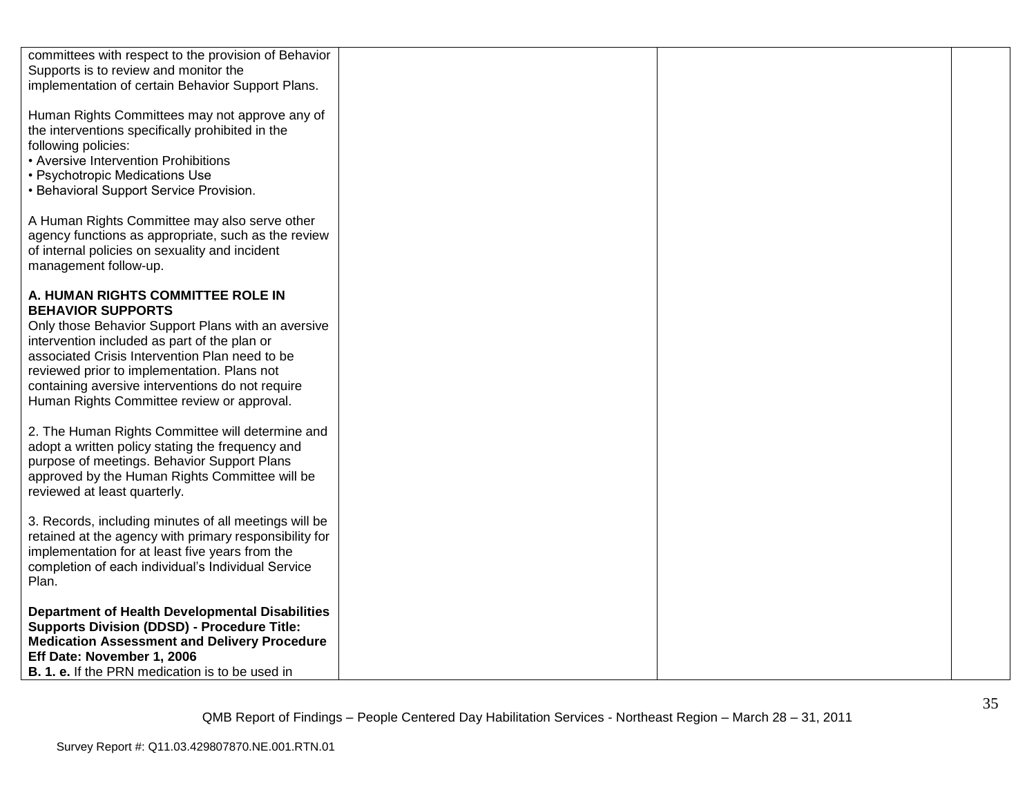| committees with respect to the provision of Behavior<br>Supports is to review and monitor the<br>implementation of certain Behavior Support Plans.                                                                                                                                                                                                                     |  |
|------------------------------------------------------------------------------------------------------------------------------------------------------------------------------------------------------------------------------------------------------------------------------------------------------------------------------------------------------------------------|--|
| Human Rights Committees may not approve any of<br>the interventions specifically prohibited in the<br>following policies:<br>• Aversive Intervention Prohibitions<br>• Psychotropic Medications Use<br>• Behavioral Support Service Provision.                                                                                                                         |  |
| A Human Rights Committee may also serve other<br>agency functions as appropriate, such as the review<br>of internal policies on sexuality and incident<br>management follow-up.                                                                                                                                                                                        |  |
| A. HUMAN RIGHTS COMMITTEE ROLE IN<br><b>BEHAVIOR SUPPORTS</b><br>Only those Behavior Support Plans with an aversive<br>intervention included as part of the plan or<br>associated Crisis Intervention Plan need to be<br>reviewed prior to implementation. Plans not<br>containing aversive interventions do not require<br>Human Rights Committee review or approval. |  |
| 2. The Human Rights Committee will determine and<br>adopt a written policy stating the frequency and<br>purpose of meetings. Behavior Support Plans<br>approved by the Human Rights Committee will be<br>reviewed at least quarterly.                                                                                                                                  |  |
| 3. Records, including minutes of all meetings will be<br>retained at the agency with primary responsibility for<br>implementation for at least five years from the<br>completion of each individual's Individual Service<br>Plan.                                                                                                                                      |  |
| <b>Department of Health Developmental Disabilities</b><br><b>Supports Division (DDSD) - Procedure Title:</b><br><b>Medication Assessment and Delivery Procedure</b><br>Eff Date: November 1, 2006<br><b>B. 1. e.</b> If the PRN medication is to be used in                                                                                                            |  |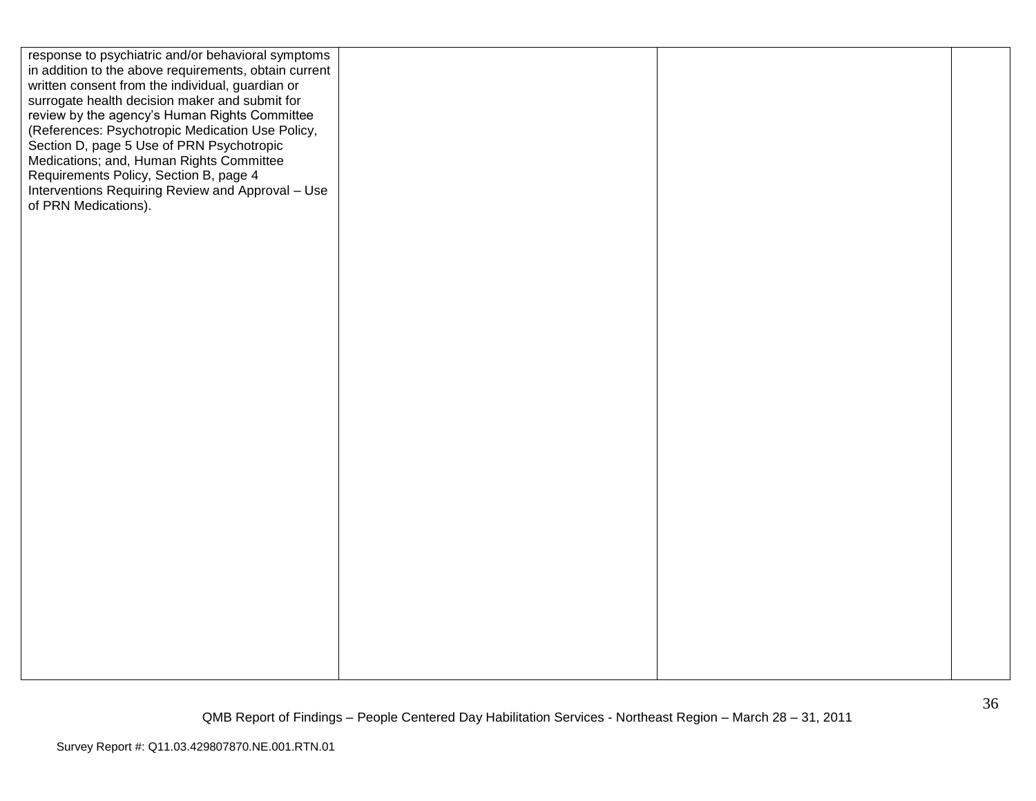| response to psychiatric and/or behavioral symptoms    |  |  |
|-------------------------------------------------------|--|--|
| in addition to the above requirements, obtain current |  |  |
| written consent from the individual, guardian or      |  |  |
| surrogate health decision maker and submit for        |  |  |
| review by the agency's Human Rights Committee         |  |  |
| (References: Psychotropic Medication Use Policy,      |  |  |
| Section D, page 5 Use of PRN Psychotropic             |  |  |
| Medications; and, Human Rights Committee              |  |  |
|                                                       |  |  |
| Requirements Policy, Section B, page 4                |  |  |
| Interventions Requiring Review and Approval - Use     |  |  |
| of PRN Medications).                                  |  |  |
|                                                       |  |  |
|                                                       |  |  |
|                                                       |  |  |
|                                                       |  |  |
|                                                       |  |  |
|                                                       |  |  |
|                                                       |  |  |
|                                                       |  |  |
|                                                       |  |  |
|                                                       |  |  |
|                                                       |  |  |
|                                                       |  |  |
|                                                       |  |  |
|                                                       |  |  |
|                                                       |  |  |
|                                                       |  |  |
|                                                       |  |  |
|                                                       |  |  |
|                                                       |  |  |
|                                                       |  |  |
|                                                       |  |  |
|                                                       |  |  |
|                                                       |  |  |
|                                                       |  |  |
|                                                       |  |  |
|                                                       |  |  |
|                                                       |  |  |
|                                                       |  |  |
|                                                       |  |  |
|                                                       |  |  |
|                                                       |  |  |
|                                                       |  |  |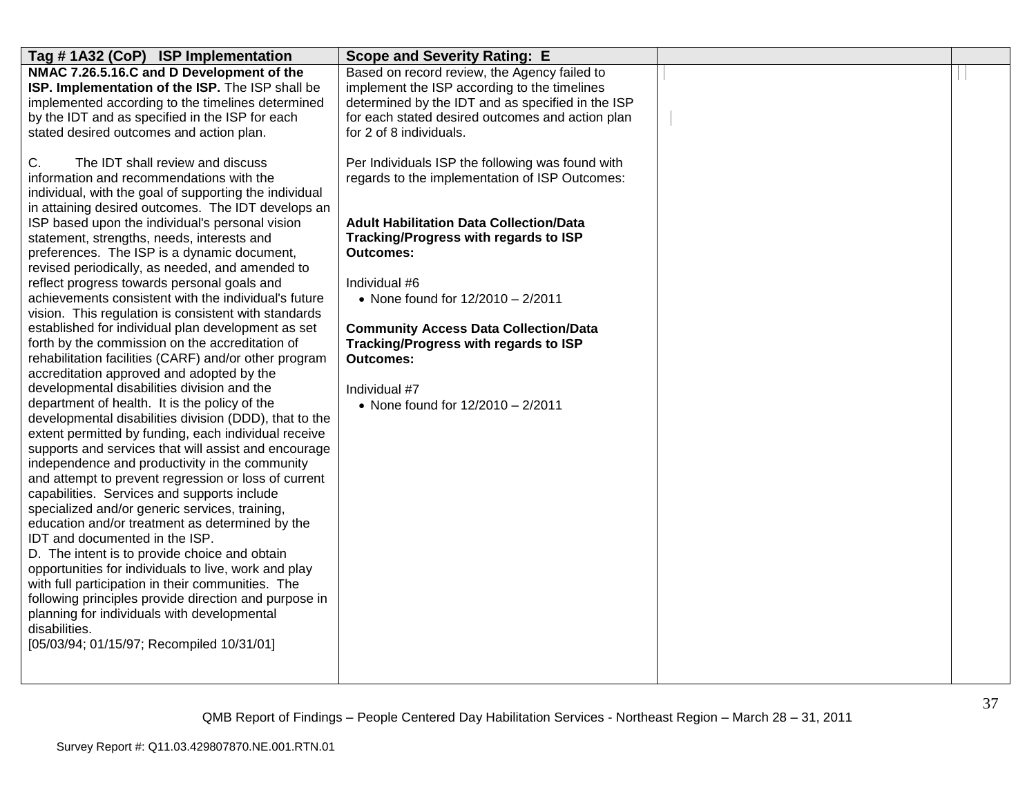| Tag #1A32 (CoP) ISP Implementation                                                                                                                                                                                                                                                                                                                                                                                                                                                                                                                                                                                                                                                                                                                                                                                                                                                                                                                                                                                                                                                                                                                                                                                                                                                                                                                                                                                                                                                                                                                                                                                                                                                                | <b>Scope and Severity Rating: E</b>                                                                                                                                                                                                                                                                                                                                                                                                                 |  |
|---------------------------------------------------------------------------------------------------------------------------------------------------------------------------------------------------------------------------------------------------------------------------------------------------------------------------------------------------------------------------------------------------------------------------------------------------------------------------------------------------------------------------------------------------------------------------------------------------------------------------------------------------------------------------------------------------------------------------------------------------------------------------------------------------------------------------------------------------------------------------------------------------------------------------------------------------------------------------------------------------------------------------------------------------------------------------------------------------------------------------------------------------------------------------------------------------------------------------------------------------------------------------------------------------------------------------------------------------------------------------------------------------------------------------------------------------------------------------------------------------------------------------------------------------------------------------------------------------------------------------------------------------------------------------------------------------|-----------------------------------------------------------------------------------------------------------------------------------------------------------------------------------------------------------------------------------------------------------------------------------------------------------------------------------------------------------------------------------------------------------------------------------------------------|--|
| NMAC 7.26.5.16.C and D Development of the<br>ISP. Implementation of the ISP. The ISP shall be<br>implemented according to the timelines determined<br>by the IDT and as specified in the ISP for each<br>stated desired outcomes and action plan.                                                                                                                                                                                                                                                                                                                                                                                                                                                                                                                                                                                                                                                                                                                                                                                                                                                                                                                                                                                                                                                                                                                                                                                                                                                                                                                                                                                                                                                 | Based on record review, the Agency failed to<br>implement the ISP according to the timelines<br>determined by the IDT and as specified in the ISP<br>for each stated desired outcomes and action plan<br>for 2 of 8 individuals.                                                                                                                                                                                                                    |  |
| C.<br>The IDT shall review and discuss<br>information and recommendations with the<br>individual, with the goal of supporting the individual<br>in attaining desired outcomes. The IDT develops an<br>ISP based upon the individual's personal vision<br>statement, strengths, needs, interests and<br>preferences. The ISP is a dynamic document,<br>revised periodically, as needed, and amended to<br>reflect progress towards personal goals and<br>achievements consistent with the individual's future<br>vision. This regulation is consistent with standards<br>established for individual plan development as set<br>forth by the commission on the accreditation of<br>rehabilitation facilities (CARF) and/or other program<br>accreditation approved and adopted by the<br>developmental disabilities division and the<br>department of health. It is the policy of the<br>developmental disabilities division (DDD), that to the<br>extent permitted by funding, each individual receive<br>supports and services that will assist and encourage<br>independence and productivity in the community<br>and attempt to prevent regression or loss of current<br>capabilities. Services and supports include<br>specialized and/or generic services, training,<br>education and/or treatment as determined by the<br>IDT and documented in the ISP.<br>D. The intent is to provide choice and obtain<br>opportunities for individuals to live, work and play<br>with full participation in their communities. The<br>following principles provide direction and purpose in<br>planning for individuals with developmental<br>disabilities.<br>[05/03/94; 01/15/97; Recompiled 10/31/01] | Per Individuals ISP the following was found with<br>regards to the implementation of ISP Outcomes:<br><b>Adult Habilitation Data Collection/Data</b><br><b>Tracking/Progress with regards to ISP</b><br><b>Outcomes:</b><br>Individual #6<br>• None found for $12/2010 - 2/2011$<br><b>Community Access Data Collection/Data</b><br>Tracking/Progress with regards to ISP<br><b>Outcomes:</b><br>Individual #7<br>• None found for 12/2010 - 2/2011 |  |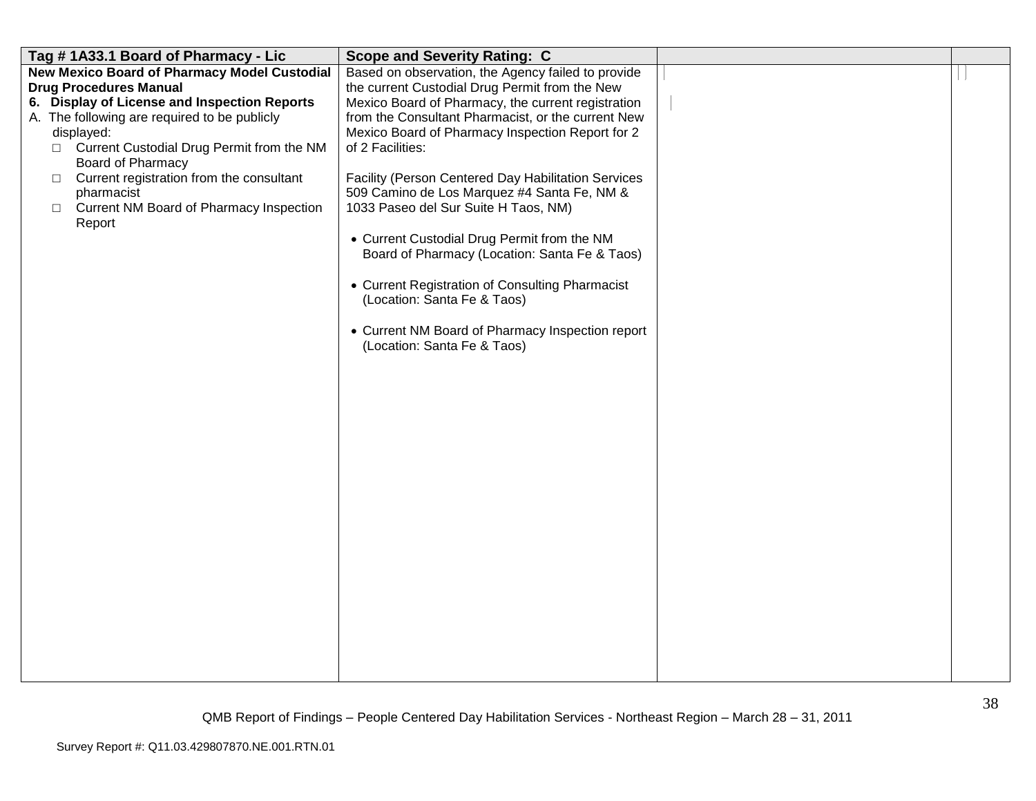| Tag #1A33.1 Board of Pharmacy - Lic                                                                                                                                                                                                                                                                                                                                                                | <b>Scope and Severity Rating: C</b>                                                                                                                                                                                                                                                                                                                                                                                                                                                                                                                                                                                                                                                                         |  |
|----------------------------------------------------------------------------------------------------------------------------------------------------------------------------------------------------------------------------------------------------------------------------------------------------------------------------------------------------------------------------------------------------|-------------------------------------------------------------------------------------------------------------------------------------------------------------------------------------------------------------------------------------------------------------------------------------------------------------------------------------------------------------------------------------------------------------------------------------------------------------------------------------------------------------------------------------------------------------------------------------------------------------------------------------------------------------------------------------------------------------|--|
| New Mexico Board of Pharmacy Model Custodial<br><b>Drug Procedures Manual</b><br>6. Display of License and Inspection Reports<br>A. The following are required to be publicly<br>displayed:<br>□ Current Custodial Drug Permit from the NM<br>Board of Pharmacy<br>Current registration from the consultant<br>$\Box$<br>pharmacist<br>Current NM Board of Pharmacy Inspection<br>$\Box$<br>Report | Based on observation, the Agency failed to provide<br>the current Custodial Drug Permit from the New<br>Mexico Board of Pharmacy, the current registration<br>from the Consultant Pharmacist, or the current New<br>Mexico Board of Pharmacy Inspection Report for 2<br>of 2 Facilities:<br>Facility (Person Centered Day Habilitation Services<br>509 Camino de Los Marquez #4 Santa Fe, NM &<br>1033 Paseo del Sur Suite H Taos, NM)<br>• Current Custodial Drug Permit from the NM<br>Board of Pharmacy (Location: Santa Fe & Taos)<br>• Current Registration of Consulting Pharmacist<br>(Location: Santa Fe & Taos)<br>• Current NM Board of Pharmacy Inspection report<br>(Location: Santa Fe & Taos) |  |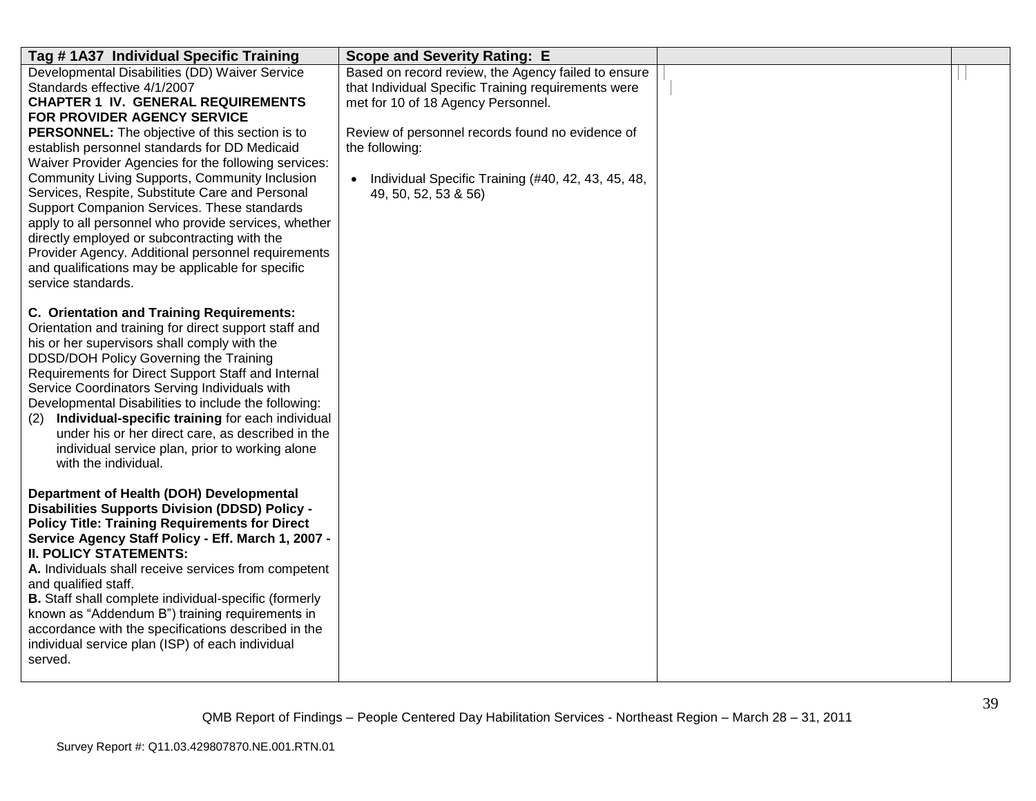| Tag #1A37 Individual Specific Training                                                                                                                                                                                                                                                                                                                                                                                                                                                                                                                                                                                                                                                                             | <b>Scope and Severity Rating: E</b>                                                                                                                                                                                                                                                                  |  |
|--------------------------------------------------------------------------------------------------------------------------------------------------------------------------------------------------------------------------------------------------------------------------------------------------------------------------------------------------------------------------------------------------------------------------------------------------------------------------------------------------------------------------------------------------------------------------------------------------------------------------------------------------------------------------------------------------------------------|------------------------------------------------------------------------------------------------------------------------------------------------------------------------------------------------------------------------------------------------------------------------------------------------------|--|
| Developmental Disabilities (DD) Waiver Service<br>Standards effective 4/1/2007<br><b>CHAPTER 1 IV. GENERAL REQUIREMENTS</b><br>FOR PROVIDER AGENCY SERVICE<br>PERSONNEL: The objective of this section is to<br>establish personnel standards for DD Medicaid<br>Waiver Provider Agencies for the following services:<br>Community Living Supports, Community Inclusion<br>Services, Respite, Substitute Care and Personal<br>Support Companion Services. These standards<br>apply to all personnel who provide services, whether<br>directly employed or subcontracting with the<br>Provider Agency. Additional personnel requirements<br>and qualifications may be applicable for specific<br>service standards. | Based on record review, the Agency failed to ensure<br>that Individual Specific Training requirements were<br>met for 10 of 18 Agency Personnel.<br>Review of personnel records found no evidence of<br>the following:<br>Individual Specific Training (#40, 42, 43, 45, 48,<br>49, 50, 52, 53 & 56) |  |
| <b>C. Orientation and Training Requirements:</b><br>Orientation and training for direct support staff and<br>his or her supervisors shall comply with the<br>DDSD/DOH Policy Governing the Training<br>Requirements for Direct Support Staff and Internal<br>Service Coordinators Serving Individuals with<br>Developmental Disabilities to include the following:<br>Individual-specific training for each individual<br>(2)<br>under his or her direct care, as described in the<br>individual service plan, prior to working alone<br>with the individual.                                                                                                                                                      |                                                                                                                                                                                                                                                                                                      |  |
| Department of Health (DOH) Developmental<br><b>Disabilities Supports Division (DDSD) Policy -</b><br><b>Policy Title: Training Requirements for Direct</b><br>Service Agency Staff Policy - Eff. March 1, 2007 -<br><b>II. POLICY STATEMENTS:</b><br>A. Individuals shall receive services from competent<br>and qualified staff.<br>B. Staff shall complete individual-specific (formerly<br>known as "Addendum B") training requirements in<br>accordance with the specifications described in the<br>individual service plan (ISP) of each individual<br>served.                                                                                                                                                |                                                                                                                                                                                                                                                                                                      |  |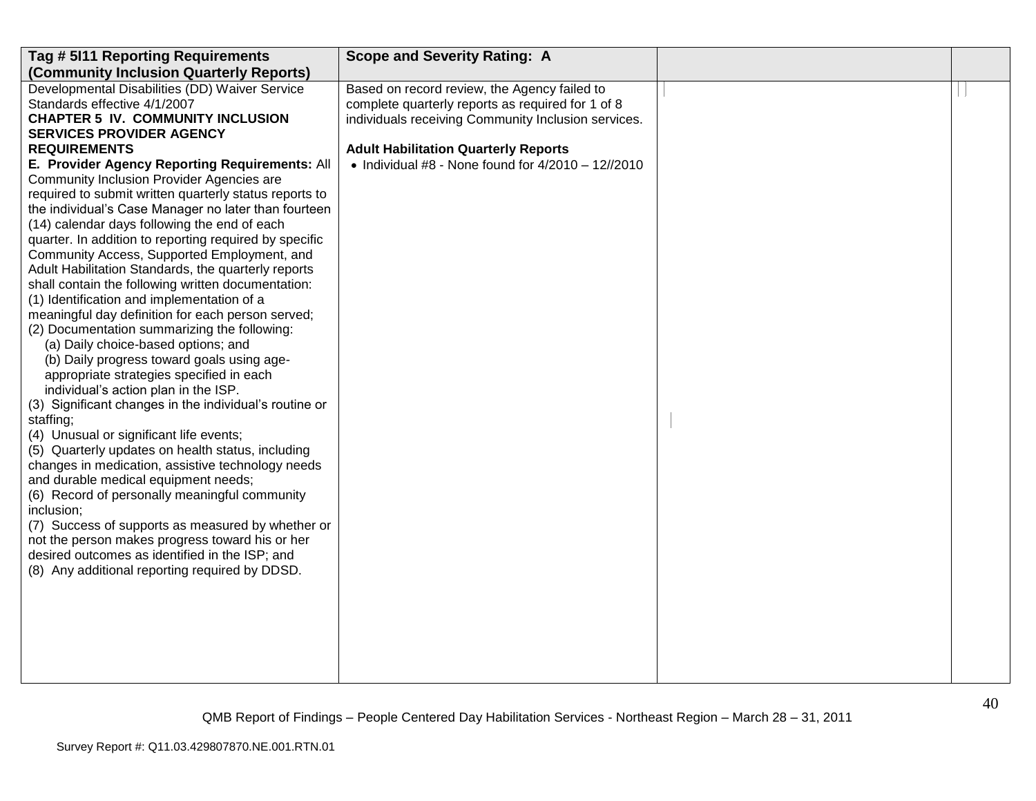| Tag # 5I11 Reporting Requirements                      | <b>Scope and Severity Rating: A</b>                 |  |
|--------------------------------------------------------|-----------------------------------------------------|--|
| (Community Inclusion Quarterly Reports)                |                                                     |  |
| Developmental Disabilities (DD) Waiver Service         | Based on record review, the Agency failed to        |  |
| Standards effective 4/1/2007                           | complete quarterly reports as required for 1 of 8   |  |
| <b>CHAPTER 5 IV. COMMUNITY INCLUSION</b>               | individuals receiving Community Inclusion services. |  |
| <b>SERVICES PROVIDER AGENCY</b>                        |                                                     |  |
| <b>REQUIREMENTS</b>                                    | <b>Adult Habilitation Quarterly Reports</b>         |  |
| E. Provider Agency Reporting Requirements: All         | • Individual #8 - None found for $4/2010 - 12/2010$ |  |
| Community Inclusion Provider Agencies are              |                                                     |  |
| required to submit written quarterly status reports to |                                                     |  |
| the individual's Case Manager no later than fourteen   |                                                     |  |
| (14) calendar days following the end of each           |                                                     |  |
| quarter. In addition to reporting required by specific |                                                     |  |
| Community Access, Supported Employment, and            |                                                     |  |
| Adult Habilitation Standards, the quarterly reports    |                                                     |  |
| shall contain the following written documentation:     |                                                     |  |
| (1) Identification and implementation of a             |                                                     |  |
| meaningful day definition for each person served;      |                                                     |  |
| (2) Documentation summarizing the following:           |                                                     |  |
| (a) Daily choice-based options; and                    |                                                     |  |
| (b) Daily progress toward goals using age-             |                                                     |  |
| appropriate strategies specified in each               |                                                     |  |
| individual's action plan in the ISP.                   |                                                     |  |
| (3) Significant changes in the individual's routine or |                                                     |  |
| staffing;                                              |                                                     |  |
| (4) Unusual or significant life events;                |                                                     |  |
| (5) Quarterly updates on health status, including      |                                                     |  |
| changes in medication, assistive technology needs      |                                                     |  |
| and durable medical equipment needs;                   |                                                     |  |
| (6) Record of personally meaningful community          |                                                     |  |
| inclusion;                                             |                                                     |  |
| (7) Success of supports as measured by whether or      |                                                     |  |
| not the person makes progress toward his or her        |                                                     |  |
| desired outcomes as identified in the ISP; and         |                                                     |  |
| (8) Any additional reporting required by DDSD.         |                                                     |  |
|                                                        |                                                     |  |
|                                                        |                                                     |  |
|                                                        |                                                     |  |
|                                                        |                                                     |  |
|                                                        |                                                     |  |
|                                                        |                                                     |  |
|                                                        |                                                     |  |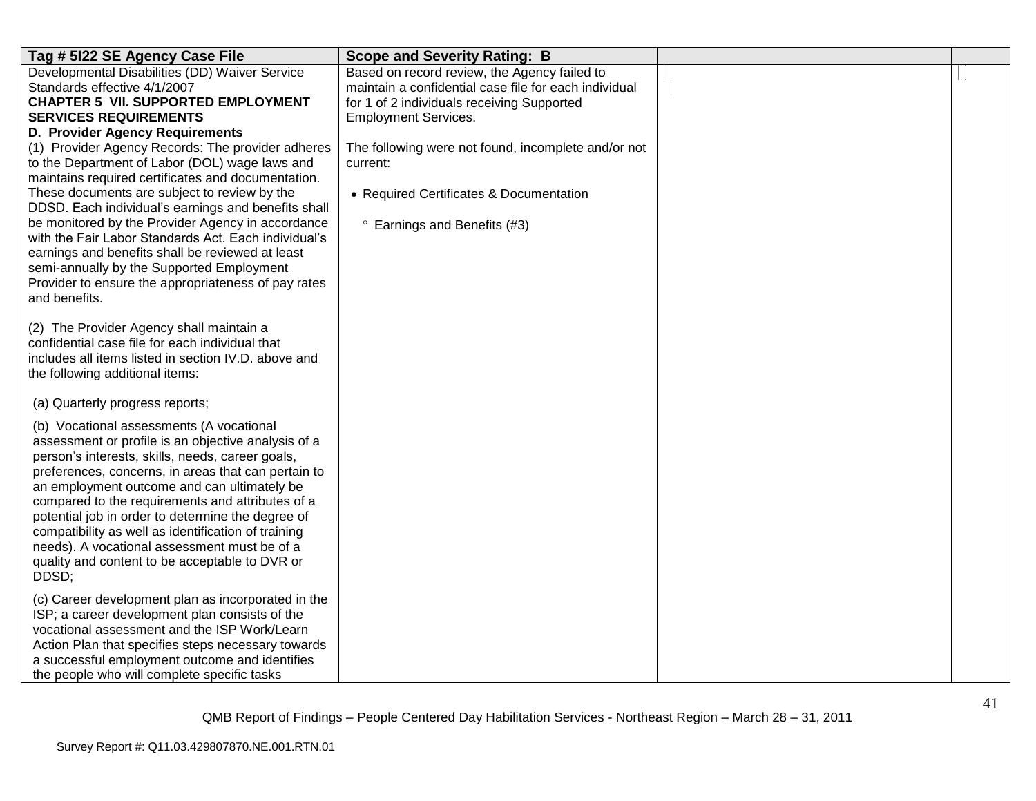| Tag # 5122 SE Agency Case File                                                                                                                                                                                                                                                                                                                                                                                                                                                                                                       | <b>Scope and Severity Rating: B</b>                                                                                                                                                |  |
|--------------------------------------------------------------------------------------------------------------------------------------------------------------------------------------------------------------------------------------------------------------------------------------------------------------------------------------------------------------------------------------------------------------------------------------------------------------------------------------------------------------------------------------|------------------------------------------------------------------------------------------------------------------------------------------------------------------------------------|--|
| Developmental Disabilities (DD) Waiver Service<br>Standards effective 4/1/2007<br><b>CHAPTER 5 VII. SUPPORTED EMPLOYMENT</b><br><b>SERVICES REQUIREMENTS</b>                                                                                                                                                                                                                                                                                                                                                                         | Based on record review, the Agency failed to<br>maintain a confidential case file for each individual<br>for 1 of 2 individuals receiving Supported<br><b>Employment Services.</b> |  |
| D. Provider Agency Requirements<br>(1) Provider Agency Records: The provider adheres<br>to the Department of Labor (DOL) wage laws and<br>maintains required certificates and documentation.<br>These documents are subject to review by the<br>DDSD. Each individual's earnings and benefits shall<br>be monitored by the Provider Agency in accordance                                                                                                                                                                             | The following were not found, incomplete and/or not<br>current:<br>• Required Certificates & Documentation<br><sup>o</sup> Earnings and Benefits (#3)                              |  |
| with the Fair Labor Standards Act. Each individual's<br>earnings and benefits shall be reviewed at least<br>semi-annually by the Supported Employment<br>Provider to ensure the appropriateness of pay rates<br>and benefits.                                                                                                                                                                                                                                                                                                        |                                                                                                                                                                                    |  |
| (2) The Provider Agency shall maintain a<br>confidential case file for each individual that<br>includes all items listed in section IV.D. above and<br>the following additional items:                                                                                                                                                                                                                                                                                                                                               |                                                                                                                                                                                    |  |
| (a) Quarterly progress reports;                                                                                                                                                                                                                                                                                                                                                                                                                                                                                                      |                                                                                                                                                                                    |  |
| (b) Vocational assessments (A vocational<br>assessment or profile is an objective analysis of a<br>person's interests, skills, needs, career goals,<br>preferences, concerns, in areas that can pertain to<br>an employment outcome and can ultimately be<br>compared to the requirements and attributes of a<br>potential job in order to determine the degree of<br>compatibility as well as identification of training<br>needs). A vocational assessment must be of a<br>quality and content to be acceptable to DVR or<br>DDSD; |                                                                                                                                                                                    |  |
| (c) Career development plan as incorporated in the<br>ISP; a career development plan consists of the<br>vocational assessment and the ISP Work/Learn<br>Action Plan that specifies steps necessary towards<br>a successful employment outcome and identifies<br>the people who will complete specific tasks                                                                                                                                                                                                                          |                                                                                                                                                                                    |  |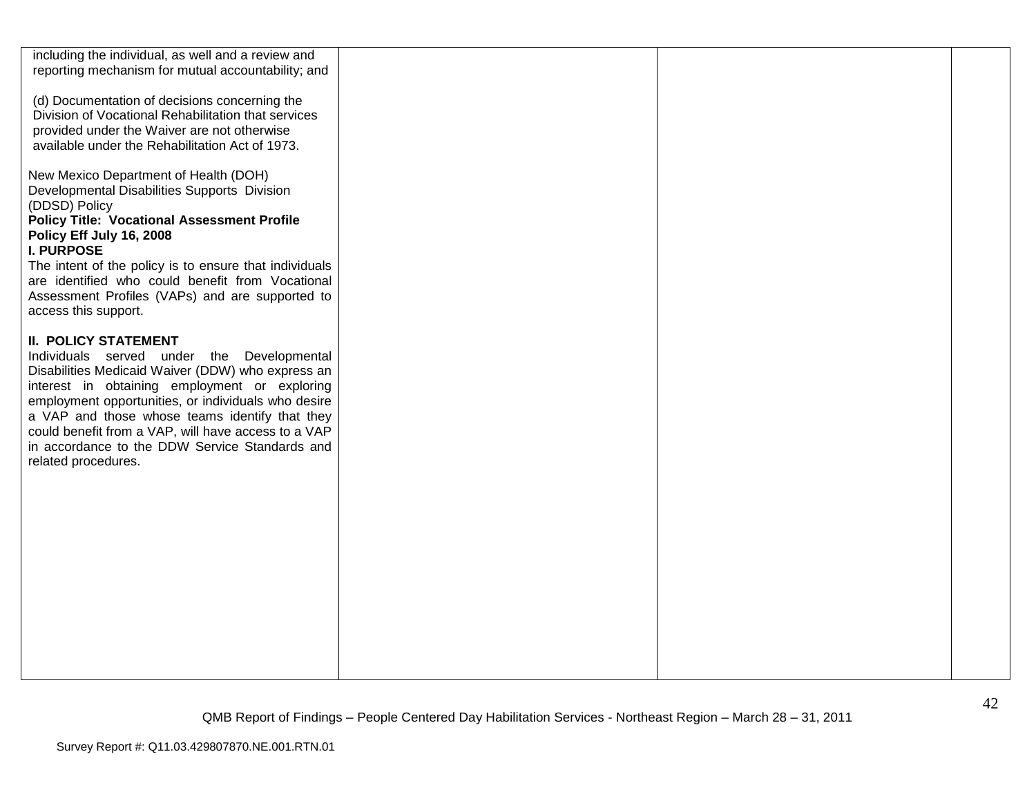| including the individual, as well and a review and<br>reporting mechanism for mutual accountability; and                                                                                               |  |  |
|--------------------------------------------------------------------------------------------------------------------------------------------------------------------------------------------------------|--|--|
| (d) Documentation of decisions concerning the<br>Division of Vocational Rehabilitation that services<br>provided under the Waiver are not otherwise<br>available under the Rehabilitation Act of 1973. |  |  |
| New Mexico Department of Health (DOH)<br>Developmental Disabilities Supports Division<br>(DDSD) Policy<br><b>Policy Title: Vocational Assessment Profile</b>                                           |  |  |
| Policy Eff July 16, 2008                                                                                                                                                                               |  |  |
| <b>I. PURPOSE</b>                                                                                                                                                                                      |  |  |
| The intent of the policy is to ensure that individuals<br>are identified who could benefit from Vocational                                                                                             |  |  |
| Assessment Profiles (VAPs) and are supported to                                                                                                                                                        |  |  |
| access this support.                                                                                                                                                                                   |  |  |
| <b>II. POLICY STATEMENT</b>                                                                                                                                                                            |  |  |
| Individuals served under the Developmental                                                                                                                                                             |  |  |
| Disabilities Medicaid Waiver (DDW) who express an<br>interest in obtaining employment or exploring                                                                                                     |  |  |
| employment opportunities, or individuals who desire                                                                                                                                                    |  |  |
| a VAP and those whose teams identify that they                                                                                                                                                         |  |  |
| could benefit from a VAP, will have access to a VAP<br>in accordance to the DDW Service Standards and                                                                                                  |  |  |
| related procedures.                                                                                                                                                                                    |  |  |
|                                                                                                                                                                                                        |  |  |
|                                                                                                                                                                                                        |  |  |
|                                                                                                                                                                                                        |  |  |
|                                                                                                                                                                                                        |  |  |
|                                                                                                                                                                                                        |  |  |
|                                                                                                                                                                                                        |  |  |
|                                                                                                                                                                                                        |  |  |
|                                                                                                                                                                                                        |  |  |
|                                                                                                                                                                                                        |  |  |
|                                                                                                                                                                                                        |  |  |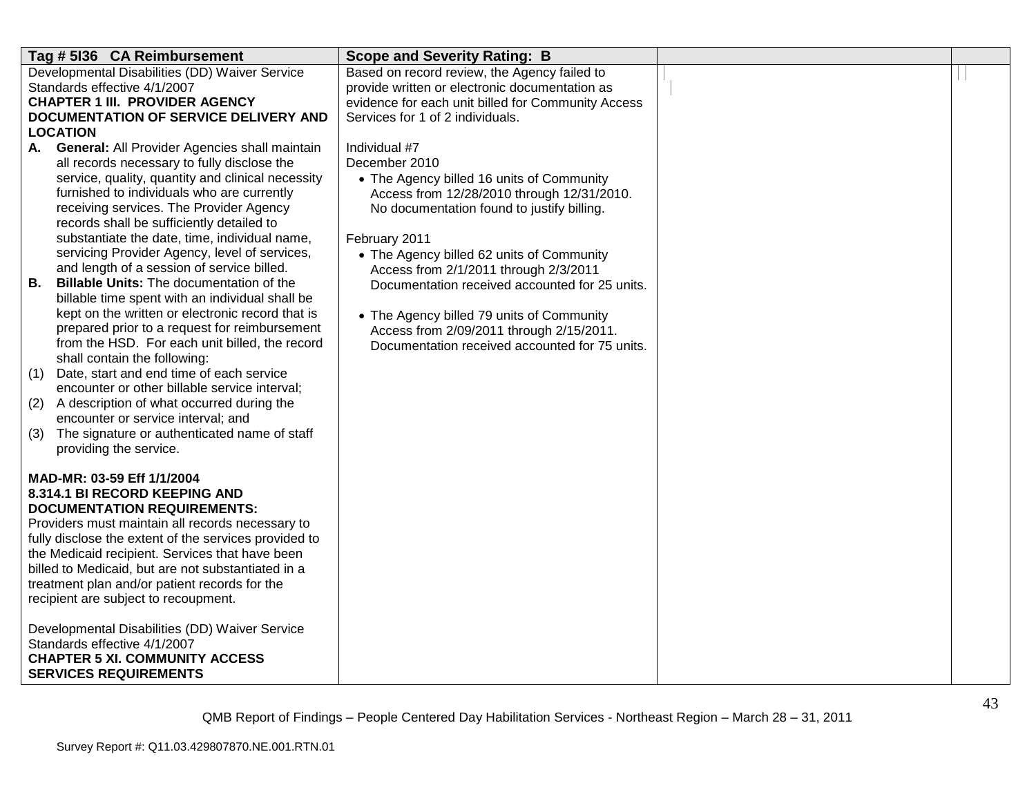| Tag # 5136 CA Reimbursement                                                                    | <b>Scope and Severity Rating: B</b>                                                     |  |
|------------------------------------------------------------------------------------------------|-----------------------------------------------------------------------------------------|--|
| Developmental Disabilities (DD) Waiver Service                                                 | Based on record review, the Agency failed to                                            |  |
| Standards effective 4/1/2007                                                                   | provide written or electronic documentation as                                          |  |
| <b>CHAPTER 1 III. PROVIDER AGENCY</b>                                                          | evidence for each unit billed for Community Access                                      |  |
| DOCUMENTATION OF SERVICE DELIVERY AND                                                          | Services for 1 of 2 individuals.                                                        |  |
| <b>LOCATION</b>                                                                                |                                                                                         |  |
| <b>General: All Provider Agencies shall maintain</b><br>А.                                     | Individual #7                                                                           |  |
| all records necessary to fully disclose the                                                    | December 2010                                                                           |  |
| service, quality, quantity and clinical necessity                                              | • The Agency billed 16 units of Community                                               |  |
| furnished to individuals who are currently                                                     | Access from 12/28/2010 through 12/31/2010.                                              |  |
| receiving services. The Provider Agency                                                        | No documentation found to justify billing.                                              |  |
| records shall be sufficiently detailed to                                                      |                                                                                         |  |
| substantiate the date, time, individual name,<br>servicing Provider Agency, level of services, | February 2011                                                                           |  |
| and length of a session of service billed.                                                     | • The Agency billed 62 units of Community                                               |  |
| Billable Units: The documentation of the<br>В.                                                 | Access from 2/1/2011 through 2/3/2011<br>Documentation received accounted for 25 units. |  |
| billable time spent with an individual shall be                                                |                                                                                         |  |
| kept on the written or electronic record that is                                               |                                                                                         |  |
| prepared prior to a request for reimbursement                                                  | • The Agency billed 79 units of Community<br>Access from 2/09/2011 through 2/15/2011.   |  |
| from the HSD. For each unit billed, the record                                                 | Documentation received accounted for 75 units.                                          |  |
| shall contain the following:                                                                   |                                                                                         |  |
| Date, start and end time of each service<br>(1)                                                |                                                                                         |  |
| encounter or other billable service interval;                                                  |                                                                                         |  |
| A description of what occurred during the<br>(2)                                               |                                                                                         |  |
| encounter or service interval; and                                                             |                                                                                         |  |
| The signature or authenticated name of staff<br>(3)                                            |                                                                                         |  |
| providing the service.                                                                         |                                                                                         |  |
|                                                                                                |                                                                                         |  |
| MAD-MR: 03-59 Eff 1/1/2004                                                                     |                                                                                         |  |
| 8.314.1 BI RECORD KEEPING AND                                                                  |                                                                                         |  |
| <b>DOCUMENTATION REQUIREMENTS:</b>                                                             |                                                                                         |  |
| Providers must maintain all records necessary to                                               |                                                                                         |  |
| fully disclose the extent of the services provided to                                          |                                                                                         |  |
| the Medicaid recipient. Services that have been                                                |                                                                                         |  |
| billed to Medicaid, but are not substantiated in a                                             |                                                                                         |  |
| treatment plan and/or patient records for the                                                  |                                                                                         |  |
| recipient are subject to recoupment.                                                           |                                                                                         |  |
|                                                                                                |                                                                                         |  |
| Developmental Disabilities (DD) Waiver Service                                                 |                                                                                         |  |
| Standards effective 4/1/2007<br><b>CHAPTER 5 XI. COMMUNITY ACCESS</b>                          |                                                                                         |  |
| <b>SERVICES REQUIREMENTS</b>                                                                   |                                                                                         |  |
|                                                                                                |                                                                                         |  |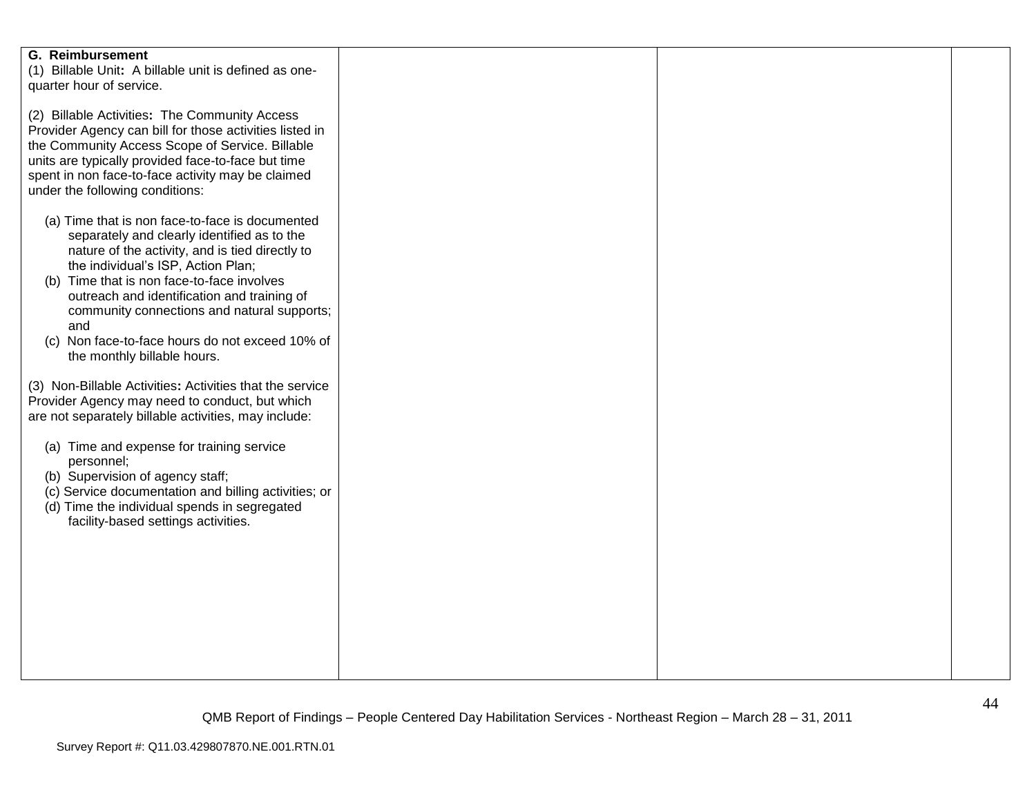| <b>G. Reimbursement</b><br>(1) Billable Unit: A billable unit is defined as one-<br>quarter hour of service.                                                                                                                                                                                                                                                                                                                 |  |  |
|------------------------------------------------------------------------------------------------------------------------------------------------------------------------------------------------------------------------------------------------------------------------------------------------------------------------------------------------------------------------------------------------------------------------------|--|--|
| (2) Billable Activities: The Community Access<br>Provider Agency can bill for those activities listed in<br>the Community Access Scope of Service. Billable<br>units are typically provided face-to-face but time<br>spent in non face-to-face activity may be claimed<br>under the following conditions:                                                                                                                    |  |  |
| (a) Time that is non face-to-face is documented<br>separately and clearly identified as to the<br>nature of the activity, and is tied directly to<br>the individual's ISP, Action Plan;<br>(b) Time that is non face-to-face involves<br>outreach and identification and training of<br>community connections and natural supports;<br>and<br>(c) Non face-to-face hours do not exceed 10% of<br>the monthly billable hours. |  |  |
| (3) Non-Billable Activities: Activities that the service<br>Provider Agency may need to conduct, but which<br>are not separately billable activities, may include:                                                                                                                                                                                                                                                           |  |  |
| (a) Time and expense for training service<br>personnel;<br>(b) Supervision of agency staff;<br>(c) Service documentation and billing activities; or<br>(d) Time the individual spends in segregated<br>facility-based settings activities.                                                                                                                                                                                   |  |  |
|                                                                                                                                                                                                                                                                                                                                                                                                                              |  |  |
|                                                                                                                                                                                                                                                                                                                                                                                                                              |  |  |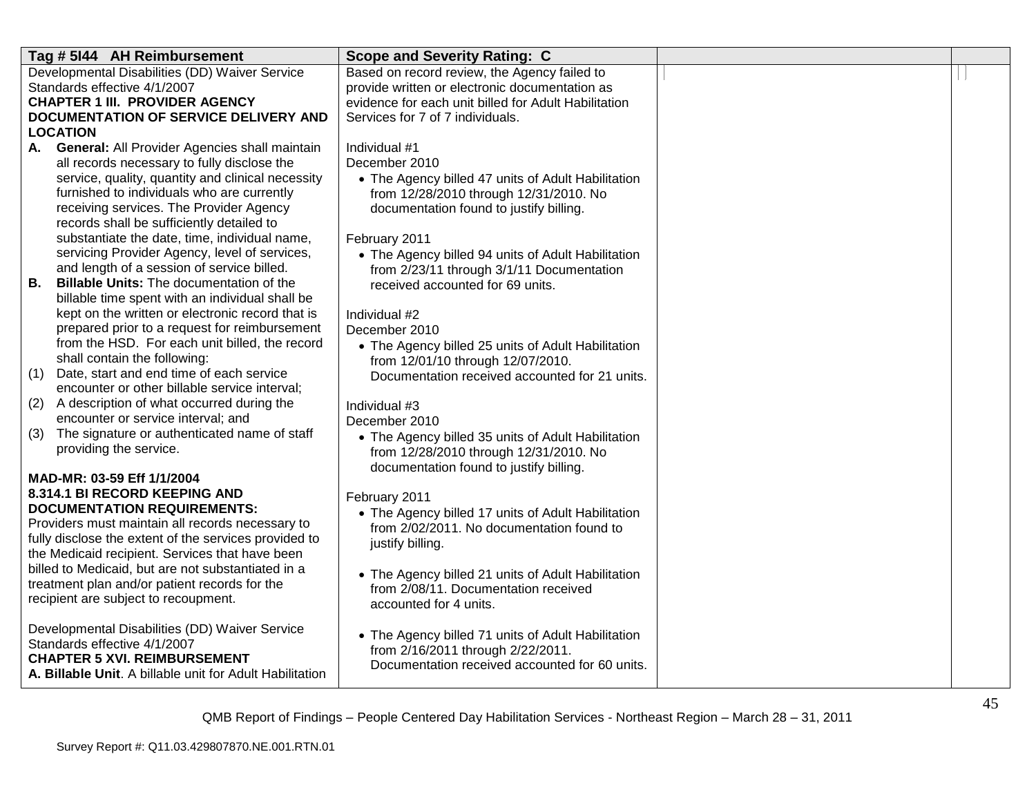| Tag # 5144 AH Reimbursement                                                                     | <b>Scope and Severity Rating: C</b>                  |  |
|-------------------------------------------------------------------------------------------------|------------------------------------------------------|--|
| Developmental Disabilities (DD) Waiver Service                                                  | Based on record review, the Agency failed to         |  |
| Standards effective 4/1/2007                                                                    | provide written or electronic documentation as       |  |
| <b>CHAPTER 1 III. PROVIDER AGENCY</b>                                                           | evidence for each unit billed for Adult Habilitation |  |
| <b>DOCUMENTATION OF SERVICE DELIVERY AND</b>                                                    | Services for 7 of 7 individuals.                     |  |
| <b>LOCATION</b>                                                                                 |                                                      |  |
| A. General: All Provider Agencies shall maintain                                                | Individual #1                                        |  |
| all records necessary to fully disclose the                                                     | December 2010                                        |  |
| service, quality, quantity and clinical necessity<br>furnished to individuals who are currently | • The Agency billed 47 units of Adult Habilitation   |  |
| receiving services. The Provider Agency                                                         | from 12/28/2010 through 12/31/2010. No               |  |
| records shall be sufficiently detailed to                                                       | documentation found to justify billing.              |  |
| substantiate the date, time, individual name,                                                   | February 2011                                        |  |
| servicing Provider Agency, level of services,                                                   | • The Agency billed 94 units of Adult Habilitation   |  |
| and length of a session of service billed.                                                      | from 2/23/11 through 3/1/11 Documentation            |  |
| В.<br><b>Billable Units: The documentation of the</b>                                           | received accounted for 69 units.                     |  |
| billable time spent with an individual shall be                                                 |                                                      |  |
| kept on the written or electronic record that is                                                | Individual #2                                        |  |
| prepared prior to a request for reimbursement                                                   | December 2010                                        |  |
| from the HSD. For each unit billed, the record                                                  | • The Agency billed 25 units of Adult Habilitation   |  |
| shall contain the following:                                                                    | from 12/01/10 through 12/07/2010.                    |  |
| (1)<br>Date, start and end time of each service                                                 | Documentation received accounted for 21 units.       |  |
| encounter or other billable service interval;                                                   |                                                      |  |
| (2)<br>A description of what occurred during the                                                | Individual #3                                        |  |
| encounter or service interval; and                                                              | December 2010                                        |  |
| (3)<br>The signature or authenticated name of staff                                             | • The Agency billed 35 units of Adult Habilitation   |  |
| providing the service.                                                                          | from 12/28/2010 through 12/31/2010. No               |  |
| MAD-MR: 03-59 Eff 1/1/2004                                                                      | documentation found to justify billing.              |  |
| 8.314.1 BI RECORD KEEPING AND                                                                   | February 2011                                        |  |
| <b>DOCUMENTATION REQUIREMENTS:</b>                                                              | • The Agency billed 17 units of Adult Habilitation   |  |
| Providers must maintain all records necessary to                                                | from 2/02/2011. No documentation found to            |  |
| fully disclose the extent of the services provided to                                           | justify billing.                                     |  |
| the Medicaid recipient. Services that have been                                                 |                                                      |  |
| billed to Medicaid, but are not substantiated in a                                              | • The Agency billed 21 units of Adult Habilitation   |  |
| treatment plan and/or patient records for the                                                   | from 2/08/11. Documentation received                 |  |
| recipient are subject to recoupment.                                                            | accounted for 4 units.                               |  |
|                                                                                                 |                                                      |  |
| Developmental Disabilities (DD) Waiver Service                                                  | • The Agency billed 71 units of Adult Habilitation   |  |
| Standards effective 4/1/2007<br><b>CHAPTER 5 XVI. REIMBURSEMENT</b>                             | from 2/16/2011 through 2/22/2011.                    |  |
| A. Billable Unit. A billable unit for Adult Habilitation                                        | Documentation received accounted for 60 units.       |  |
|                                                                                                 |                                                      |  |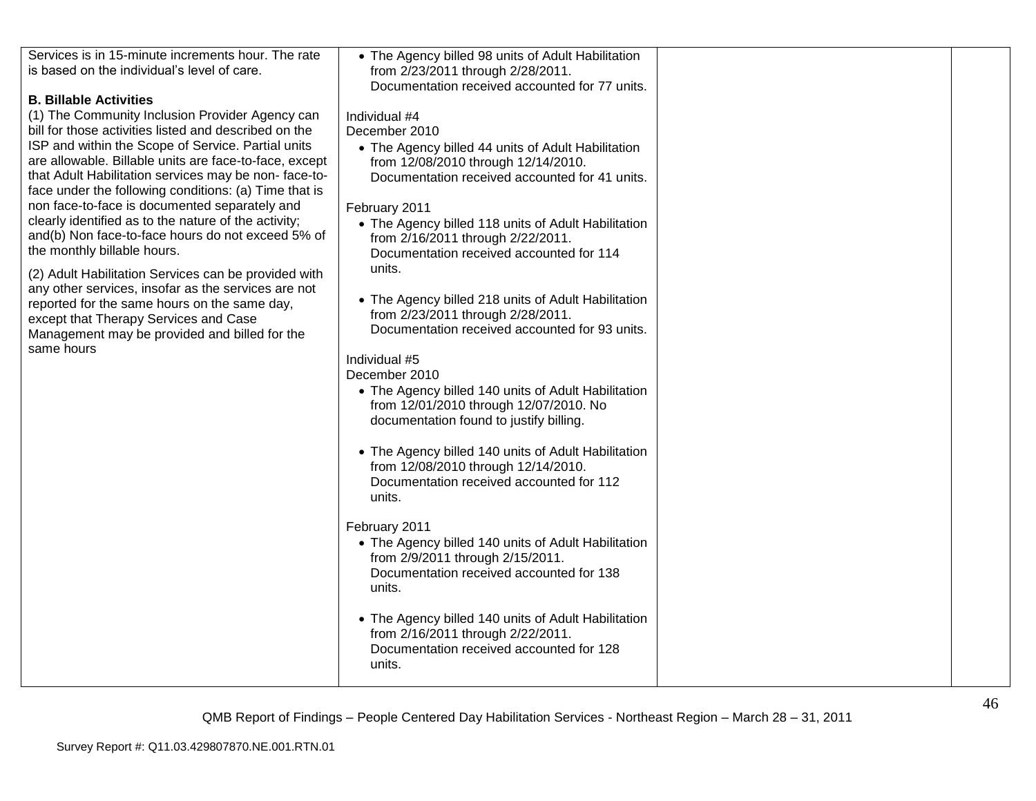| Services is in 15-minute increments hour. The rate<br>is based on the individual's level of care.                                                                                                                                                                                                                                                                                                                                                                                                                                                                                                                                                                                                                                                                                                                                              | • The Agency billed 98 units of Adult Habilitation<br>from 2/23/2011 through 2/28/2011.<br>Documentation received accounted for 77 units.                                                                                                                                                                                                                                                                                                                                                                                                                                                                                                                                                                                                                                                                                                                                                                                                                                                                                                                                                                                                            |  |
|------------------------------------------------------------------------------------------------------------------------------------------------------------------------------------------------------------------------------------------------------------------------------------------------------------------------------------------------------------------------------------------------------------------------------------------------------------------------------------------------------------------------------------------------------------------------------------------------------------------------------------------------------------------------------------------------------------------------------------------------------------------------------------------------------------------------------------------------|------------------------------------------------------------------------------------------------------------------------------------------------------------------------------------------------------------------------------------------------------------------------------------------------------------------------------------------------------------------------------------------------------------------------------------------------------------------------------------------------------------------------------------------------------------------------------------------------------------------------------------------------------------------------------------------------------------------------------------------------------------------------------------------------------------------------------------------------------------------------------------------------------------------------------------------------------------------------------------------------------------------------------------------------------------------------------------------------------------------------------------------------------|--|
| <b>B. Billable Activities</b><br>(1) The Community Inclusion Provider Agency can<br>bill for those activities listed and described on the<br>ISP and within the Scope of Service. Partial units<br>are allowable. Billable units are face-to-face, except<br>that Adult Habilitation services may be non-face-to-<br>face under the following conditions: (a) Time that is<br>non face-to-face is documented separately and<br>clearly identified as to the nature of the activity;<br>and(b) Non face-to-face hours do not exceed 5% of<br>the monthly billable hours.<br>(2) Adult Habilitation Services can be provided with<br>any other services, insofar as the services are not<br>reported for the same hours on the same day,<br>except that Therapy Services and Case<br>Management may be provided and billed for the<br>same hours | Individual #4<br>December 2010<br>• The Agency billed 44 units of Adult Habilitation<br>from 12/08/2010 through 12/14/2010.<br>Documentation received accounted for 41 units.<br>February 2011<br>• The Agency billed 118 units of Adult Habilitation<br>from 2/16/2011 through 2/22/2011.<br>Documentation received accounted for 114<br>units.<br>• The Agency billed 218 units of Adult Habilitation<br>from 2/23/2011 through 2/28/2011.<br>Documentation received accounted for 93 units.<br>Individual #5<br>December 2010<br>• The Agency billed 140 units of Adult Habilitation<br>from 12/01/2010 through 12/07/2010. No<br>documentation found to justify billing.<br>• The Agency billed 140 units of Adult Habilitation<br>from 12/08/2010 through 12/14/2010.<br>Documentation received accounted for 112<br>units.<br>February 2011<br>• The Agency billed 140 units of Adult Habilitation<br>from 2/9/2011 through 2/15/2011.<br>Documentation received accounted for 138<br>units.<br>• The Agency billed 140 units of Adult Habilitation<br>from 2/16/2011 through 2/22/2011.<br>Documentation received accounted for 128<br>units. |  |
|                                                                                                                                                                                                                                                                                                                                                                                                                                                                                                                                                                                                                                                                                                                                                                                                                                                |                                                                                                                                                                                                                                                                                                                                                                                                                                                                                                                                                                                                                                                                                                                                                                                                                                                                                                                                                                                                                                                                                                                                                      |  |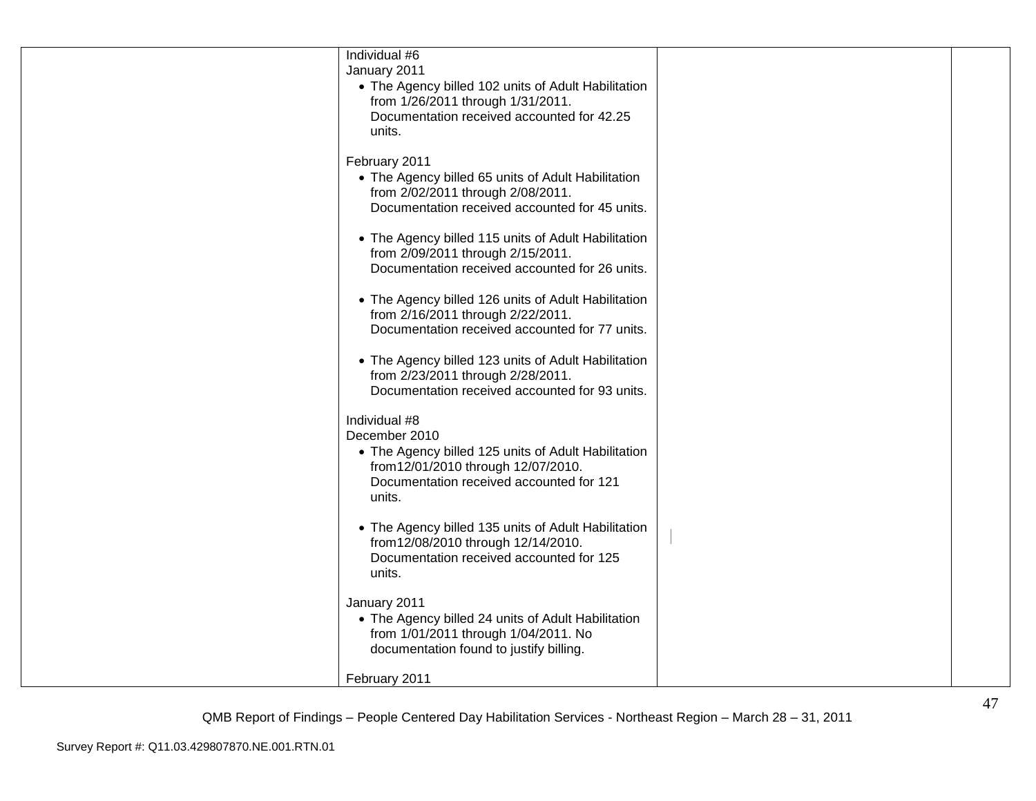| Individual #6<br>January 2011<br>• The Agency billed 102 units of Adult Habilitation<br>from 1/26/2011 through 1/31/2011.<br>Documentation received accounted for 42.25<br>units.  |  |
|------------------------------------------------------------------------------------------------------------------------------------------------------------------------------------|--|
| February 2011<br>• The Agency billed 65 units of Adult Habilitation<br>from 2/02/2011 through 2/08/2011.<br>Documentation received accounted for 45 units.                         |  |
| • The Agency billed 115 units of Adult Habilitation<br>from 2/09/2011 through 2/15/2011.<br>Documentation received accounted for 26 units.                                         |  |
| • The Agency billed 126 units of Adult Habilitation<br>from 2/16/2011 through 2/22/2011.<br>Documentation received accounted for 77 units.                                         |  |
| • The Agency billed 123 units of Adult Habilitation<br>from 2/23/2011 through 2/28/2011.<br>Documentation received accounted for 93 units.                                         |  |
| Individual #8<br>December 2010<br>• The Agency billed 125 units of Adult Habilitation<br>from 12/01/2010 through 12/07/2010.<br>Documentation received accounted for 121<br>units. |  |
| • The Agency billed 135 units of Adult Habilitation<br>from12/08/2010 through 12/14/2010.<br>Documentation received accounted for 125<br>units.                                    |  |
| January 2011<br>• The Agency billed 24 units of Adult Habilitation<br>from 1/01/2011 through 1/04/2011. No<br>documentation found to justify billing.                              |  |
| February 2011                                                                                                                                                                      |  |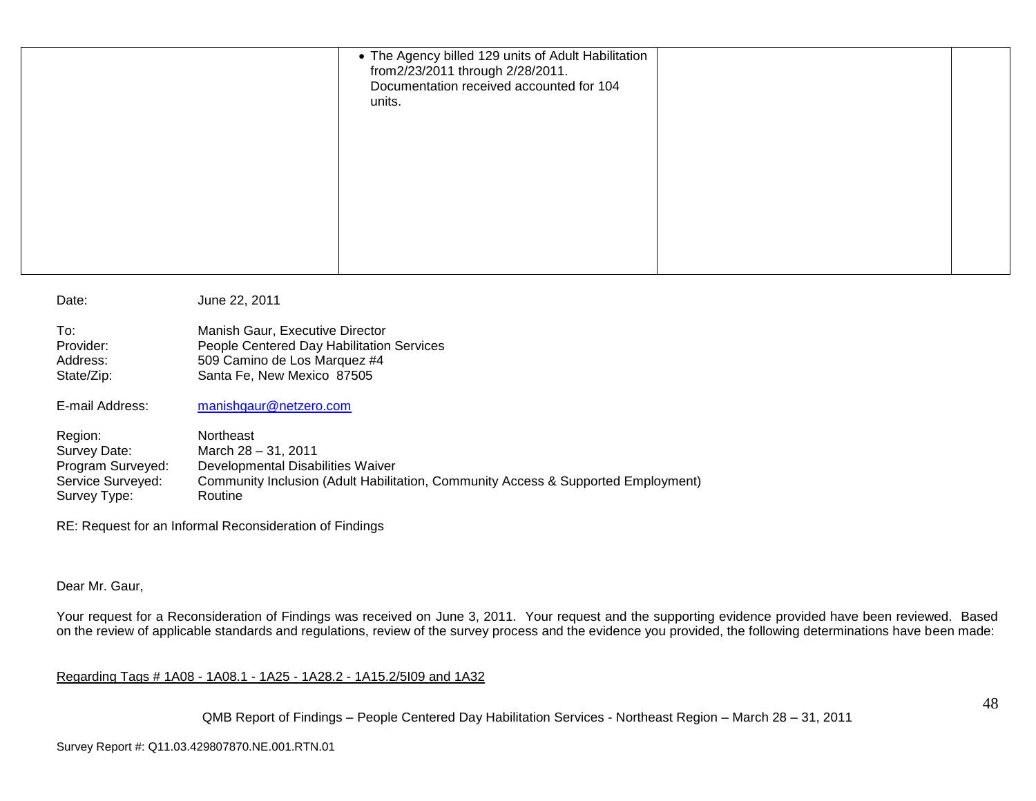| • The Agency billed 129 units of Adult Habilitation<br>from2/23/2011 through 2/28/2011.<br>Documentation received accounted for 104<br>units. |  |
|-----------------------------------------------------------------------------------------------------------------------------------------------|--|
|                                                                                                                                               |  |

| Date:             | June 22, 2011                                                                     |
|-------------------|-----------------------------------------------------------------------------------|
| To:               | Manish Gaur, Executive Director                                                   |
| Provider:         | People Centered Day Habilitation Services                                         |
| Address:          | 509 Camino de Los Marquez #4                                                      |
| State/Zip:        | Santa Fe, New Mexico 87505                                                        |
| E-mail Address:   | manishgaur@netzero.com                                                            |
| Region:           | <b>Northeast</b>                                                                  |
| Survey Date:      | March 28 - 31, 2011                                                               |
| Program Surveyed: | Developmental Disabilities Waiver                                                 |
| Service Surveyed: | Community Inclusion (Adult Habilitation, Community Access & Supported Employment) |
| Survey Type:      | Routine                                                                           |

RE: Request for an Informal Reconsideration of Findings

## Dear Mr. Gaur,

Your request for a Reconsideration of Findings was received on June 3, 2011. Your request and the supporting evidence provided have been reviewed. Based on the review of applicable standards and regulations, review of the survey process and the evidence you provided, the following determinations have been made:

## Regarding Tags # 1A08 - 1A08.1 - 1A25 - 1A28.2 - 1A15.2/5I09 and 1A32